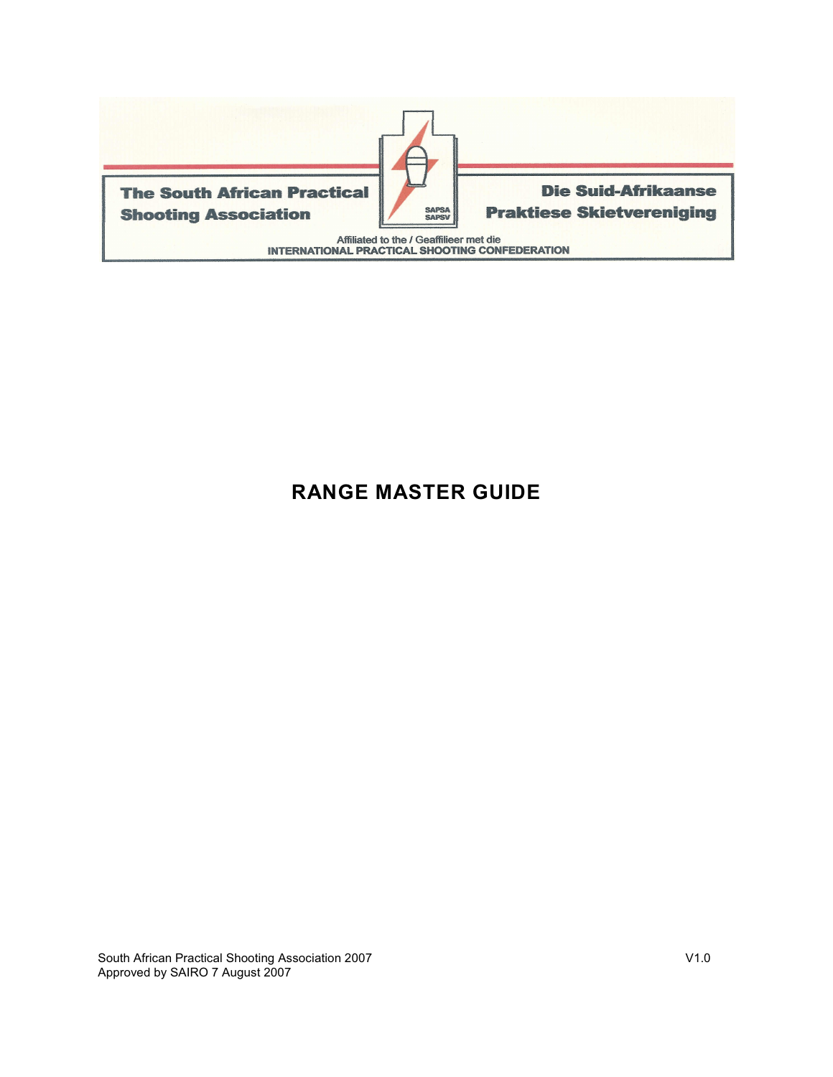

# **RANGE MASTER GUIDE**

South African Practical Shooting Association 2007 V1.0 Approved by SAIRO 7 August 2007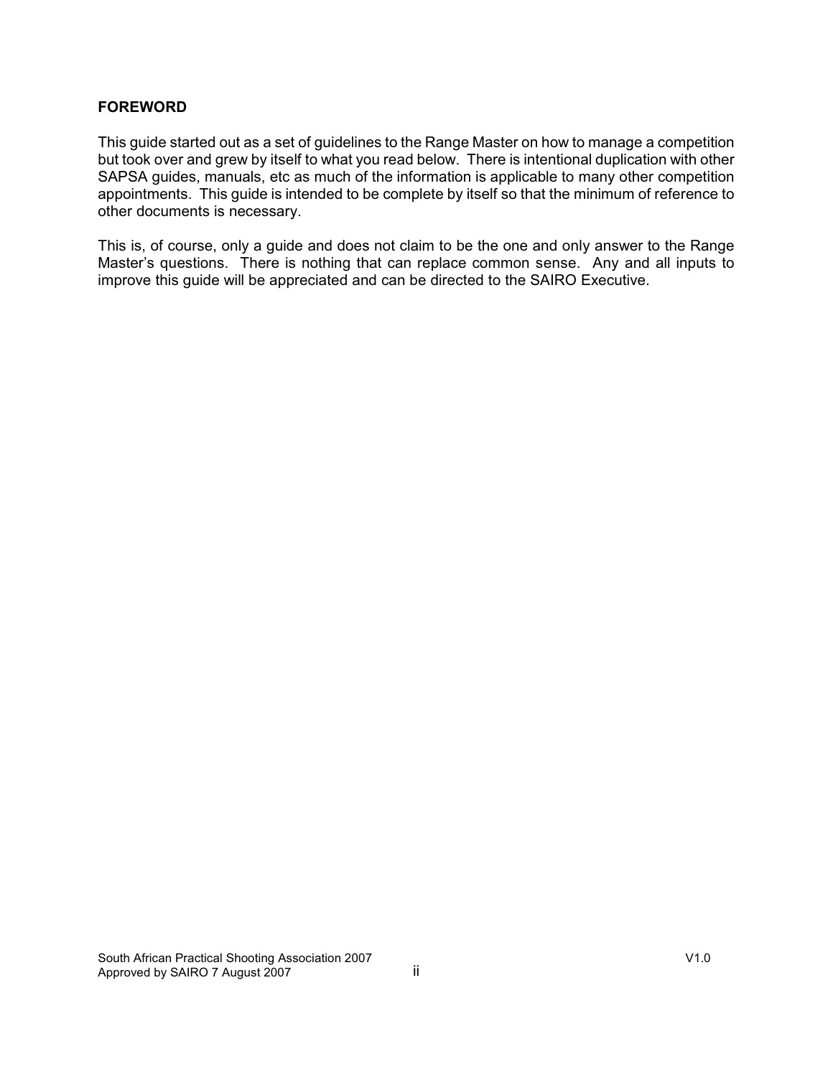#### **FOREWORD**

This guide started out as a set of guidelines to the Range Master on how to manage a competition but took over and grew by itself to what you read below. There is intentional duplication with other SAPSA guides, manuals, etc as much of the information is applicable to many other competition appointments. This guide is intended to be complete by itself so that the minimum of reference to other documents is necessary.

This is, of course, only a guide and does not claim to be the one and only answer to the Range Master's questions. There is nothing that can replace common sense. Any and all inputs to improve this guide will be appreciated and can be directed to the SAIRO Executive.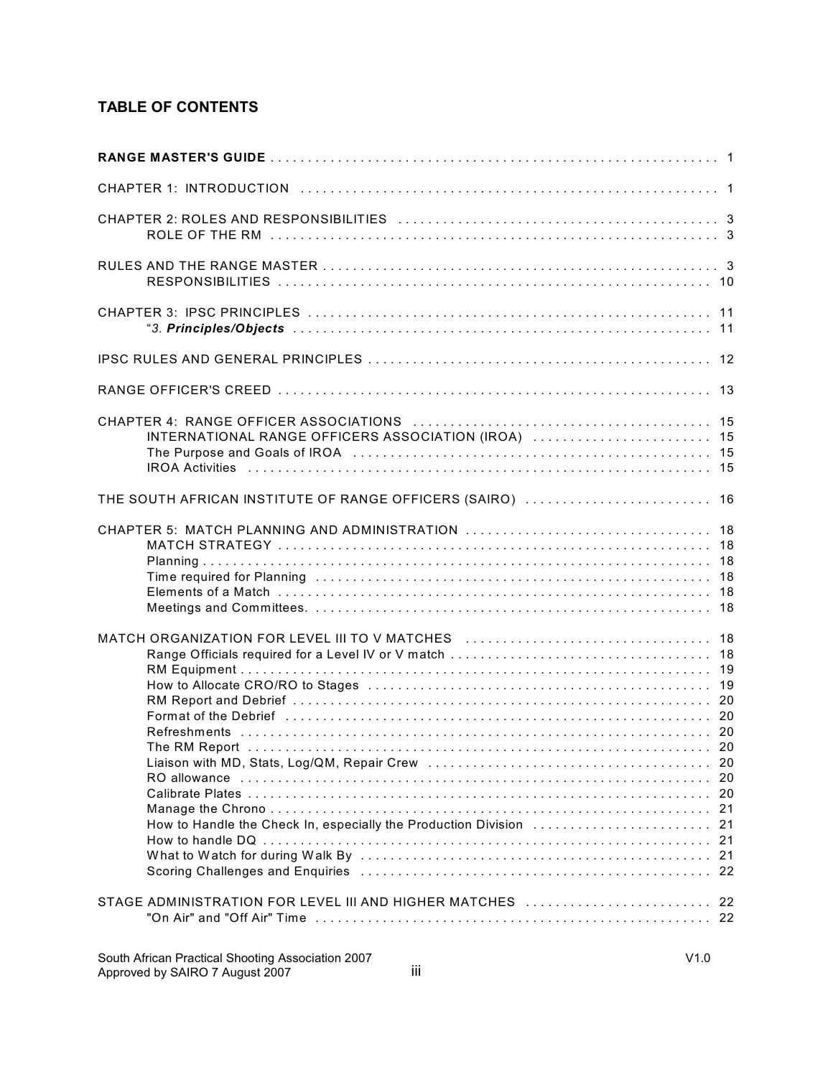# **TABLE OF CONTENTS**

| INTERNATIONAL RANGE OFFICERS ASSOCIATION (IROA)  15                                                                                                                                                                                                                                                |  |
|----------------------------------------------------------------------------------------------------------------------------------------------------------------------------------------------------------------------------------------------------------------------------------------------------|--|
| THE SOUTH AFRICAN INSTITUTE OF RANGE OFFICERS (SAIRO)  16                                                                                                                                                                                                                                          |  |
| CHAPTER 5: MATCH PLANNING AND ADMINISTRATION  18<br>Time required for Planning (and accommodation of the contract of the contract of the contract of the contract o                                                                                                                                |  |
| MATCH ORGANIZATION FOR LEVEL III TO V MATCHES  18<br>Format of the Debrief (and according to the control of the Debrief of the control of the Debrief (and the control of the Debrief of the Debrief of the Debrief of the Debrief of the Debrief of the Debrief of the Debrief of<br>RO allowance |  |
| STAGE ADMINISTRATION FOR LEVEL III AND HIGHER MATCHES  22                                                                                                                                                                                                                                          |  |
|                                                                                                                                                                                                                                                                                                    |  |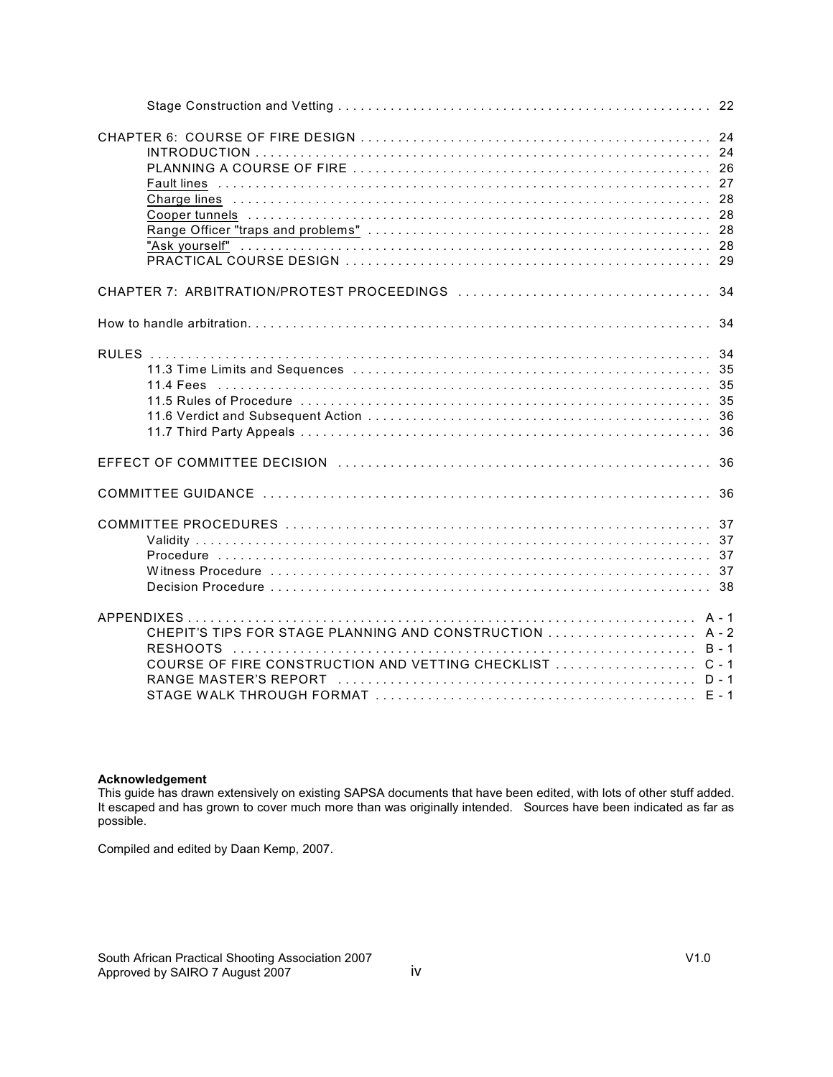| CHEPIT'S TIPS FOR STAGE PLANNING AND CONSTRUCTION  A-2<br>COURSE OF FIRE CONSTRUCTION AND VETTING CHECKLIST  C-1 |  |
|------------------------------------------------------------------------------------------------------------------|--|

### **Acknowledgement**

This guide has drawn extensively on existing SAPSA documents that have been edited, with lots of other stuff added. It escaped and has grown to cover much more than was originally intended. Sources have been indicated as far as possible.

Compiled and edited by Daan Kemp, 2007.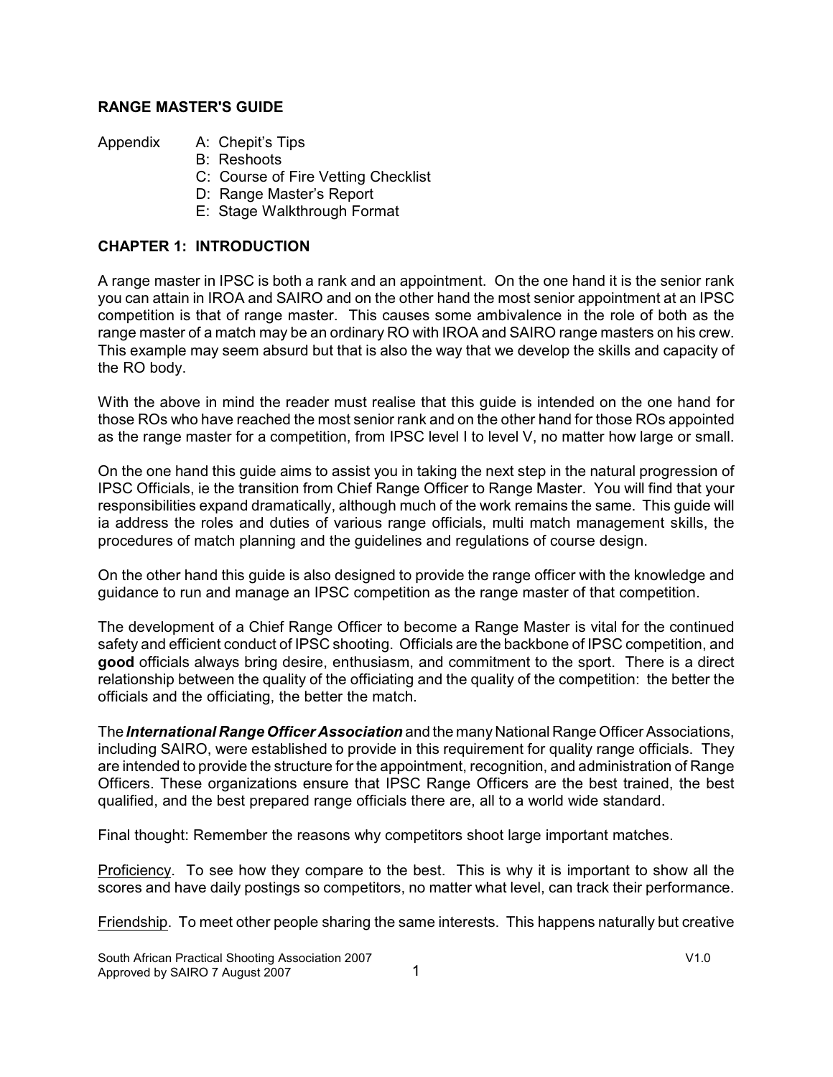### **RANGE MASTER'S GUIDE**

Appendix A: Chepit's Tips

- B: Reshoots
- C: Course of Fire Vetting Checklist
- D: Range Master's Report
- E: Stage Walkthrough Format

### **CHAPTER 1: INTRODUCTION**

A range master in IPSC is both a rank and an appointment. On the one hand it is the senior rank you can attain in IROA and SAIRO and on the other hand the most senior appointment at an IPSC competition is that of range master. This causes some ambivalence in the role of both as the range master of a match may be an ordinary RO with IROA and SAIRO range masters on his crew. This example may seem absurd but that is also the way that we develop the skills and capacity of the RO body.

With the above in mind the reader must realise that this guide is intended on the one hand for those ROs who have reached the most senior rank and on the other hand for those ROs appointed as the range master for a competition, from IPSC level I to level V, no matter how large or small.

On the one hand this guide aims to assist you in taking the next step in the natural progression of IPSC Officials, ie the transition from Chief Range Officer to Range Master. You will find that your responsibilities expand dramatically, although much of the work remains the same. This guide will ia address the roles and duties of various range officials, multi match management skills, the procedures of match planning and the guidelines and regulations of course design.

On the other hand this guide is also designed to provide the range officer with the knowledge and guidance to run and manage an IPSC competition as the range master of that competition.

The development of a Chief Range Officer to become a Range Master is vital for the continued safety and efficient conduct of IPSC shooting. Officials are the backbone of IPSC competition, and **good** officials always bring desire, enthusiasm, and commitment to the sport. There is a direct relationship between the quality of the officiating and the quality of the competition: the better the officials and the officiating, the better the match.

The *International Range Officer Association* and the many National Range Officer Associations, including SAIRO, were established to provide in this requirement for quality range officials. They are intended to provide the structure for the appointment, recognition, and administration of Range Officers. These organizations ensure that IPSC Range Officers are the best trained, the best qualified, and the best prepared range officials there are, all to a world wide standard.

Final thought: Remember the reasons why competitors shoot large important matches.

Proficiency. To see how they compare to the best. This is why it is important to show all the scores and have daily postings so competitors, no matter what level, can track their performance.

Friendship. To meet other people sharing the same interests. This happens naturally but creative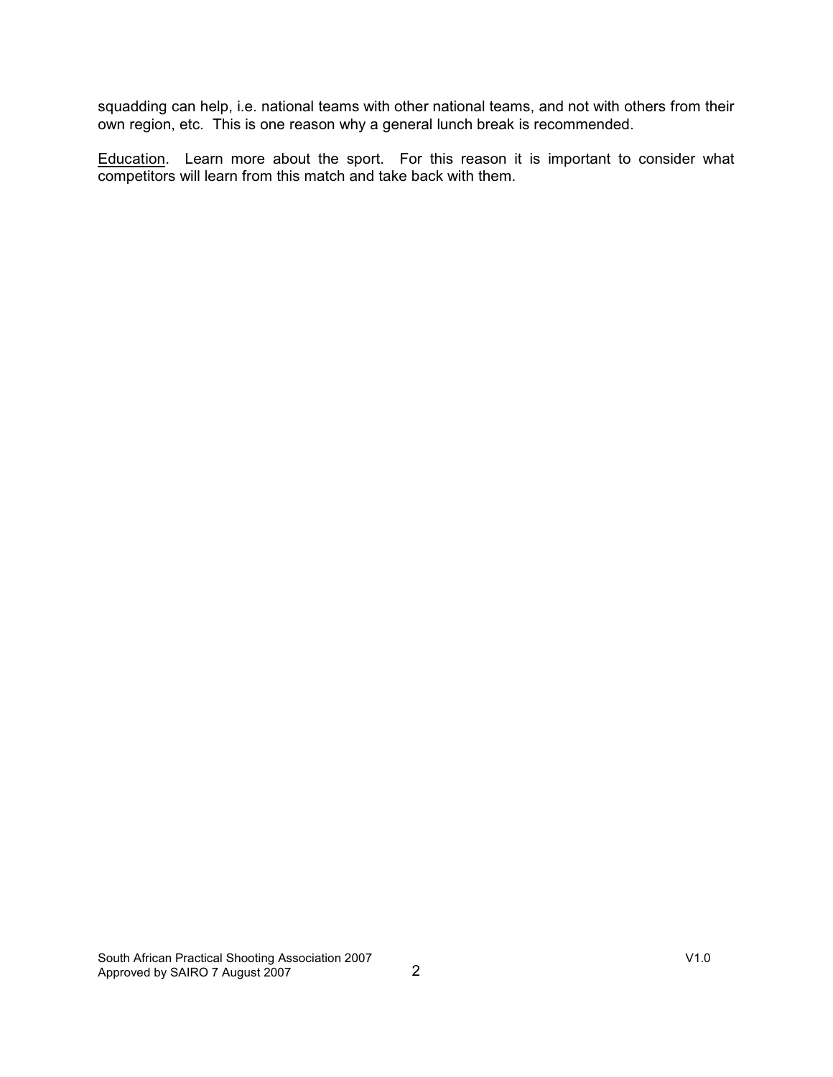squadding can help, i.e. national teams with other national teams, and not with others from their own region, etc. This is one reason why a general lunch break is recommended.

Education. Learn more about the sport. For this reason it is important to consider what competitors will learn from this match and take back with them.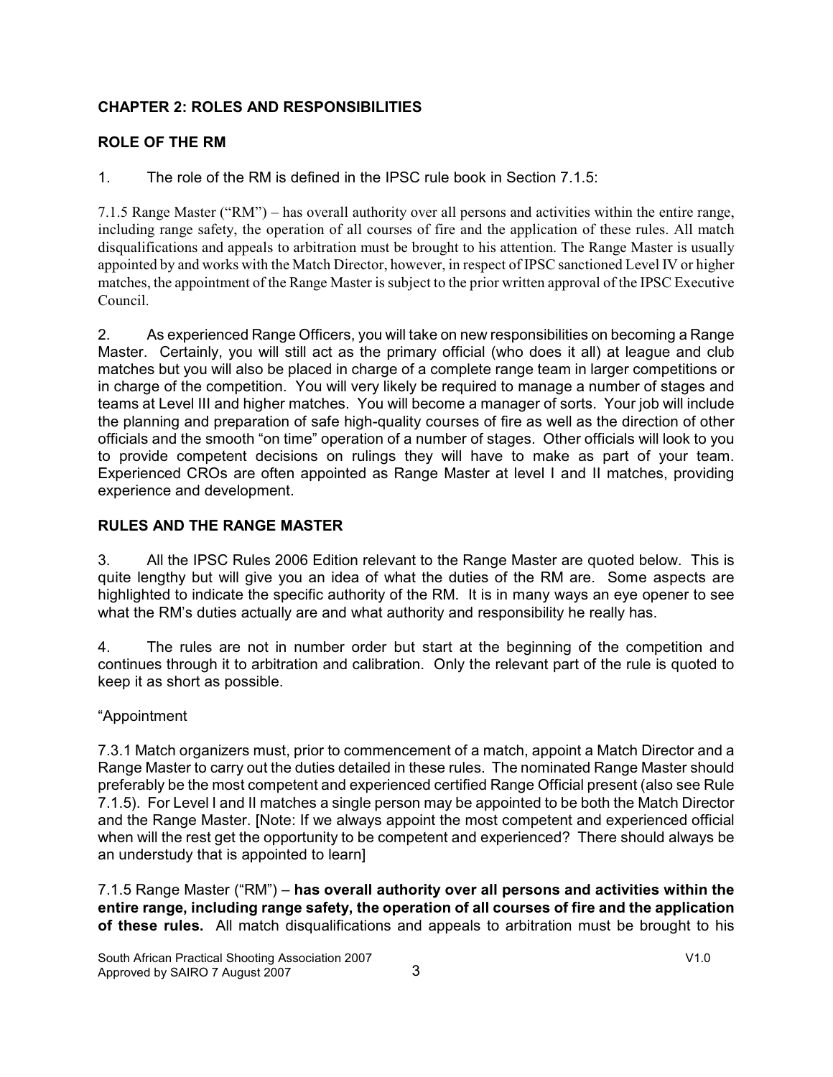# **CHAPTER 2: ROLES AND RESPONSIBILITIES**

# **ROLE OF THE RM**

1. The role of the RM is defined in the IPSC rule book in Section 7.1.5:

7.1.5 Range Master ("RM") – has overall authority over all persons and activities within the entire range, including range safety, the operation of all courses of fire and the application of these rules. All match disqualifications and appeals to arbitration must be brought to his attention. The Range Master is usually appointed by and works with the Match Director, however, in respect of IPSC sanctioned Level IV or higher matches, the appointment of the Range Master is subject to the prior written approval of the IPSC Executive Council.

2. As experienced Range Officers, you will take on new responsibilities on becoming a Range Master. Certainly, you will still act as the primary official (who does it all) at league and club matches but you will also be placed in charge of a complete range team in larger competitions or in charge of the competition. You will very likely be required to manage a number of stages and teams at Level III and higher matches. You will become a manager of sorts. Your job will include the planning and preparation of safe high-quality courses of fire as well as the direction of other officials and the smooth "on time" operation of a number of stages. Other officials will look to you to provide competent decisions on rulings they will have to make as part of your team. Experienced CROs are often appointed as Range Master at level I and II matches, providing experience and development.

# **RULES AND THE RANGE MASTER**

3. All the IPSC Rules 2006 Edition relevant to the Range Master are quoted below. This is quite lengthy but will give you an idea of what the duties of the RM are. Some aspects are highlighted to indicate the specific authority of the RM. It is in many ways an eye opener to see what the RM's duties actually are and what authority and responsibility he really has.

4. The rules are not in number order but start at the beginning of the competition and continues through it to arbitration and calibration. Only the relevant part of the rule is quoted to keep it as short as possible.

# "Appointment

7.3.1 Match organizers must, prior to commencement of a match, appoint a Match Director and a Range Master to carry out the duties detailed in these rules. The nominated Range Master should preferably be the most competent and experienced certified Range Official present (also see Rule 7.1.5). For Level I and II matches a single person may be appointed to be both the Match Director and the Range Master. [Note: If we always appoint the most competent and experienced official when will the rest get the opportunity to be competent and experienced? There should always be an understudy that is appointed to learn]

7.1.5 Range Master ("RM") – **has overall authority over all persons and activities within the entire range, including range safety, the operation of all courses of fire and the application of these rules.** All match disqualifications and appeals to arbitration must be brought to his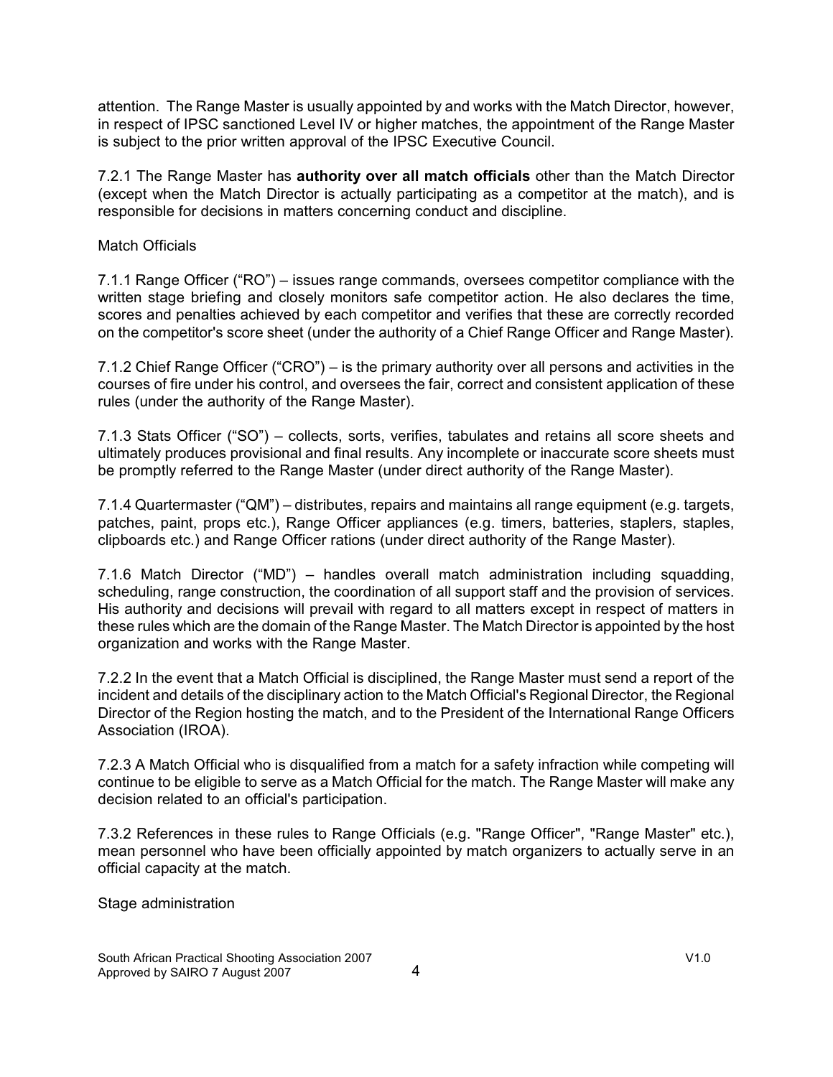attention. The Range Master is usually appointed by and works with the Match Director, however, in respect of IPSC sanctioned Level IV or higher matches, the appointment of the Range Master is subject to the prior written approval of the IPSC Executive Council.

7.2.1 The Range Master has **authority over all match officials** other than the Match Director (except when the Match Director is actually participating as a competitor at the match), and is responsible for decisions in matters concerning conduct and discipline.

### Match Officials

7.1.1 Range Officer ("RO") – issues range commands, oversees competitor compliance with the written stage briefing and closely monitors safe competitor action. He also declares the time, scores and penalties achieved by each competitor and verifies that these are correctly recorded on the competitor's score sheet (under the authority of a Chief Range Officer and Range Master).

7.1.2 Chief Range Officer ("CRO") – is the primary authority over all persons and activities in the courses of fire under his control, and oversees the fair, correct and consistent application of these rules (under the authority of the Range Master).

7.1.3 Stats Officer ("SO") – collects, sorts, verifies, tabulates and retains all score sheets and ultimately produces provisional and final results. Any incomplete or inaccurate score sheets must be promptly referred to the Range Master (under direct authority of the Range Master).

7.1.4 Quartermaster ("QM") – distributes, repairs and maintains all range equipment (e.g. targets, patches, paint, props etc.), Range Officer appliances (e.g. timers, batteries, staplers, staples, clipboards etc.) and Range Officer rations (under direct authority of the Range Master).

7.1.6 Match Director ("MD") – handles overall match administration including squadding, scheduling, range construction, the coordination of all support staff and the provision of services. His authority and decisions will prevail with regard to all matters except in respect of matters in these rules which are the domain of the Range Master. The Match Director is appointed by the host organization and works with the Range Master.

7.2.2 In the event that a Match Official is disciplined, the Range Master must send a report of the incident and details of the disciplinary action to the Match Official's Regional Director, the Regional Director of the Region hosting the match, and to the President of the International Range Officers Association (IROA).

7.2.3 A Match Official who is disqualified from a match for a safety infraction while competing will continue to be eligible to serve as a Match Official for the match. The Range Master will make any decision related to an official's participation.

7.3.2 References in these rules to Range Officials (e.g. "Range Officer", "Range Master" etc.), mean personnel who have been officially appointed by match organizers to actually serve in an official capacity at the match.

Stage administration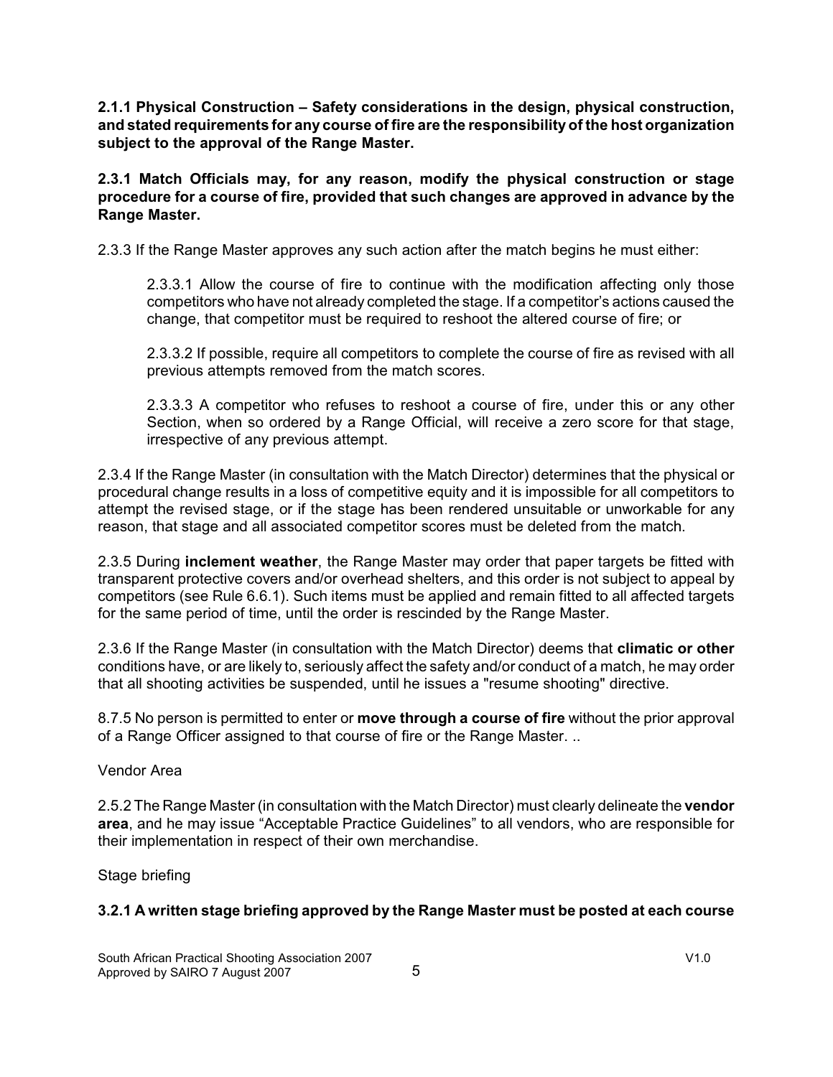**2.1.1 Physical Construction – Safety considerations in the design, physical construction, and stated requirements for any course of fire are the responsibility of the host organization subject to the approval of the Range Master.**

**2.3.1 Match Officials may, for any reason, modify the physical construction or stage procedure for a course of fire, provided that such changes are approved in advance by the Range Master.**

2.3.3 If the Range Master approves any such action after the match begins he must either:

2.3.3.1 Allow the course of fire to continue with the modification affecting only those competitors who have not already completed the stage. If a competitor's actions caused the change, that competitor must be required to reshoot the altered course of fire; or

2.3.3.2 If possible, require all competitors to complete the course of fire as revised with all previous attempts removed from the match scores.

2.3.3.3 A competitor who refuses to reshoot a course of fire, under this or any other Section, when so ordered by a Range Official, will receive a zero score for that stage, irrespective of any previous attempt.

2.3.4 If the Range Master (in consultation with the Match Director) determines that the physical or procedural change results in a loss of competitive equity and it is impossible for all competitors to attempt the revised stage, or if the stage has been rendered unsuitable or unworkable for any reason, that stage and all associated competitor scores must be deleted from the match.

2.3.5 During **inclement weather**, the Range Master may order that paper targets be fitted with transparent protective covers and/or overhead shelters, and this order is not subject to appeal by competitors (see Rule 6.6.1). Such items must be applied and remain fitted to all affected targets for the same period of time, until the order is rescinded by the Range Master.

2.3.6 If the Range Master (in consultation with the Match Director) deems that **climatic or other** conditions have, or are likely to, seriously affect the safety and/or conduct of a match, he may order that all shooting activities be suspended, until he issues a "resume shooting" directive.

8.7.5 No person is permitted to enter or **move through a course of fire** without the prior approval of a Range Officer assigned to that course of fire or the Range Master. ..

Vendor Area

2.5.2 The Range Master (in consultation with the Match Director) must clearly delineate the **vendor area**, and he may issue "Acceptable Practice Guidelines" to all vendors, who are responsible for their implementation in respect of their own merchandise.

Stage briefing

### **3.2.1 A written stage briefing approved by the Range Master must be posted at each course**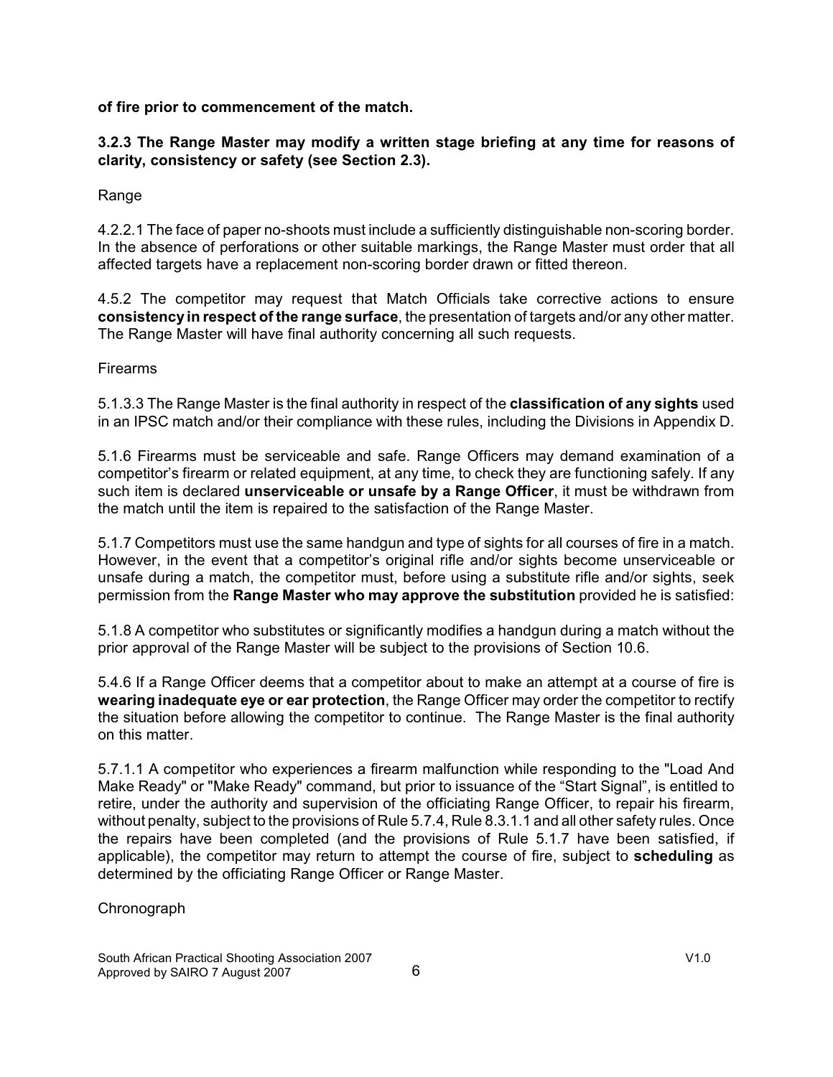**of fire prior to commencement of the match.**

### **3.2.3 The Range Master may modify a written stage briefing at any time for reasons of clarity, consistency or safety (see Section 2.3).**

Range

4.2.2.1 The face of paper no-shoots must include a sufficiently distinguishable non-scoring border. In the absence of perforations or other suitable markings, the Range Master must order that all affected targets have a replacement non-scoring border drawn or fitted thereon.

4.5.2 The competitor may request that Match Officials take corrective actions to ensure **consistency in respect of the range surface**, the presentation of targets and/or any other matter. The Range Master will have final authority concerning all such requests.

Firearms

5.1.3.3 The Range Master is the final authority in respect of the **classification of any sights** used in an IPSC match and/or their compliance with these rules, including the Divisions in Appendix D.

5.1.6 Firearms must be serviceable and safe. Range Officers may demand examination of a competitor's firearm or related equipment, at any time, to check they are functioning safely. If any such item is declared **unserviceable or unsafe by a Range Officer**, it must be withdrawn from the match until the item is repaired to the satisfaction of the Range Master.

5.1.7 Competitors must use the same handgun and type of sights for all courses of fire in a match. However, in the event that a competitor's original rifle and/or sights become unserviceable or unsafe during a match, the competitor must, before using a substitute rifle and/or sights, seek permission from the **Range Master who may approve the substitution** provided he is satisfied:

5.1.8 A competitor who substitutes or significantly modifies a handgun during a match without the prior approval of the Range Master will be subject to the provisions of Section 10.6.

5.4.6 If a Range Officer deems that a competitor about to make an attempt at a course of fire is **wearing inadequate eye or ear protection**, the Range Officer may order the competitor to rectify the situation before allowing the competitor to continue. The Range Master is the final authority on this matter.

5.7.1.1 A competitor who experiences a firearm malfunction while responding to the "Load And Make Ready" or "Make Ready" command, but prior to issuance of the "Start Signal", is entitled to retire, under the authority and supervision of the officiating Range Officer, to repair his firearm, without penalty, subject to the provisions of Rule 5.7.4, Rule 8.3.1.1 and all other safety rules. Once the repairs have been completed (and the provisions of Rule 5.1.7 have been satisfied, if applicable), the competitor may return to attempt the course of fire, subject to **scheduling** as determined by the officiating Range Officer or Range Master.

**Chronograph**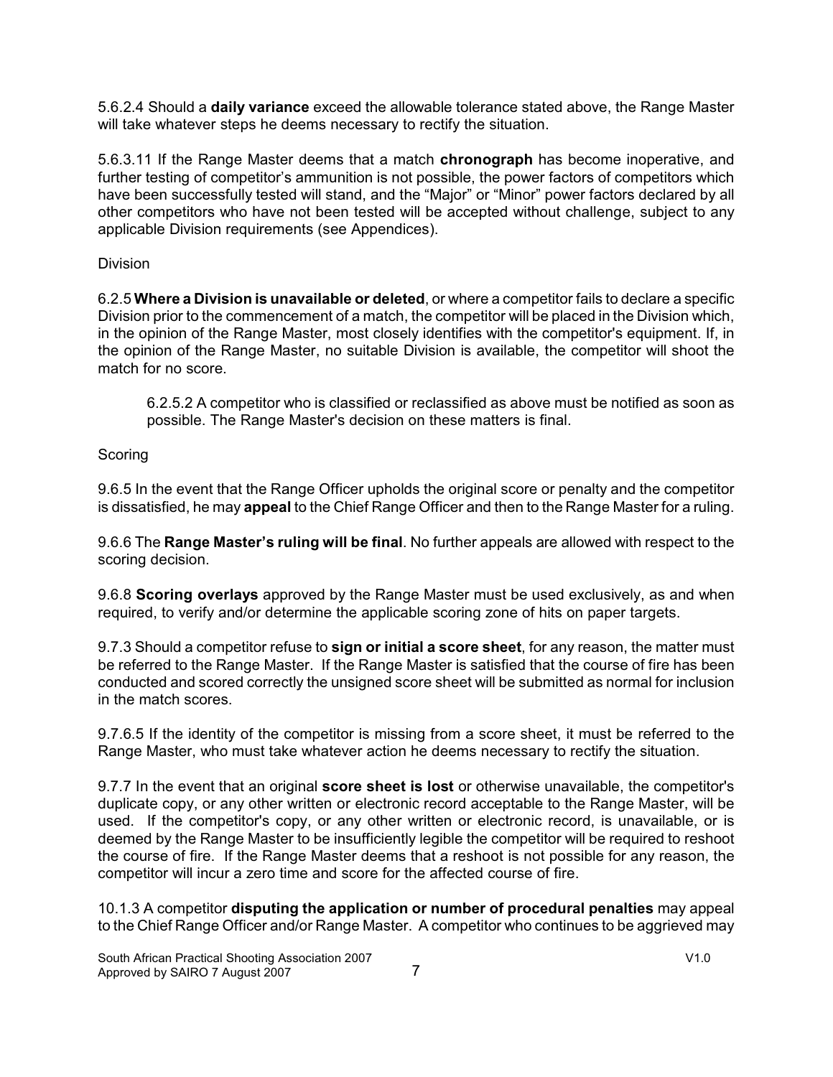5.6.2.4 Should a **daily variance** exceed the allowable tolerance stated above, the Range Master will take whatever steps he deems necessary to rectify the situation.

5.6.3.11 If the Range Master deems that a match **chronograph** has become inoperative, and further testing of competitor's ammunition is not possible, the power factors of competitors which have been successfully tested will stand, and the "Major" or "Minor" power factors declared by all other competitors who have not been tested will be accepted without challenge, subject to any applicable Division requirements (see Appendices).

Division

6.2.5 **Where a Division is unavailable or deleted**, or where a competitor fails to declare a specific Division prior to the commencement of a match, the competitor will be placed in the Division which, in the opinion of the Range Master, most closely identifies with the competitor's equipment. If, in the opinion of the Range Master, no suitable Division is available, the competitor will shoot the match for no score.

6.2.5.2 A competitor who is classified or reclassified as above must be notified as soon as possible. The Range Master's decision on these matters is final.

### **Scoring**

9.6.5 In the event that the Range Officer upholds the original score or penalty and the competitor is dissatisfied, he may **appeal** to the Chief Range Officer and then to the Range Master for a ruling.

9.6.6 The **Range Master's ruling will be final**. No further appeals are allowed with respect to the scoring decision.

9.6.8 **Scoring overlays** approved by the Range Master must be used exclusively, as and when required, to verify and/or determine the applicable scoring zone of hits on paper targets.

9.7.3 Should a competitor refuse to **sign or initial a score sheet**, for any reason, the matter must be referred to the Range Master. If the Range Master is satisfied that the course of fire has been conducted and scored correctly the unsigned score sheet will be submitted as normal for inclusion in the match scores.

9.7.6.5 If the identity of the competitor is missing from a score sheet, it must be referred to the Range Master, who must take whatever action he deems necessary to rectify the situation.

9.7.7 In the event that an original **score sheet is lost** or otherwise unavailable, the competitor's duplicate copy, or any other written or electronic record acceptable to the Range Master, will be used. If the competitor's copy, or any other written or electronic record, is unavailable, or is deemed by the Range Master to be insufficiently legible the competitor will be required to reshoot the course of fire. If the Range Master deems that a reshoot is not possible for any reason, the competitor will incur a zero time and score for the affected course of fire.

10.1.3 A competitor **disputing the application or number of procedural penalties** may appeal to the Chief Range Officer and/or Range Master. A competitor who continues to be aggrieved may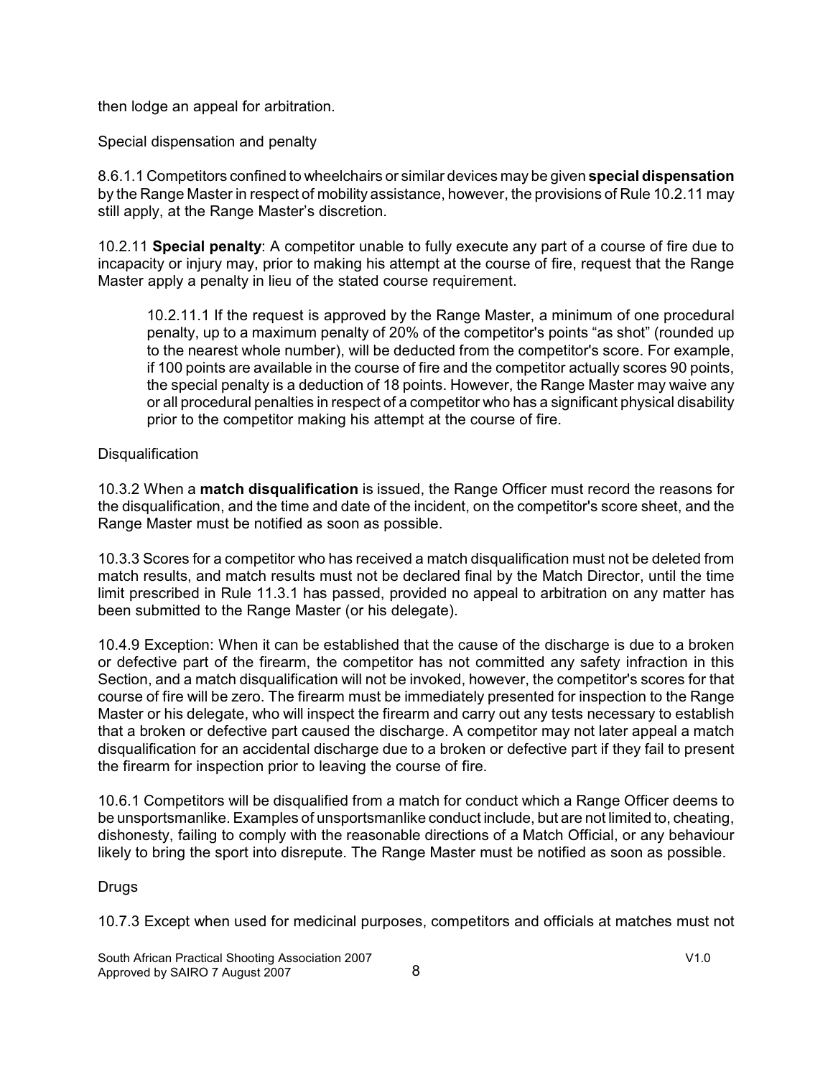then lodge an appeal for arbitration.

Special dispensation and penalty

8.6.1.1 Competitors confined to wheelchairs or similar devices may be given **special dispensation** by the Range Master in respect of mobility assistance, however, the provisions of Rule 10.2.11 may still apply, at the Range Master's discretion.

10.2.11 **Special penalty**: A competitor unable to fully execute any part of a course of fire due to incapacity or injury may, prior to making his attempt at the course of fire, request that the Range Master apply a penalty in lieu of the stated course requirement.

10.2.11.1 If the request is approved by the Range Master, a minimum of one procedural penalty, up to a maximum penalty of 20% of the competitor's points "as shot" (rounded up to the nearest whole number), will be deducted from the competitor's score. For example, if 100 points are available in the course of fire and the competitor actually scores 90 points, the special penalty is a deduction of 18 points. However, the Range Master may waive any or all procedural penalties in respect of a competitor who has a significant physical disability prior to the competitor making his attempt at the course of fire.

#### **Disqualification**

10.3.2 When a **match disqualification** is issued, the Range Officer must record the reasons for the disqualification, and the time and date of the incident, on the competitor's score sheet, and the Range Master must be notified as soon as possible.

10.3.3 Scores for a competitor who has received a match disqualification must not be deleted from match results, and match results must not be declared final by the Match Director, until the time limit prescribed in Rule 11.3.1 has passed, provided no appeal to arbitration on any matter has been submitted to the Range Master (or his delegate).

10.4.9 Exception: When it can be established that the cause of the discharge is due to a broken or defective part of the firearm, the competitor has not committed any safety infraction in this Section, and a match disqualification will not be invoked, however, the competitor's scores for that course of fire will be zero. The firearm must be immediately presented for inspection to the Range Master or his delegate, who will inspect the firearm and carry out any tests necessary to establish that a broken or defective part caused the discharge. A competitor may not later appeal a match disqualification for an accidental discharge due to a broken or defective part if they fail to present the firearm for inspection prior to leaving the course of fire.

10.6.1 Competitors will be disqualified from a match for conduct which a Range Officer deems to be unsportsmanlike. Examples of unsportsmanlike conduct include, but are not limited to, cheating, dishonesty, failing to comply with the reasonable directions of a Match Official, or any behaviour likely to bring the sport into disrepute. The Range Master must be notified as soon as possible.

### Drugs

10.7.3 Except when used for medicinal purposes, competitors and officials at matches must not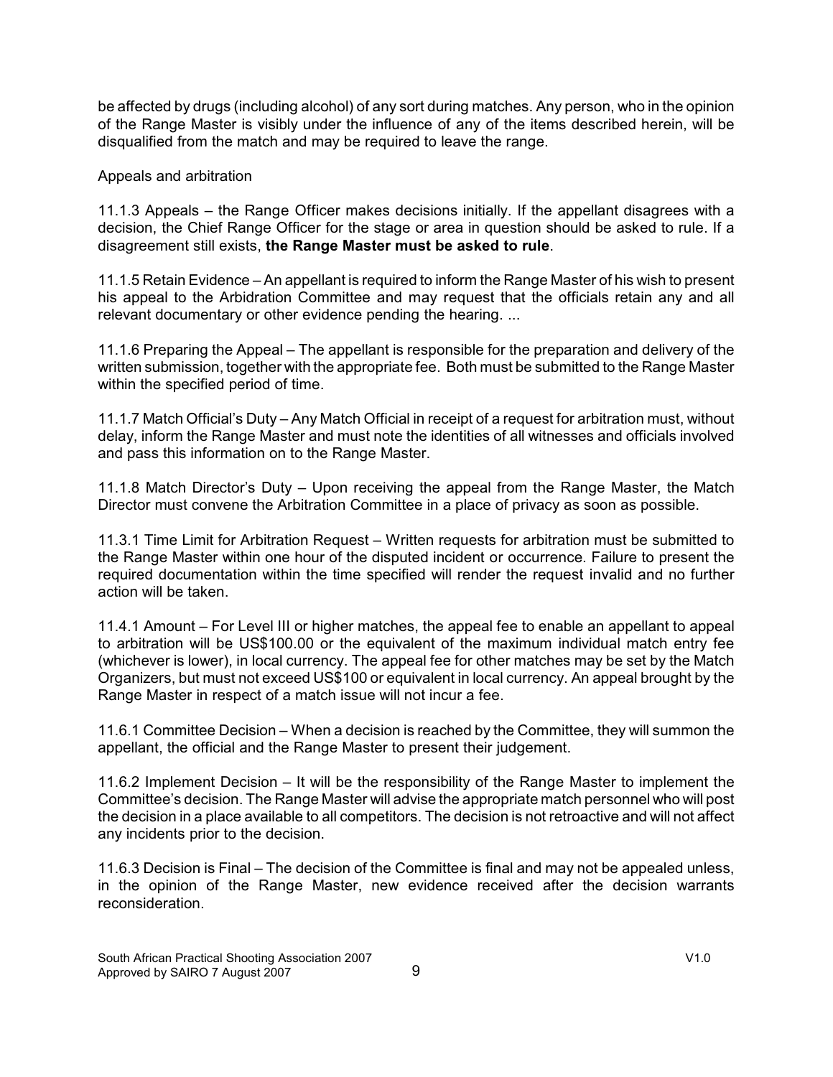be affected by drugs (including alcohol) of any sort during matches. Any person, who in the opinion of the Range Master is visibly under the influence of any of the items described herein, will be disqualified from the match and may be required to leave the range.

Appeals and arbitration

11.1.3 Appeals – the Range Officer makes decisions initially. If the appellant disagrees with a decision, the Chief Range Officer for the stage or area in question should be asked to rule. If a disagreement still exists, **the Range Master must be asked to rule**.

11.1.5 Retain Evidence – An appellant is required to inform the Range Master of his wish to present his appeal to the Arbidration Committee and may request that the officials retain any and all relevant documentary or other evidence pending the hearing. ...

11.1.6 Preparing the Appeal – The appellant is responsible for the preparation and delivery of the written submission, together with the appropriate fee. Both must be submitted to the Range Master within the specified period of time.

11.1.7 Match Official's Duty – Any Match Official in receipt of a request for arbitration must, without delay, inform the Range Master and must note the identities of all witnesses and officials involved and pass this information on to the Range Master.

11.1.8 Match Director's Duty – Upon receiving the appeal from the Range Master, the Match Director must convene the Arbitration Committee in a place of privacy as soon as possible.

11.3.1 Time Limit for Arbitration Request – Written requests for arbitration must be submitted to the Range Master within one hour of the disputed incident or occurrence. Failure to present the required documentation within the time specified will render the request invalid and no further action will be taken.

11.4.1 Amount – For Level III or higher matches, the appeal fee to enable an appellant to appeal to arbitration will be US\$100.00 or the equivalent of the maximum individual match entry fee (whichever is lower), in local currency. The appeal fee for other matches may be set by the Match Organizers, but must not exceed US\$100 or equivalent in local currency. An appeal brought by the Range Master in respect of a match issue will not incur a fee.

11.6.1 Committee Decision – When a decision is reached by the Committee, they will summon the appellant, the official and the Range Master to present their judgement.

11.6.2 Implement Decision – It will be the responsibility of the Range Master to implement the Committee's decision. The Range Master will advise the appropriate match personnel who will post the decision in a place available to all competitors. The decision is not retroactive and will not affect any incidents prior to the decision.

11.6.3 Decision is Final – The decision of the Committee is final and may not be appealed unless, in the opinion of the Range Master, new evidence received after the decision warrants reconsideration.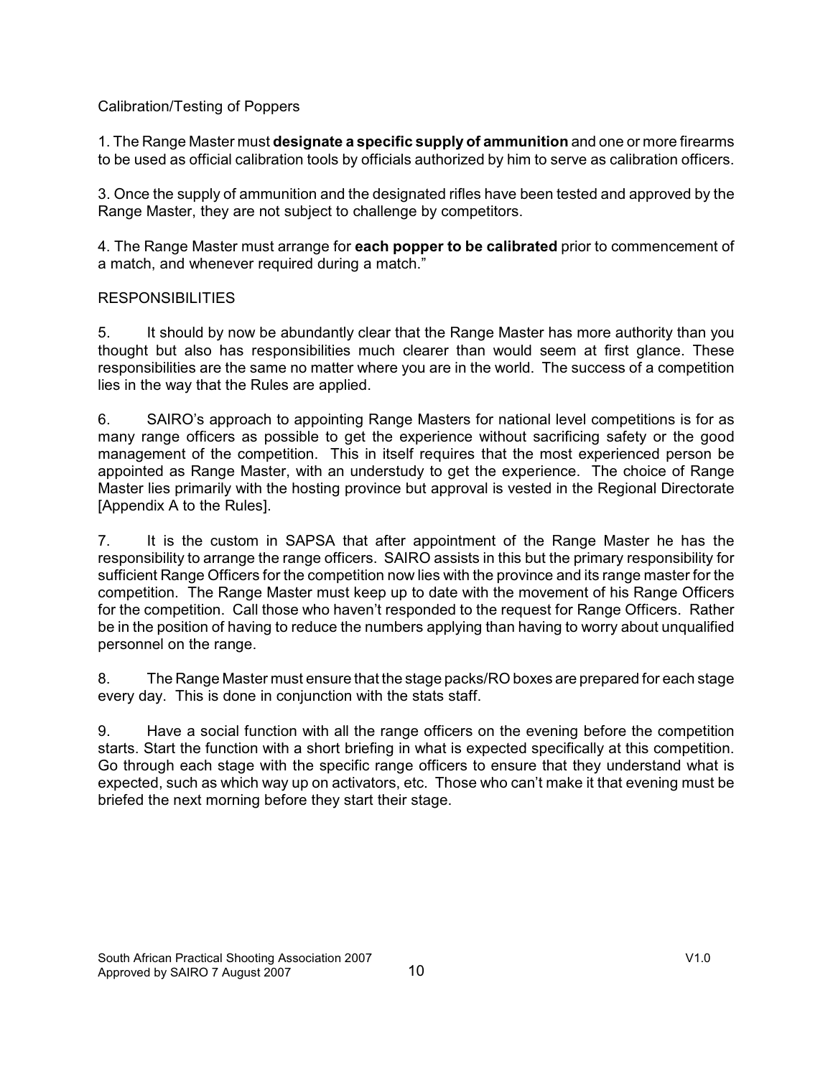### Calibration/Testing of Poppers

1. The Range Master must **designate a specific supply of ammunition** and one or more firearms to be used as official calibration tools by officials authorized by him to serve as calibration officers.

3. Once the supply of ammunition and the designated rifles have been tested and approved by the Range Master, they are not subject to challenge by competitors.

4. The Range Master must arrange for **each popper to be calibrated** prior to commencement of a match, and whenever required during a match."

### **RESPONSIBILITIES**

5. It should by now be abundantly clear that the Range Master has more authority than you thought but also has responsibilities much clearer than would seem at first glance. These responsibilities are the same no matter where you are in the world. The success of a competition lies in the way that the Rules are applied.

6. SAIRO's approach to appointing Range Masters for national level competitions is for as many range officers as possible to get the experience without sacrificing safety or the good management of the competition. This in itself requires that the most experienced person be appointed as Range Master, with an understudy to get the experience. The choice of Range Master lies primarily with the hosting province but approval is vested in the Regional Directorate [Appendix A to the Rules].

7. It is the custom in SAPSA that after appointment of the Range Master he has the responsibility to arrange the range officers. SAIRO assists in this but the primary responsibility for sufficient Range Officers for the competition now lies with the province and its range master for the competition. The Range Master must keep up to date with the movement of his Range Officers for the competition. Call those who haven't responded to the request for Range Officers. Rather be in the position of having to reduce the numbers applying than having to worry about unqualified personnel on the range.

8. The Range Master must ensure that the stage packs/RO boxes are prepared for each stage every day. This is done in conjunction with the stats staff.

9. Have a social function with all the range officers on the evening before the competition starts. Start the function with a short briefing in what is expected specifically at this competition. Go through each stage with the specific range officers to ensure that they understand what is expected, such as which way up on activators, etc. Those who can't make it that evening must be briefed the next morning before they start their stage.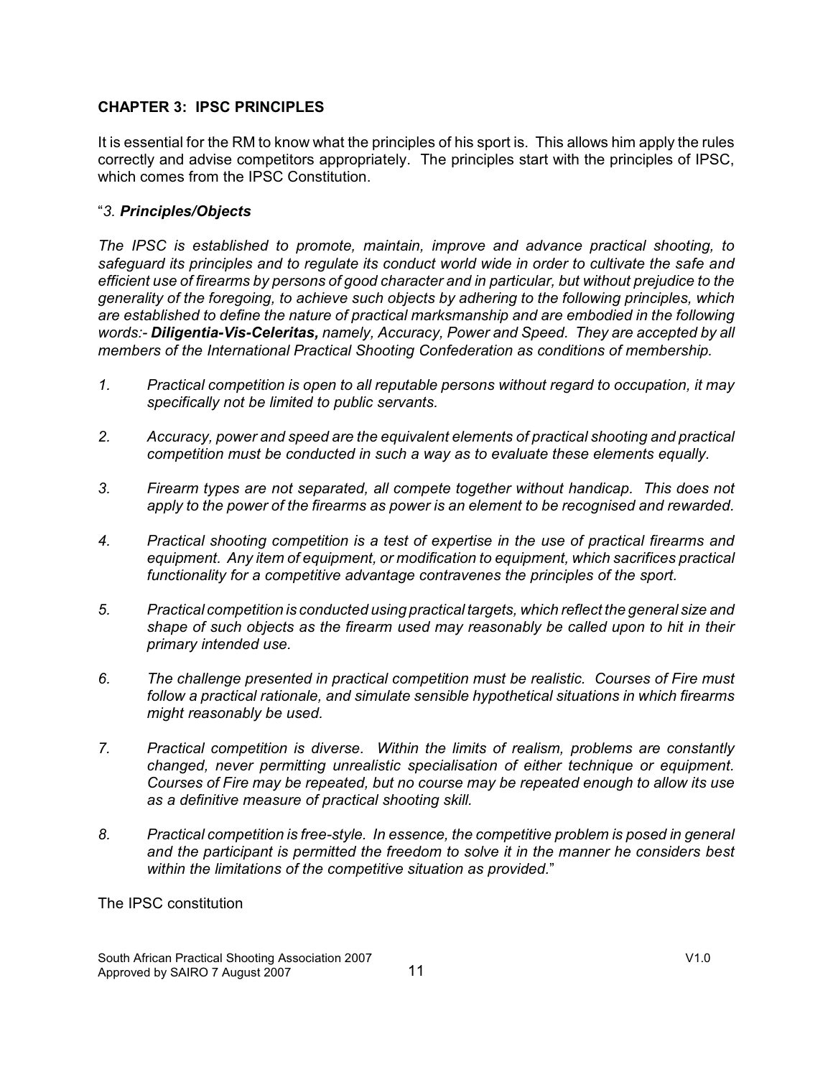### **CHAPTER 3: IPSC PRINCIPLES**

It is essential for the RM to know what the principles of his sport is. This allows him apply the rules correctly and advise competitors appropriately. The principles start with the principles of IPSC, which comes from the IPSC Constitution.

### "*3. Principles/Objects*

*The IPSC is established to promote, maintain, improve and advance practical shooting, to safeguard its principles and to regulate its conduct world wide in order to cultivate the safe and efficient use of firearms by persons of good character and in particular, but without prejudice to the generality of the foregoing, to achieve such objects by adhering to the following principles, which are established to define the nature of practical marksmanship and are embodied in the following words:- Diligentia-Vis-Celeritas, namely, Accuracy, Power and Speed. They are accepted by all members of the International Practical Shooting Confederation as conditions of membership.*

- *1. Practical competition is open to all reputable persons without regard to occupation, it may specifically not be limited to public servants.*
- *2. Accuracy, power and speed are the equivalent elements of practical shooting and practical competition must be conducted in such a way as to evaluate these elements equally.*
- *3. Firearm types are not separated, all compete together without handicap. This does not apply to the power of the firearms as power is an element to be recognised and rewarded.*
- *4. Practical shooting competition is a test of expertise in the use of practical firearms and equipment. Any item of equipment, or modification to equipment, which sacrifices practical functionality for a competitive advantage contravenes the principles of the sport.*
- *5. Practical competition is conducted using practical targets, which reflect the general size and shape of such objects as the firearm used may reasonably be called upon to hit in their primary intended use.*
- *6. The challenge presented in practical competition must be realistic. Courses of Fire must follow a practical rationale, and simulate sensible hypothetical situations in which firearms might reasonably be used.*
- *7. Practical competition is diverse. Within the limits of realism, problems are constantly changed, never permitting unrealistic specialisation of either technique or equipment. Courses of Fire may be repeated, but no course may be repeated enough to allow its use as a definitive measure of practical shooting skill.*
- *8. Practical competition is free-style. In essence, the competitive problem is posed in general and the participant is permitted the freedom to solve it in the manner he considers best within the limitations of the competitive situation as provided.*"

The IPSC constitution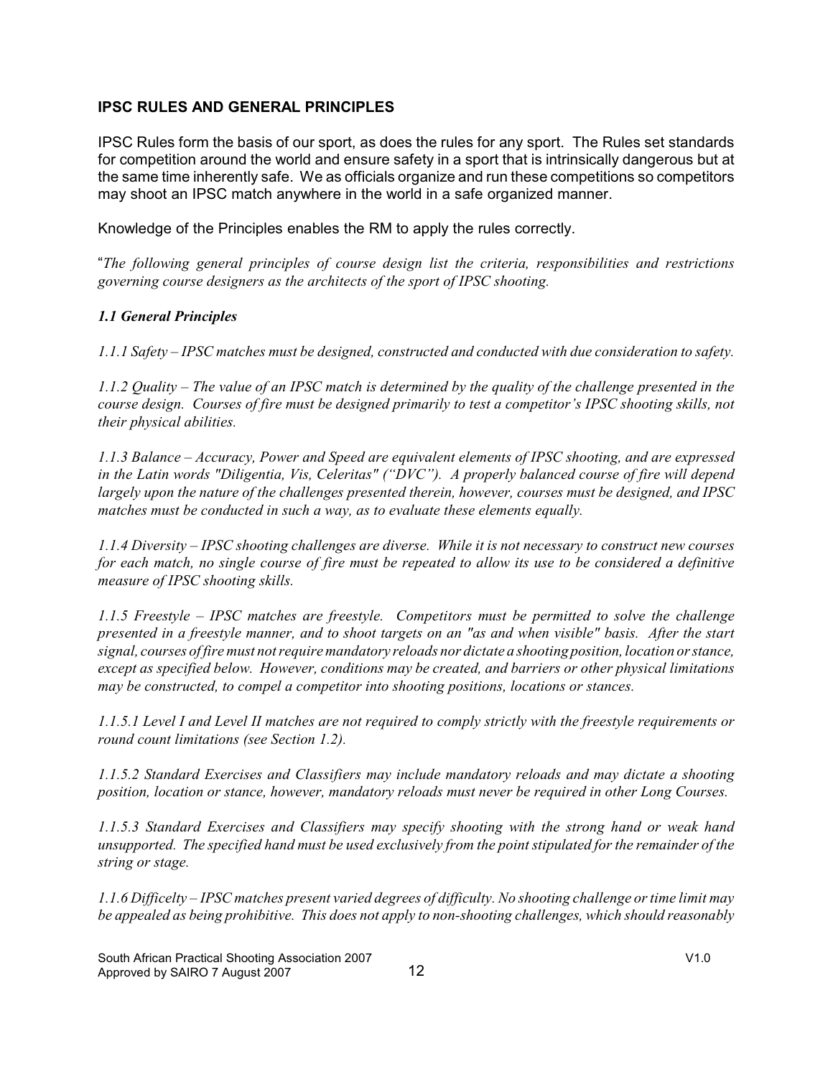### **IPSC RULES AND GENERAL PRINCIPLES**

IPSC Rules form the basis of our sport, as does the rules for any sport. The Rules set standards for competition around the world and ensure safety in a sport that is intrinsically dangerous but at the same time inherently safe. We as officials organize and run these competitions so competitors may shoot an IPSC match anywhere in the world in a safe organized manner.

Knowledge of the Principles enables the RM to apply the rules correctly.

"*The following general principles of course design list the criteria, responsibilities and restrictions governing course designers as the architects of the sport of IPSC shooting.*

#### *1.1 General Principles*

*1.1.1 Safety – IPSC matches must be designed, constructed and conducted with due consideration to safety.*

*1.1.2 Quality – The value of an IPSC match is determined by the quality of the challenge presented in the course design. Courses of fire must be designed primarily to test a competitor's IPSC shooting skills, not their physical abilities.*

*1.1.3 Balance – Accuracy, Power and Speed are equivalent elements of IPSC shooting, and are expressed in the Latin words "Diligentia, Vis, Celeritas" ("DVC"). A properly balanced course of fire will depend largely upon the nature of the challenges presented therein, however, courses must be designed, and IPSC matches must be conducted in such a way, as to evaluate these elements equally.*

*1.1.4 Diversity – IPSC shooting challenges are diverse. While it is not necessary to construct new courses for each match, no single course of fire must be repeated to allow its use to be considered a definitive measure of IPSC shooting skills.*

*1.1.5 Freestyle – IPSC matches are freestyle. Competitors must be permitted to solve the challenge presented in a freestyle manner, and to shoot targets on an "as and when visible" basis. After the start signal, courses of fire must not require mandatory reloads nor dictate a shooting position, location or stance, except as specified below. However, conditions may be created, and barriers or other physical limitations may be constructed, to compel a competitor into shooting positions, locations or stances.*

*1.1.5.1 Level I and Level II matches are not required to comply strictly with the freestyle requirements or round count limitations (see Section 1.2).*

*1.1.5.2 Standard Exercises and Classifiers may include mandatory reloads and may dictate a shooting position, location or stance, however, mandatory reloads must never be required in other Long Courses.*

*1.1.5.3 Standard Exercises and Classifiers may specify shooting with the strong hand or weak hand unsupported. The specified hand must be used exclusively from the point stipulated for the remainder of the string or stage.*

*1.1.6 Difficelty – IPSC matches present varied degrees of difficulty. No shooting challenge or time limit may be appealed as being prohibitive. This does not apply to non-shooting challenges, which should reasonably*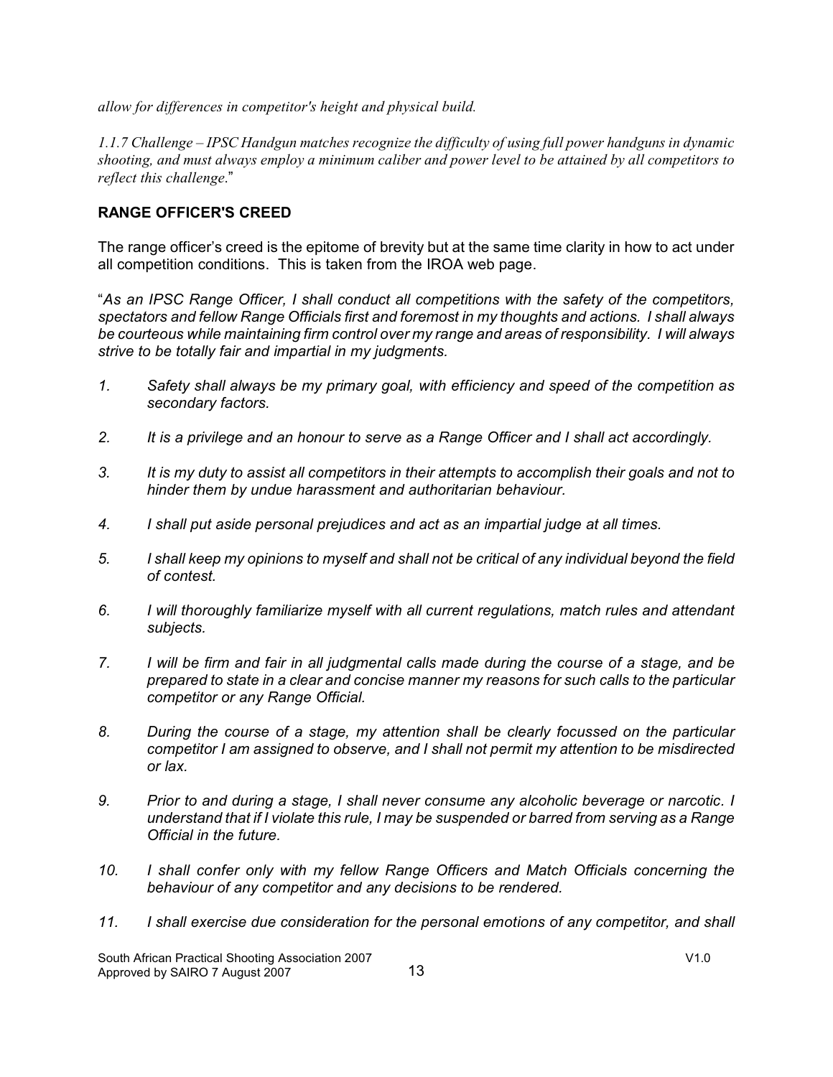*allow for differences in competitor's height and physical build.*

*1.1.7 Challenge – IPSC Handgun matches recognize the difficulty of using full power handguns in dynamic shooting, and must always employ a minimum caliber and power level to be attained by all competitors to reflect this challenge*."

### **RANGE OFFICER'S CREED**

The range officer's creed is the epitome of brevity but at the same time clarity in how to act under all competition conditions. This is taken from the IROA web page.

"*As an IPSC Range Officer, I shall conduct all competitions with the safety of the competitors, spectators and fellow Range Officials first and foremost in my thoughts and actions. I shall always be courteous while maintaining firm control over my range and areas of responsibility. I will always strive to be totally fair and impartial in my judgments.*

- *1. Safety shall always be my primary goal, with efficiency and speed of the competition as secondary factors.*
- *2. It is a privilege and an honour to serve as a Range Officer and I shall act accordingly.*
- *3. It is my duty to assist all competitors in their attempts to accomplish their goals and not to hinder them by undue harassment and authoritarian behaviour.*
- *4. I shall put aside personal prejudices and act as an impartial judge at all times.*
- *5. I shall keep my opinions to myself and shall not be critical of any individual beyond the field of contest.*
- *6. I will thoroughly familiarize myself with all current regulations, match rules and attendant subjects.*
- *7. I will be firm and fair in all judgmental calls made during the course of a stage, and be prepared to state in a clear and concise manner my reasons for such calls to the particular competitor or any Range Official.*
- *8. During the course of a stage, my attention shall be clearly focussed on the particular competitor I am assigned to observe, and I shall not permit my attention to be misdirected or lax.*
- *9. Prior to and during a stage, I shall never consume any alcoholic beverage or narcotic. I understand that if I violate this rule, I may be suspended or barred from serving as a Range Official in the future.*
- *10. I shall confer only with my fellow Range Officers and Match Officials concerning the behaviour of any competitor and any decisions to be rendered.*
- *11. I shall exercise due consideration for the personal emotions of any competitor, and shall*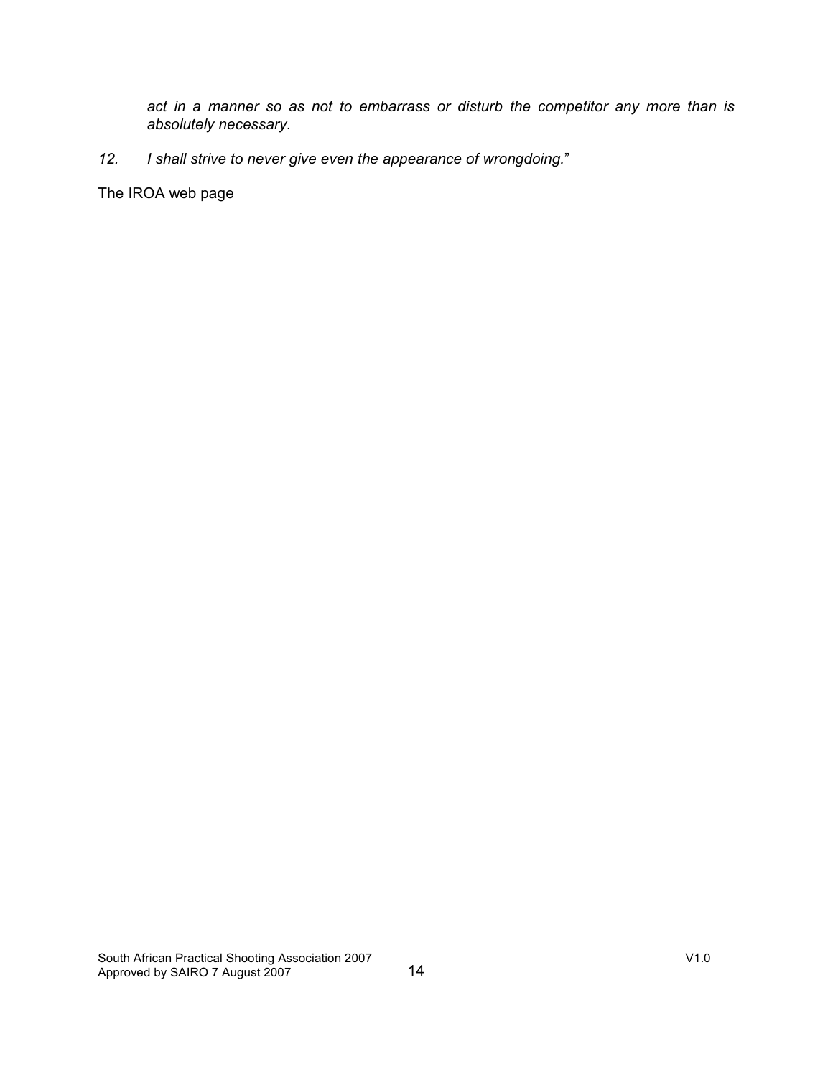*act in a manner so as not to embarrass or disturb the competitor any more than is absolutely necessary.*

# *12. I shall strive to never give even the appearance of wrongdoing.*"

The IROA web page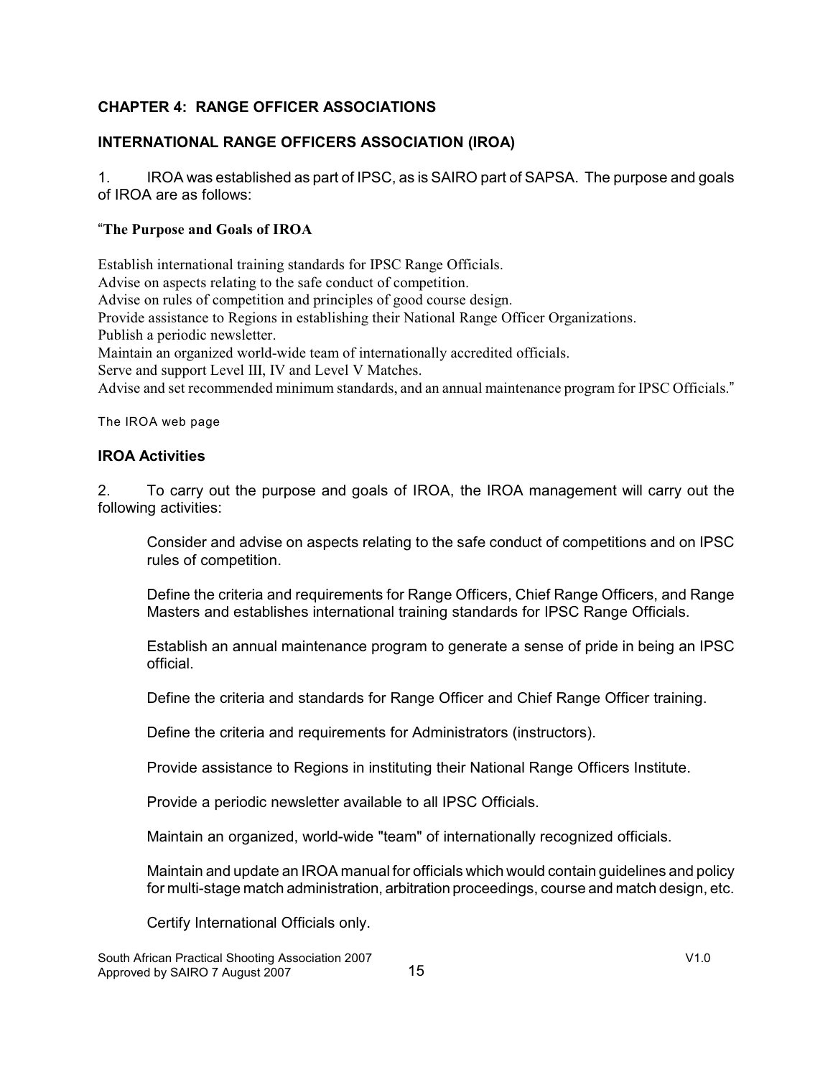# **CHAPTER 4: RANGE OFFICER ASSOCIATIONS**

# **INTERNATIONAL RANGE OFFICERS ASSOCIATION (IROA)**

1. IROA was established as part of IPSC, as is SAIRO part of SAPSA. The purpose and goals of IROA are as follows:

### "**The Purpose and Goals of IROA**

Establish international training standards for IPSC Range Officials. Advise on aspects relating to the safe conduct of competition. Advise on rules of competition and principles of good course design. Provide assistance to Regions in establishing their National Range Officer Organizations. Publish a periodic newsletter. Maintain an organized world-wide team of internationally accredited officials. Serve and support Level III, IV and Level V Matches. Advise and set recommended minimum standards, and an annual maintenance program for IPSC Officials."

The IROA web page

### **IROA Activities**

2. To carry out the purpose and goals of IROA, the IROA management will carry out the following activities:

Consider and advise on aspects relating to the safe conduct of competitions and on IPSC rules of competition.

Define the criteria and requirements for Range Officers, Chief Range Officers, and Range Masters and establishes international training standards for IPSC Range Officials.

Establish an annual maintenance program to generate a sense of pride in being an IPSC official.

Define the criteria and standards for Range Officer and Chief Range Officer training.

Define the criteria and requirements for Administrators (instructors).

Provide assistance to Regions in instituting their National Range Officers Institute.

Provide a periodic newsletter available to all IPSC Officials.

Maintain an organized, world-wide "team" of internationally recognized officials.

Maintain and update an IROA manual for officials which would contain guidelines and policy for multi-stage match administration, arbitration proceedings, course and match design, etc.

Certify International Officials only.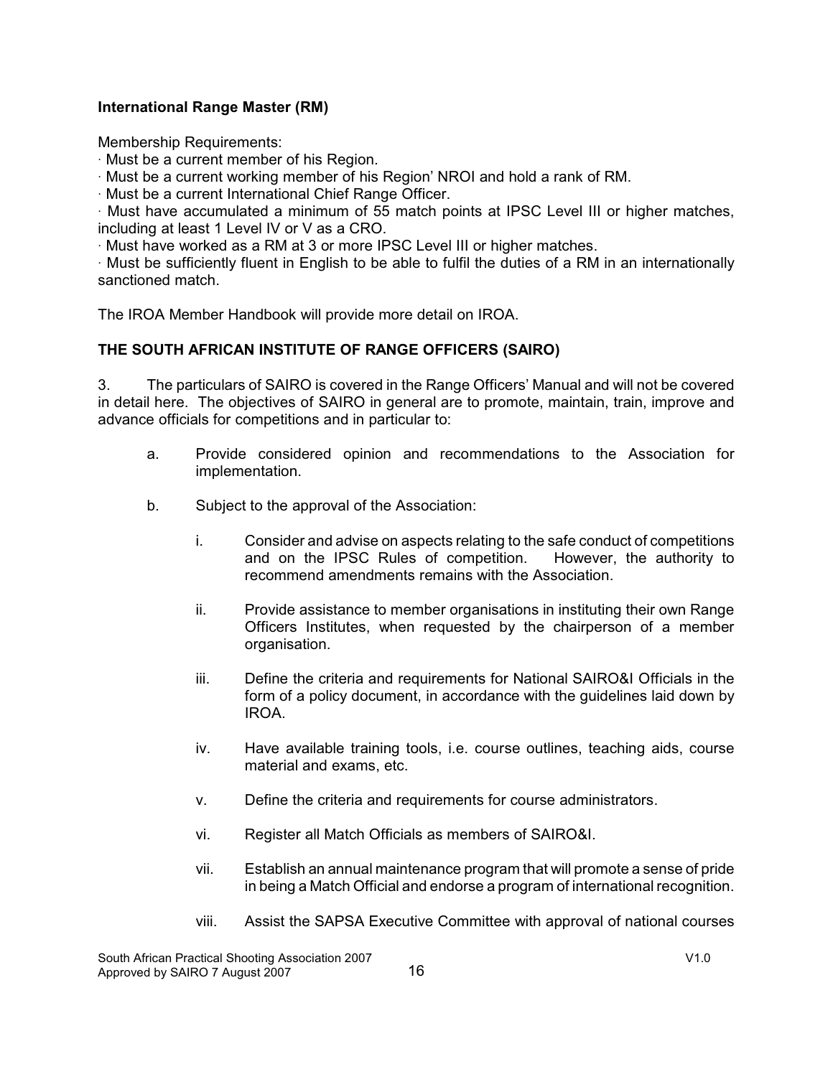### **International Range Master (RM)**

Membership Requirements:

 $\cdot$  Must be a current member of his Region.

 $\cdot$  Must be a current working member of his Region' NROI and hold a rank of RM.

 $\cdot$  Must be a current International Chief Range Officer.

· Must have accumulated a minimum of 55 match points at IPSC Level III or higher matches, including at least 1 Level IV or V as a CRO.

 $\cdot$  Must have worked as a RM at 3 or more IPSC Level III or higher matches.

 $\cdot$  Must be sufficiently fluent in English to be able to fulfil the duties of a RM in an internationally sanctioned match.

The IROA Member Handbook will provide more detail on IROA.

### **THE SOUTH AFRICAN INSTITUTE OF RANGE OFFICERS (SAIRO)**

3. The particulars of SAIRO is covered in the Range Officers' Manual and will not be covered in detail here. The objectives of SAIRO in general are to promote, maintain, train, improve and advance officials for competitions and in particular to:

- a. Provide considered opinion and recommendations to the Association for implementation.
- b. Subject to the approval of the Association:
	- i. Consider and advise on aspects relating to the safe conduct of competitions and on the IPSC Rules of competition. However, the authority to recommend amendments remains with the Association.
	- ii. Provide assistance to member organisations in instituting their own Range Officers Institutes, when requested by the chairperson of a member organisation.
	- iii. Define the criteria and requirements for National SAIRO&I Officials in the form of a policy document, in accordance with the guidelines laid down by IROA.
	- iv. Have available training tools, i.e. course outlines, teaching aids, course material and exams, etc.
	- v. Define the criteria and requirements for course administrators.
	- vi. Register all Match Officials as members of SAIRO&I.
	- vii. Establish an annual maintenance program that will promote a sense of pride in being a Match Official and endorse a program of international recognition.
	- viii. Assist the SAPSA Executive Committee with approval of national courses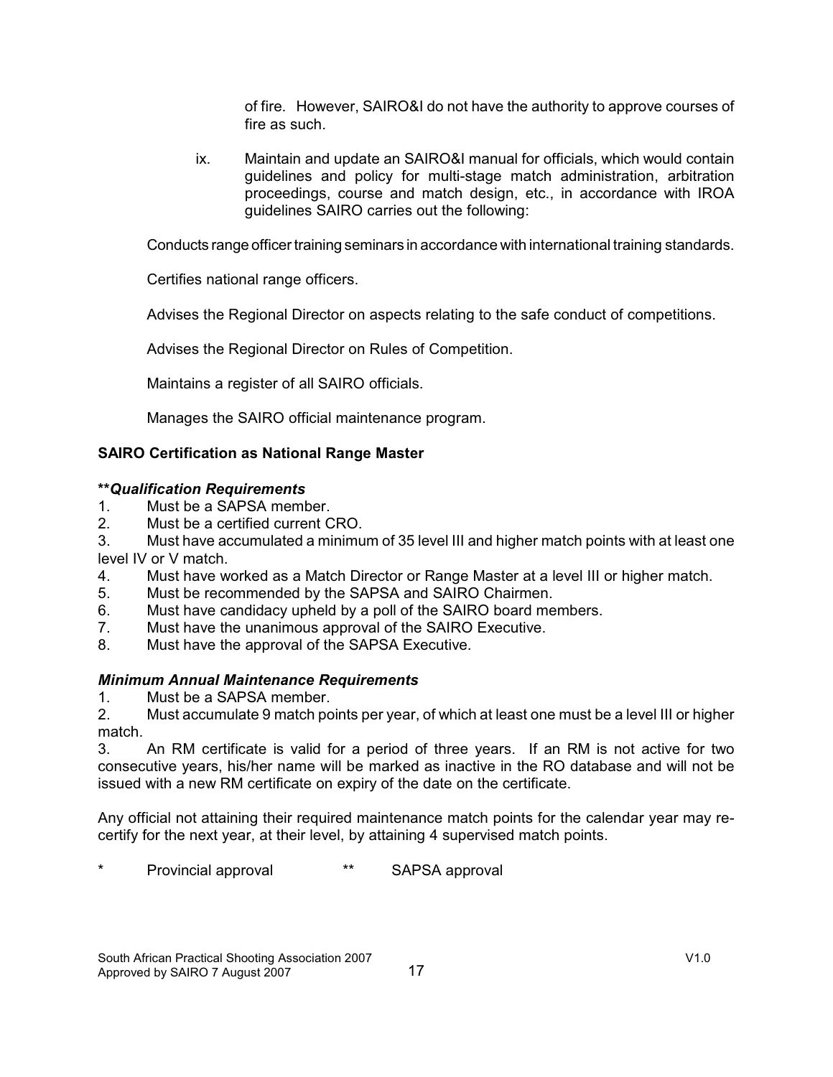of fire. However, SAIRO&I do not have the authority to approve courses of fire as such.

ix. Maintain and update an SAIRO&I manual for officials, which would contain guidelines and policy for multi-stage match administration, arbitration proceedings, course and match design, etc., in accordance with IROA guidelines SAIRO carries out the following:

Conducts range officer training seminars in accordance with international training standards.

Certifies national range officers.

Advises the Regional Director on aspects relating to the safe conduct of competitions.

Advises the Regional Director on Rules of Competition.

Maintains a register of all SAIRO officials.

Manages the SAIRO official maintenance program.

# **SAIRO Certification as National Range Master**

### **\*\****Qualification Requirements*

- 1. Must be a SAPSA member.<br>2. Must be a certified current C
- Must be a certified current CRO.

3. Must have accumulated a minimum of 35 level III and higher match points with at least one level IV or V match.

- 4. Must have worked as a Match Director or Range Master at a level III or higher match.
- 5. Must be recommended by the SAPSA and SAIRO Chairmen.
- 6. Must have candidacy upheld by a poll of the SAIRO board members.
- 7. Must have the unanimous approval of the SAIRO Executive.
- 8. Must have the approval of the SAPSA Executive.

### *Minimum Annual Maintenance Requirements*

1. Must be a SAPSA member.

2. Must accumulate 9 match points per year, of which at least one must be a level III or higher match.

3. An RM certificate is valid for a period of three years. If an RM is not active for two consecutive years, his/her name will be marked as inactive in the RO database and will not be issued with a new RM certificate on expiry of the date on the certificate.

Any official not attaining their required maintenance match points for the calendar year may recertify for the next year, at their level, by attaining 4 supervised match points.

Provincial approval **\*\*** SAPSA approval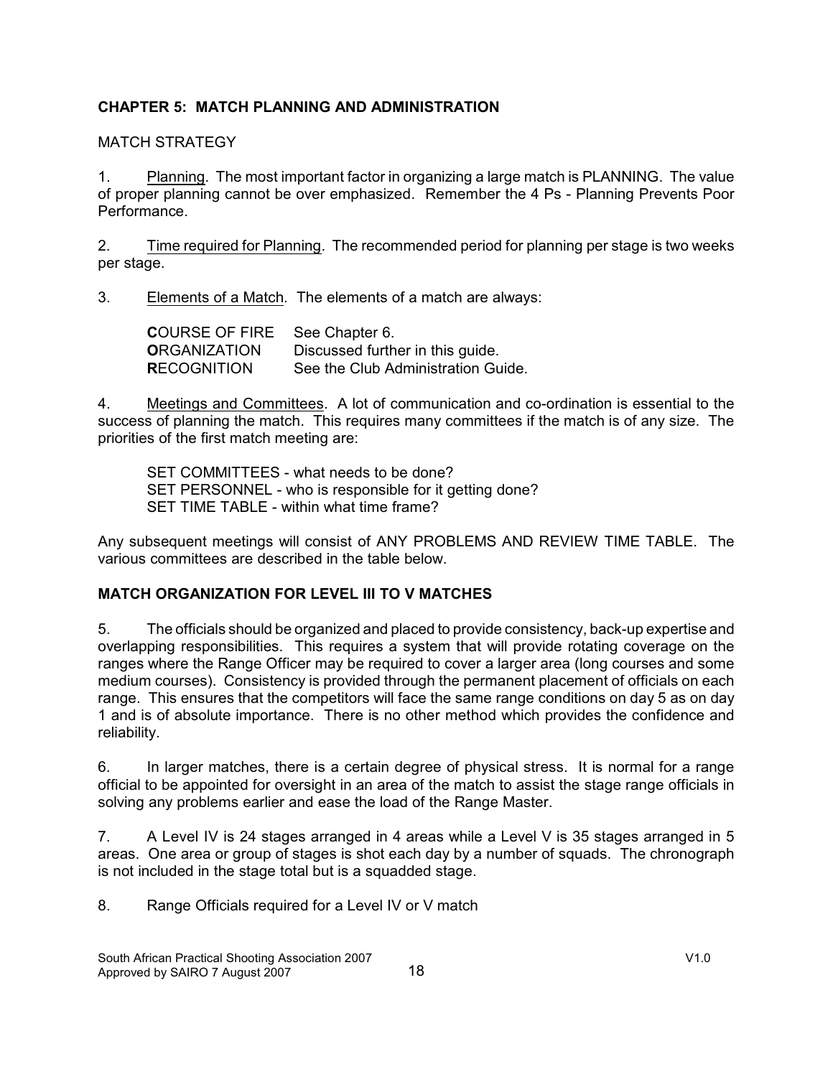### **CHAPTER 5: MATCH PLANNING AND ADMINISTRATION**

### MATCH STRATEGY

1. Planning. The most important factor in organizing a large match is PLANNING. The value of proper planning cannot be over emphasized. Remember the 4 Ps - Planning Prevents Poor Performance.

2. Time required for Planning. The recommended period for planning per stage is two weeks per stage.

3. Elements of a Match. The elements of a match are always:

**C**OURSE OF FIRE See Chapter 6. **O**RGANIZATION Discussed further in this guide. **R**ECOGNITION See the Club Administration Guide.

4. Meetings and Committees. A lot of communication and co-ordination is essential to the success of planning the match. This requires many committees if the match is of any size. The priorities of the first match meeting are:

SET COMMITTEES - what needs to be done? SET PERSONNEL - who is responsible for it getting done? SET TIME TABLE - within what time frame?

Any subsequent meetings will consist of ANY PROBLEMS AND REVIEW TIME TABLE. The various committees are described in the table below.

### **MATCH ORGANIZATION FOR LEVEL III TO V MATCHES**

5. The officials should be organized and placed to provide consistency, back-up expertise and overlapping responsibilities. This requires a system that will provide rotating coverage on the ranges where the Range Officer may be required to cover a larger area (long courses and some medium courses). Consistency is provided through the permanent placement of officials on each range. This ensures that the competitors will face the same range conditions on day 5 as on day 1 and is of absolute importance. There is no other method which provides the confidence and reliability.

6. In larger matches, there is a certain degree of physical stress. It is normal for a range official to be appointed for oversight in an area of the match to assist the stage range officials in solving any problems earlier and ease the load of the Range Master.

7. A Level IV is 24 stages arranged in 4 areas while a Level V is 35 stages arranged in 5 areas. One area or group of stages is shot each day by a number of squads. The chronograph is not included in the stage total but is a squadded stage.

8. Range Officials required for a Level IV or V match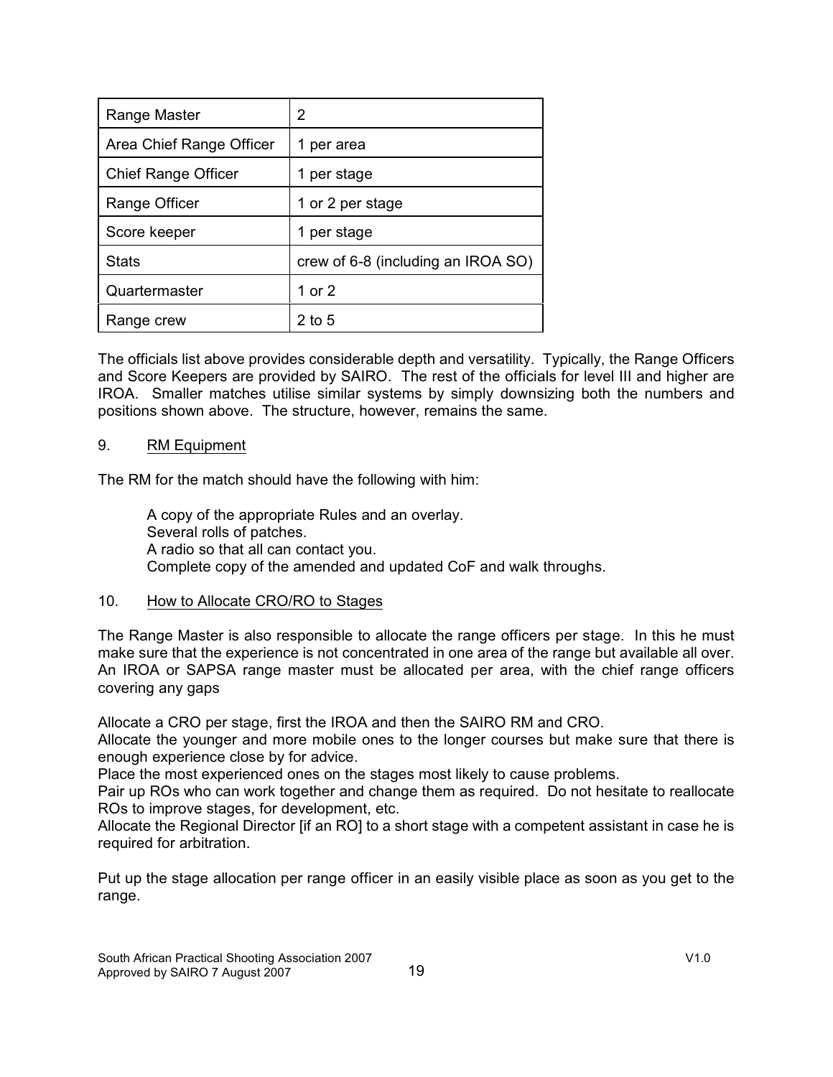| Range Master               | 2                                  |
|----------------------------|------------------------------------|
| Area Chief Range Officer   | per area<br>1                      |
| <b>Chief Range Officer</b> | per stage                          |
| Range Officer              | 1 or 2 per stage                   |
| Score keeper               | per stage<br>1                     |
| <b>Stats</b>               | crew of 6-8 (including an IROA SO) |
| Quartermaster              | 1 or 2                             |
| Range crew                 | $2$ to 5                           |

The officials list above provides considerable depth and versatility. Typically, the Range Officers and Score Keepers are provided by SAIRO. The rest of the officials for level III and higher are IROA. Smaller matches utilise similar systems by simply downsizing both the numbers and positions shown above. The structure, however, remains the same.

#### 9. RM Equipment

The RM for the match should have the following with him:

A copy of the appropriate Rules and an overlay. Several rolls of patches. A radio so that all can contact you. Complete copy of the amended and updated CoF and walk throughs.

#### 10. How to Allocate CRO/RO to Stages

The Range Master is also responsible to allocate the range officers per stage. In this he must make sure that the experience is not concentrated in one area of the range but available all over. An IROA or SAPSA range master must be allocated per area, with the chief range officers covering any gaps

Allocate a CRO per stage, first the IROA and then the SAIRO RM and CRO.

Allocate the younger and more mobile ones to the longer courses but make sure that there is enough experience close by for advice.

Place the most experienced ones on the stages most likely to cause problems.

Pair up ROs who can work together and change them as required. Do not hesitate to reallocate ROs to improve stages, for development, etc.

Allocate the Regional Director [if an RO] to a short stage with a competent assistant in case he is required for arbitration.

Put up the stage allocation per range officer in an easily visible place as soon as you get to the range.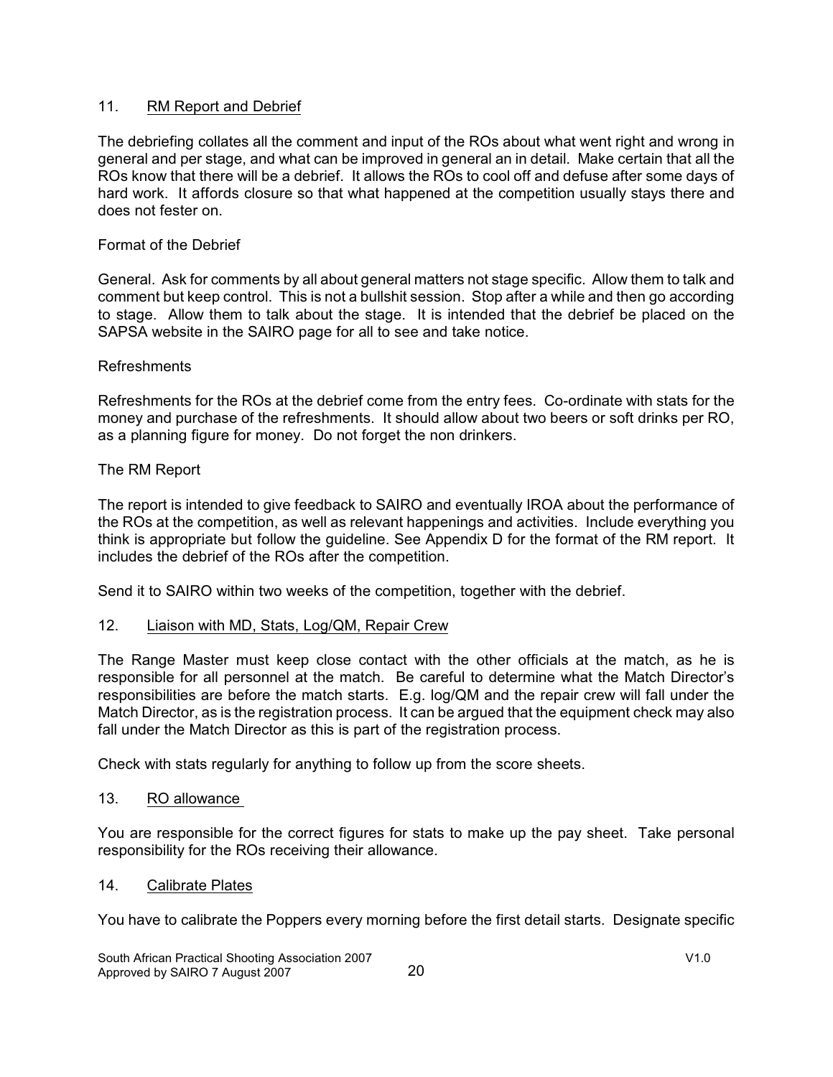### 11. RM Report and Debrief

The debriefing collates all the comment and input of the ROs about what went right and wrong in general and per stage, and what can be improved in general an in detail. Make certain that all the ROs know that there will be a debrief. It allows the ROs to cool off and defuse after some days of hard work. It affords closure so that what happened at the competition usually stays there and does not fester on.

#### Format of the Debrief

General. Ask for comments by all about general matters not stage specific. Allow them to talk and comment but keep control. This is not a bullshit session. Stop after a while and then go according to stage. Allow them to talk about the stage. It is intended that the debrief be placed on the SAPSA website in the SAIRO page for all to see and take notice.

#### Refreshments

Refreshments for the ROs at the debrief come from the entry fees. Co-ordinate with stats for the money and purchase of the refreshments. It should allow about two beers or soft drinks per RO, as a planning figure for money. Do not forget the non drinkers.

#### The RM Report

The report is intended to give feedback to SAIRO and eventually IROA about the performance of the ROs at the competition, as well as relevant happenings and activities. Include everything you think is appropriate but follow the guideline. See Appendix D for the format of the RM report. It includes the debrief of the ROs after the competition.

Send it to SAIRO within two weeks of the competition, together with the debrief.

#### 12. Liaison with MD, Stats, Log/QM, Repair Crew

The Range Master must keep close contact with the other officials at the match, as he is responsible for all personnel at the match. Be careful to determine what the Match Director's responsibilities are before the match starts. E.g. log/QM and the repair crew will fall under the Match Director, as is the registration process. It can be argued that the equipment check may also fall under the Match Director as this is part of the registration process.

Check with stats regularly for anything to follow up from the score sheets.

#### 13. RO allowance

You are responsible for the correct figures for stats to make up the pay sheet. Take personal responsibility for the ROs receiving their allowance.

#### 14. Calibrate Plates

You have to calibrate the Poppers every morning before the first detail starts. Designate specific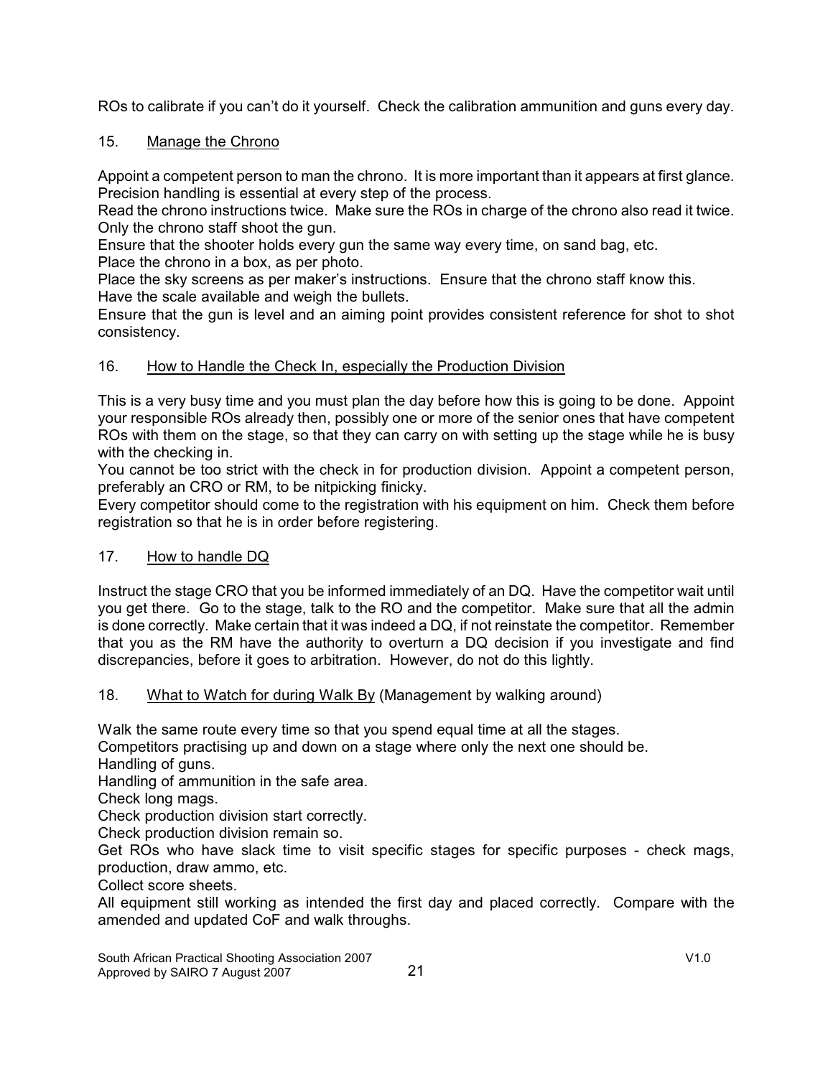ROs to calibrate if you can't do it yourself. Check the calibration ammunition and guns every day.

# 15. Manage the Chrono

Appoint a competent person to man the chrono. It is more important than it appears at first glance. Precision handling is essential at every step of the process.

Read the chrono instructions twice. Make sure the ROs in charge of the chrono also read it twice. Only the chrono staff shoot the gun.

Ensure that the shooter holds every gun the same way every time, on sand bag, etc.

Place the chrono in a box, as per photo.

Place the sky screens as per maker's instructions. Ensure that the chrono staff know this. Have the scale available and weigh the bullets.

Ensure that the gun is level and an aiming point provides consistent reference for shot to shot consistency.

# 16. How to Handle the Check In, especially the Production Division

This is a very busy time and you must plan the day before how this is going to be done. Appoint your responsible ROs already then, possibly one or more of the senior ones that have competent ROs with them on the stage, so that they can carry on with setting up the stage while he is busy with the checking in.

You cannot be too strict with the check in for production division. Appoint a competent person, preferably an CRO or RM, to be nitpicking finicky.

Every competitor should come to the registration with his equipment on him. Check them before registration so that he is in order before registering.

# 17. How to handle DQ

Instruct the stage CRO that you be informed immediately of an DQ. Have the competitor wait until you get there. Go to the stage, talk to the RO and the competitor. Make sure that all the admin is done correctly. Make certain that it was indeed a DQ, if not reinstate the competitor. Remember that you as the RM have the authority to overturn a DQ decision if you investigate and find discrepancies, before it goes to arbitration. However, do not do this lightly.

### 18. What to Watch for during Walk By (Management by walking around)

Walk the same route every time so that you spend equal time at all the stages.

Competitors practising up and down on a stage where only the next one should be. Handling of guns.

Handling of ammunition in the safe area.

Check long mags.

Check production division start correctly.

Check production division remain so.

Get ROs who have slack time to visit specific stages for specific purposes - check mags, production, draw ammo, etc.

Collect score sheets.

All equipment still working as intended the first day and placed correctly. Compare with the amended and updated CoF and walk throughs.

South African Practical Shooting Association 2007 V1.0 Approved by SAIRO 7 August 2007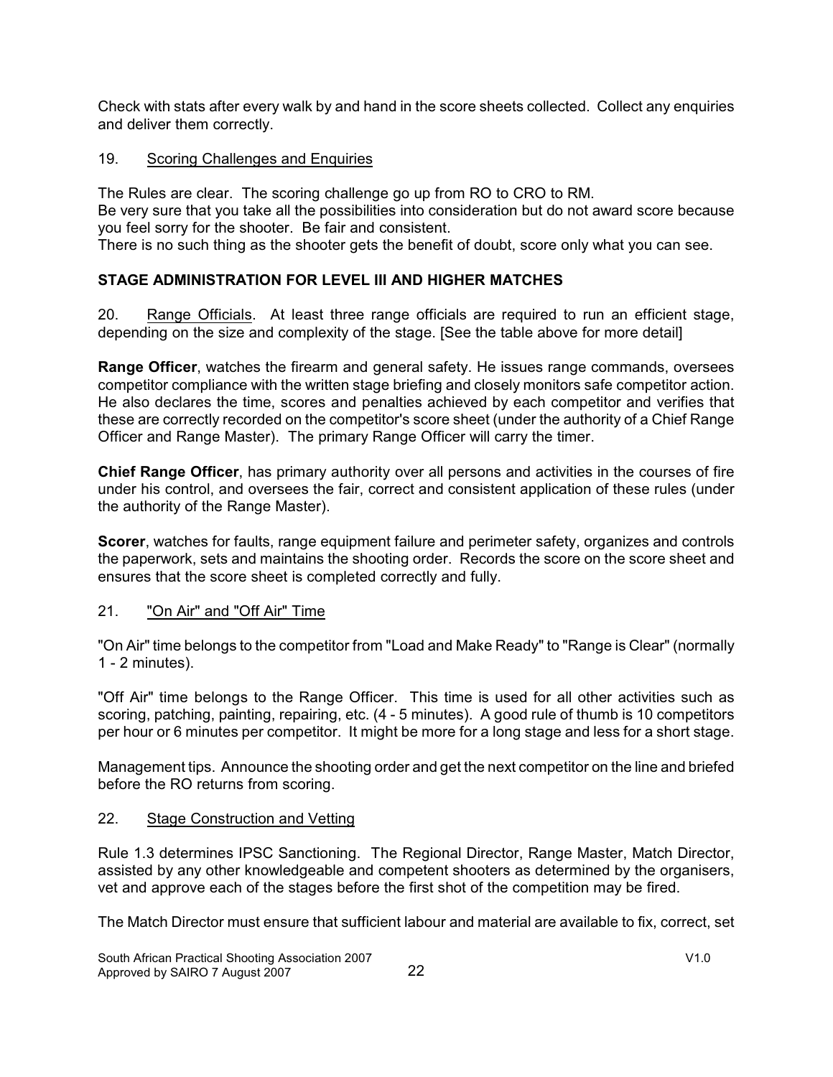Check with stats after every walk by and hand in the score sheets collected. Collect any enquiries and deliver them correctly.

### 19. Scoring Challenges and Enquiries

The Rules are clear. The scoring challenge go up from RO to CRO to RM. Be very sure that you take all the possibilities into consideration but do not award score because you feel sorry for the shooter. Be fair and consistent.

There is no such thing as the shooter gets the benefit of doubt, score only what you can see.

# **STAGE ADMINISTRATION FOR LEVEL III AND HIGHER MATCHES**

20. Range Officials. At least three range officials are required to run an efficient stage, depending on the size and complexity of the stage. [See the table above for more detail]

**Range Officer**, watches the firearm and general safety. He issues range commands, oversees competitor compliance with the written stage briefing and closely monitors safe competitor action. He also declares the time, scores and penalties achieved by each competitor and verifies that these are correctly recorded on the competitor's score sheet (under the authority of a Chief Range Officer and Range Master). The primary Range Officer will carry the timer.

**Chief Range Officer**, has primary authority over all persons and activities in the courses of fire under his control, and oversees the fair, correct and consistent application of these rules (under the authority of the Range Master).

**Scorer**, watches for faults, range equipment failure and perimeter safety, organizes and controls the paperwork, sets and maintains the shooting order. Records the score on the score sheet and ensures that the score sheet is completed correctly and fully.

### 21. "On Air" and "Off Air" Time

"On Air" time belongs to the competitor from "Load and Make Ready" to "Range is Clear" (normally 1 - 2 minutes).

"Off Air" time belongs to the Range Officer. This time is used for all other activities such as scoring, patching, painting, repairing, etc. (4 - 5 minutes). A good rule of thumb is 10 competitors per hour or 6 minutes per competitor. It might be more for a long stage and less for a short stage.

Management tips. Announce the shooting order and get the next competitor on the line and briefed before the RO returns from scoring.

# 22. Stage Construction and Vetting

Rule 1.3 determines IPSC Sanctioning. The Regional Director, Range Master, Match Director, assisted by any other knowledgeable and competent shooters as determined by the organisers, vet and approve each of the stages before the first shot of the competition may be fired.

The Match Director must ensure that sufficient labour and material are available to fix, correct, set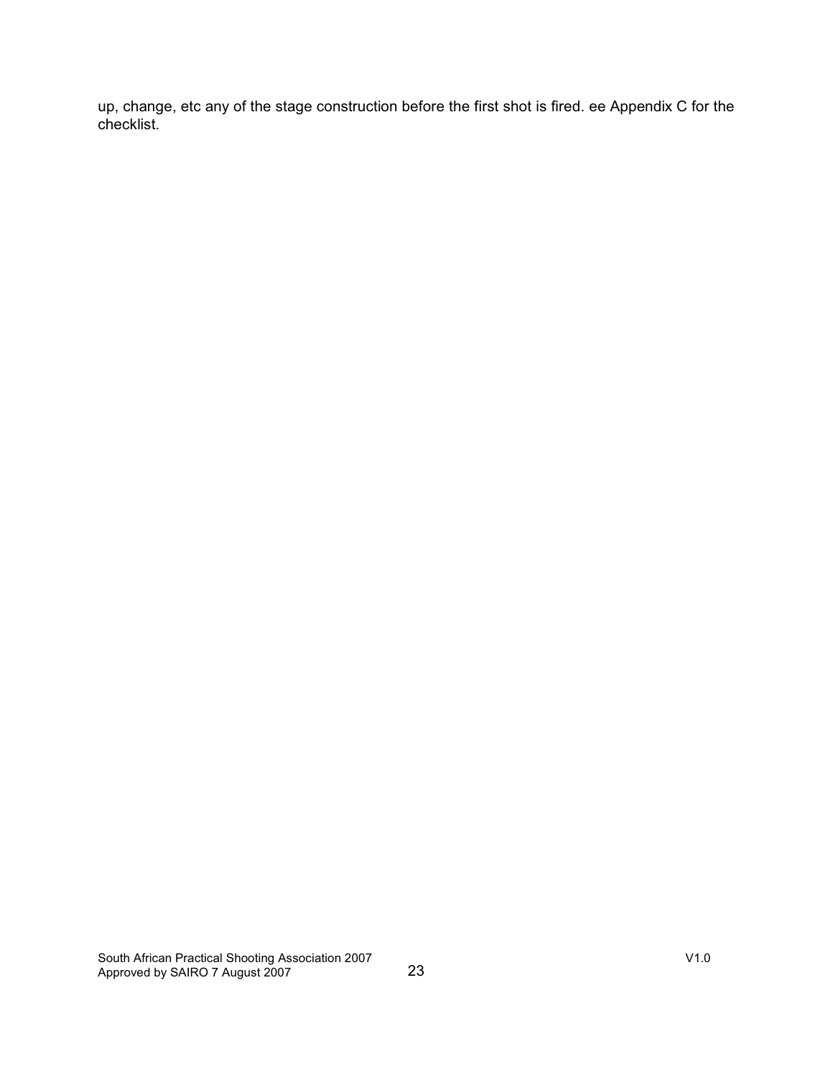up, change, etc any of the stage construction before the first shot is fired. ee Appendix C for the checklist.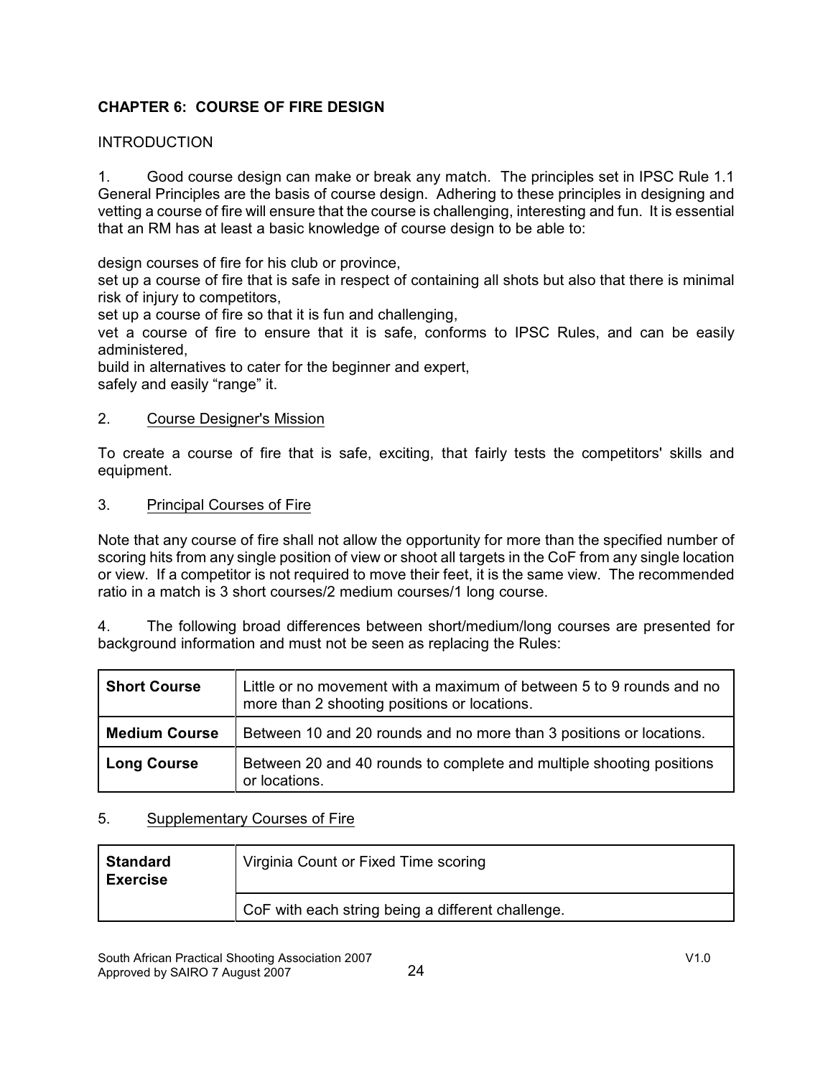# **CHAPTER 6: COURSE OF FIRE DESIGN**

### INTRODUCTION

1. Good course design can make or break any match. The principles set in IPSC Rule 1.1 General Principles are the basis of course design. Adhering to these principles in designing and vetting a course of fire will ensure that the course is challenging, interesting and fun. It is essential that an RM has at least a basic knowledge of course design to be able to:

design courses of fire for his club or province,

set up a course of fire that is safe in respect of containing all shots but also that there is minimal risk of injury to competitors,

set up a course of fire so that it is fun and challenging,

vet a course of fire to ensure that it is safe, conforms to IPSC Rules, and can be easily administered,

build in alternatives to cater for the beginner and expert, safely and easily "range" it.

### 2. Course Designer's Mission

To create a course of fire that is safe, exciting, that fairly tests the competitors' skills and equipment.

#### 3. Principal Courses of Fire

Note that any course of fire shall not allow the opportunity for more than the specified number of scoring hits from any single position of view or shoot all targets in the CoF from any single location or view. If a competitor is not required to move their feet, it is the same view. The recommended ratio in a match is 3 short courses/2 medium courses/1 long course.

4. The following broad differences between short/medium/long courses are presented for background information and must not be seen as replacing the Rules:

| <b>Short Course</b>  | Little or no movement with a maximum of between 5 to 9 rounds and no<br>more than 2 shooting positions or locations. |
|----------------------|----------------------------------------------------------------------------------------------------------------------|
| <b>Medium Course</b> | Between 10 and 20 rounds and no more than 3 positions or locations.                                                  |
| <b>Long Course</b>   | Between 20 and 40 rounds to complete and multiple shooting positions<br>or locations.                                |

### 5. Supplementary Courses of Fire

| <b>Standard</b><br><b>Exercise</b> | Virginia Count or Fixed Time scoring              |
|------------------------------------|---------------------------------------------------|
|                                    | CoF with each string being a different challenge. |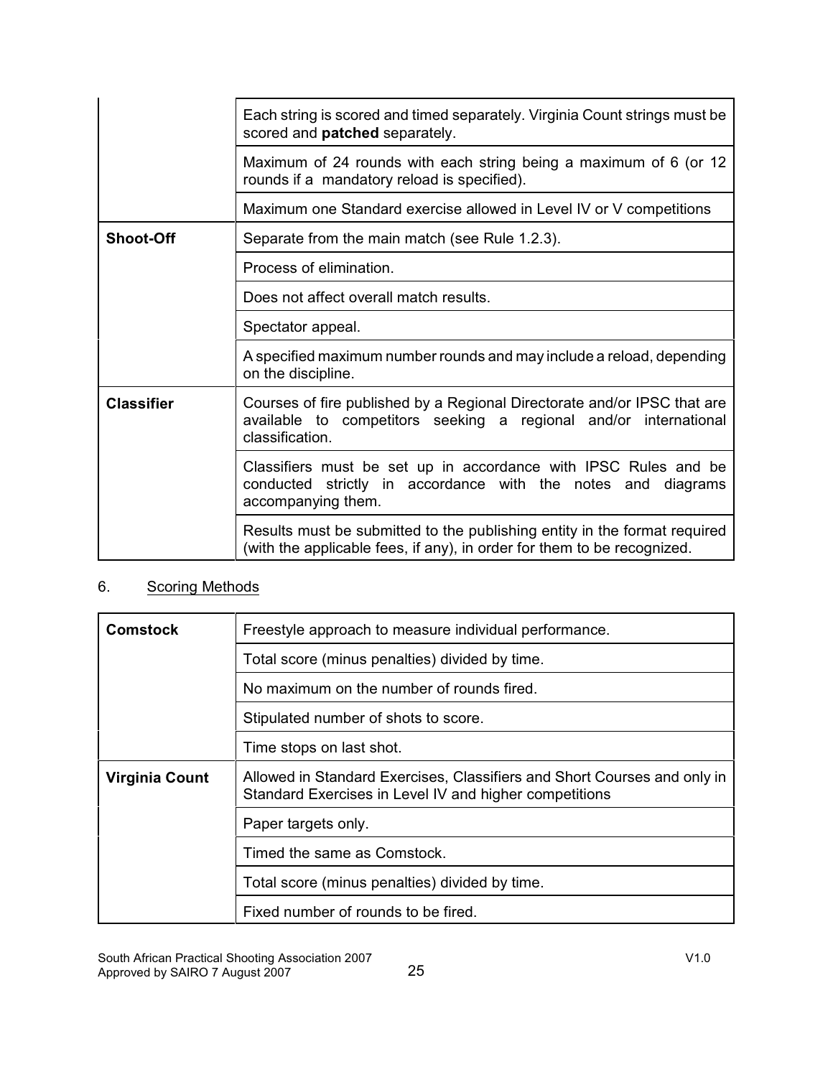|                   | Each string is scored and timed separately. Virginia Count strings must be<br>scored and <b>patched</b> separately.                                             |
|-------------------|-----------------------------------------------------------------------------------------------------------------------------------------------------------------|
|                   | Maximum of 24 rounds with each string being a maximum of 6 (or 12<br>rounds if a mandatory reload is specified).                                                |
|                   | Maximum one Standard exercise allowed in Level IV or V competitions                                                                                             |
| <b>Shoot-Off</b>  | Separate from the main match (see Rule 1.2.3).                                                                                                                  |
|                   | Process of elimination.                                                                                                                                         |
|                   | Does not affect overall match results.                                                                                                                          |
|                   | Spectator appeal.                                                                                                                                               |
|                   | A specified maximum number rounds and may include a reload, depending<br>on the discipline.                                                                     |
| <b>Classifier</b> | Courses of fire published by a Regional Directorate and/or IPSC that are<br>available to competitors seeking a regional and/or international<br>classification. |
|                   | Classifiers must be set up in accordance with IPSC Rules and be<br>conducted strictly in accordance with the notes and diagrams<br>accompanying them.           |
|                   | Results must be submitted to the publishing entity in the format required<br>(with the applicable fees, if any), in order for them to be recognized.            |

# 6. Scoring Methods

| Comstock       | Freestyle approach to measure individual performance.                                                                              |
|----------------|------------------------------------------------------------------------------------------------------------------------------------|
|                | Total score (minus penalties) divided by time.                                                                                     |
|                | No maximum on the number of rounds fired.                                                                                          |
|                | Stipulated number of shots to score.                                                                                               |
|                | Time stops on last shot.                                                                                                           |
| Virginia Count | Allowed in Standard Exercises, Classifiers and Short Courses and only in<br>Standard Exercises in Level IV and higher competitions |
|                | Paper targets only.                                                                                                                |
|                | Timed the same as Comstock.                                                                                                        |
|                | Total score (minus penalties) divided by time.                                                                                     |
|                | Fixed number of rounds to be fired.                                                                                                |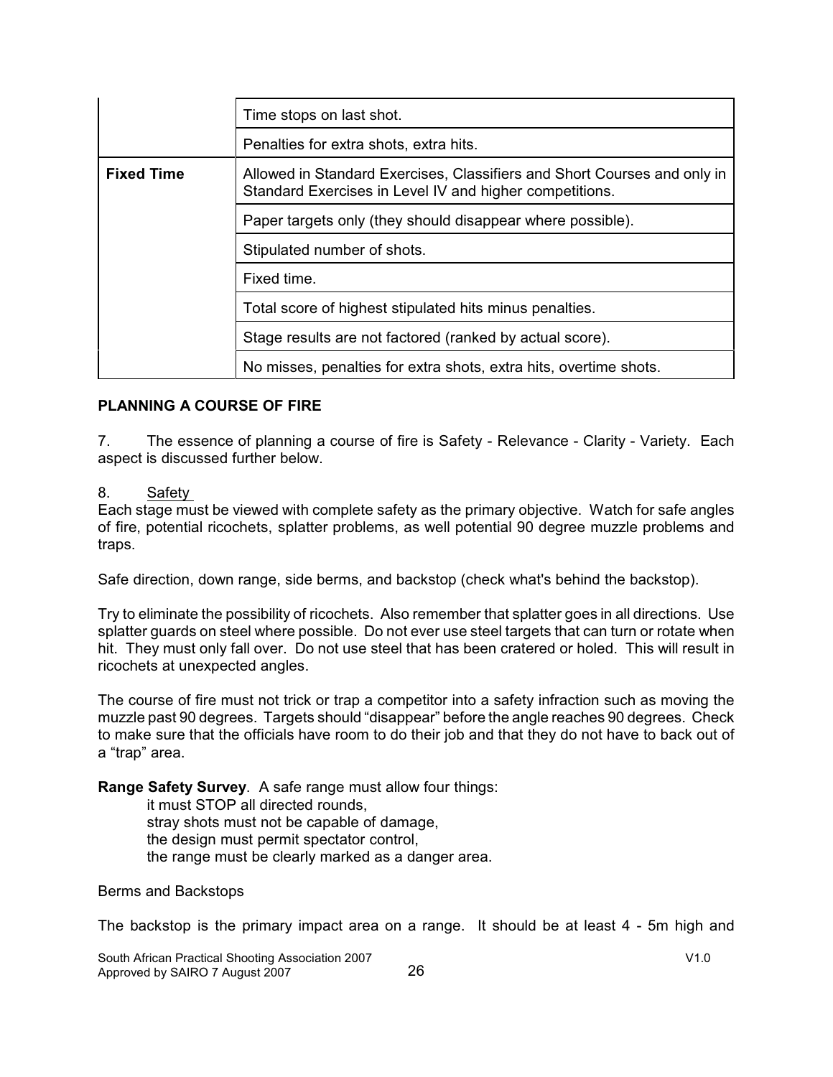|                   | Time stops on last shot.                                                                                                            |
|-------------------|-------------------------------------------------------------------------------------------------------------------------------------|
|                   | Penalties for extra shots, extra hits.                                                                                              |
| <b>Fixed Time</b> | Allowed in Standard Exercises, Classifiers and Short Courses and only in<br>Standard Exercises in Level IV and higher competitions. |
|                   | Paper targets only (they should disappear where possible).                                                                          |
|                   | Stipulated number of shots.                                                                                                         |
|                   | Fixed time.                                                                                                                         |
|                   | Total score of highest stipulated hits minus penalties.                                                                             |
|                   | Stage results are not factored (ranked by actual score).                                                                            |
|                   | No misses, penalties for extra shots, extra hits, overtime shots.                                                                   |

#### **PLANNING A COURSE OF FIRE**

7. The essence of planning a course of fire is Safety - Relevance - Clarity - Variety. Each aspect is discussed further below.

#### 8. Safety

Each stage must be viewed with complete safety as the primary objective. Watch for safe angles of fire, potential ricochets, splatter problems, as well potential 90 degree muzzle problems and traps.

Safe direction, down range, side berms, and backstop (check what's behind the backstop).

Try to eliminate the possibility of ricochets. Also remember that splatter goes in all directions. Use splatter guards on steel where possible. Do not ever use steel targets that can turn or rotate when hit. They must only fall over. Do not use steel that has been cratered or holed. This will result in ricochets at unexpected angles.

The course of fire must not trick or trap a competitor into a safety infraction such as moving the muzzle past 90 degrees. Targets should "disappear" before the angle reaches 90 degrees. Check to make sure that the officials have room to do their job and that they do not have to back out of a "trap" area.

**Range Safety Survey**. A safe range must allow four things:

it must STOP all directed rounds, stray shots must not be capable of damage, the design must permit spectator control, the range must be clearly marked as a danger area.

Berms and Backstops

The backstop is the primary impact area on a range. It should be at least 4 - 5m high and

South African Practical Shooting Association 2007 V1.0 Approved by SAIRO 7 August 2007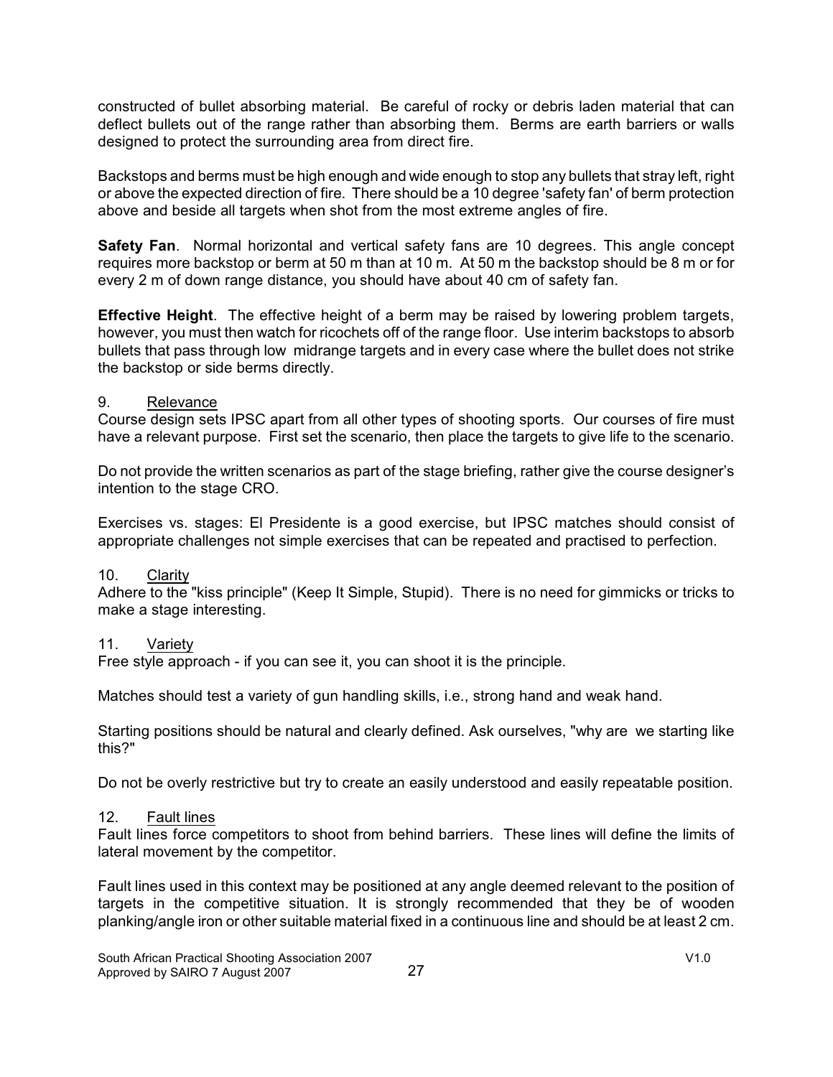constructed of bullet absorbing material. Be careful of rocky or debris laden material that can deflect bullets out of the range rather than absorbing them. Berms are earth barriers or walls designed to protect the surrounding area from direct fire.

Backstops and berms must be high enough and wide enough to stop any bullets that stray left, right or above the expected direction of fire. There should be a 10 degree 'safety fan' of berm protection above and beside all targets when shot from the most extreme angles of fire.

**Safety Fan**. Normal horizontal and vertical safety fans are 10 degrees. This angle concept requires more backstop or berm at 50 m than at 10 m. At 50 m the backstop should be 8 m or for every 2 m of down range distance, you should have about 40 cm of safety fan.

**Effective Height**. The effective height of a berm may be raised by lowering problem targets, however, you must then watch for ricochets off of the range floor. Use interim backstops to absorb bullets that pass through low midrange targets and in every case where the bullet does not strike the backstop or side berms directly.

#### 9. Relevance

Course design sets IPSC apart from all other types of shooting sports. Our courses of fire must have a relevant purpose. First set the scenario, then place the targets to give life to the scenario.

Do not provide the written scenarios as part of the stage briefing, rather give the course designer's intention to the stage CRO.

Exercises vs. stages: El Presidente is a good exercise, but IPSC matches should consist of appropriate challenges not simple exercises that can be repeated and practised to perfection.

#### 10. Clarity

Adhere to the "kiss principle" (Keep It Simple, Stupid). There is no need for gimmicks or tricks to make a stage interesting.

#### 11. Variety

Free style approach - if you can see it, you can shoot it is the principle.

Matches should test a variety of gun handling skills, i.e., strong hand and weak hand.

Starting positions should be natural and clearly defined. Ask ourselves, "why are we starting like this?"

Do not be overly restrictive but try to create an easily understood and easily repeatable position.

#### 12. Fault lines

Fault lines force competitors to shoot from behind barriers. These lines will define the limits of lateral movement by the competitor.

Fault lines used in this context may be positioned at any angle deemed relevant to the position of targets in the competitive situation. It is strongly recommended that they be of wooden planking/angle iron or other suitable material fixed in a continuous line and should be at least 2 cm.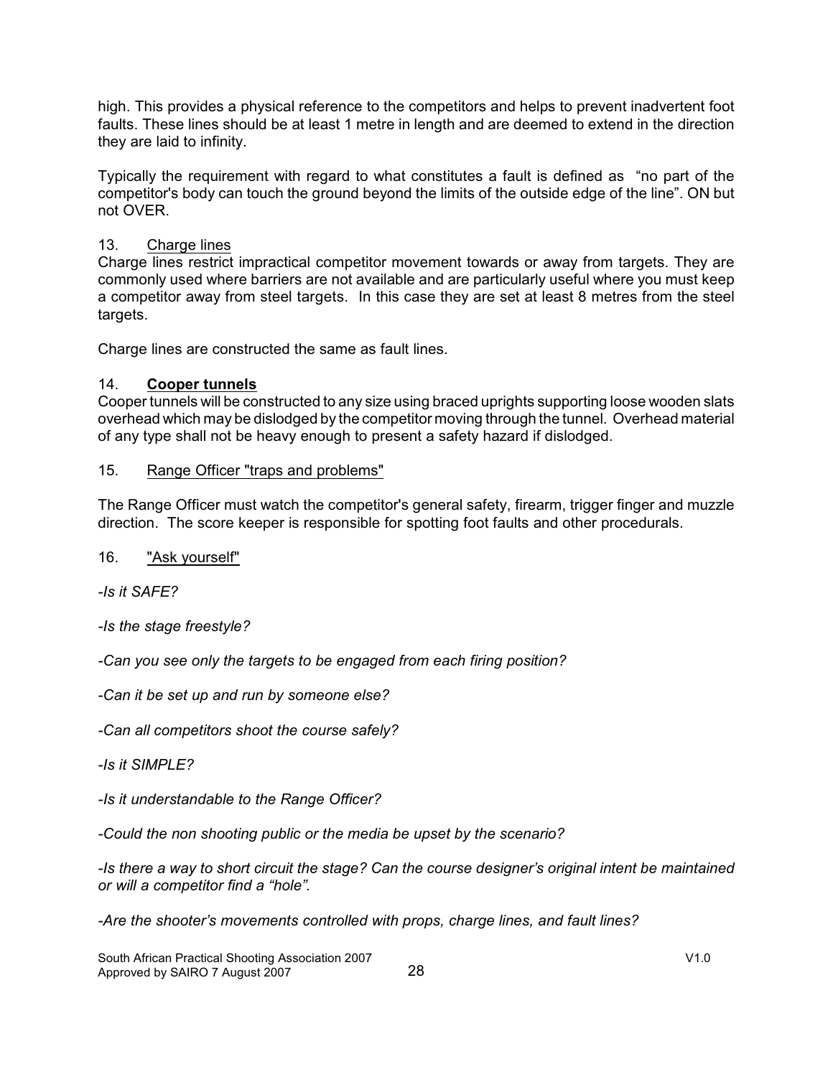high. This provides a physical reference to the competitors and helps to prevent inadvertent foot faults. These lines should be at least 1 metre in length and are deemed to extend in the direction they are laid to infinity.

Typically the requirement with regard to what constitutes a fault is defined as "no part of the competitor's body can touch the ground beyond the limits of the outside edge of the line". ON but not OVER.

### 13. Charge lines

Charge lines restrict impractical competitor movement towards or away from targets. They are commonly used where barriers are not available and are particularly useful where you must keep a competitor away from steel targets. In this case they are set at least 8 metres from the steel targets.

Charge lines are constructed the same as fault lines.

### 14. **Cooper tunnels**

Cooper tunnels will be constructed to any size using braced uprights supporting loose wooden slats overhead which may be dislodged by the competitor moving through the tunnel. Overhead material of any type shall not be heavy enough to present a safety hazard if dislodged.

### 15. Range Officer "traps and problems"

The Range Officer must watch the competitor's general safety, firearm, trigger finger and muzzle direction. The score keeper is responsible for spotting foot faults and other procedurals.

### 16. "Ask yourself"

*-Is it SAFE?*

*-Is the stage freestyle?*

*-Can you see only the targets to be engaged from each firing position?* 

*-Can it be set up and run by someone else?*

*-Can all competitors shoot the course safely?*

*-Is it SIMPLE?*

*-Is it understandable to the Range Officer?*

*-Could the non shooting public or the media be upset by the scenario?*

*-Is there a way to short circuit the stage? Can the course designer's original intent be maintained or will a competitor find a "hole".*

*-Are the shooter's movements controlled with props, charge lines, and fault lines?*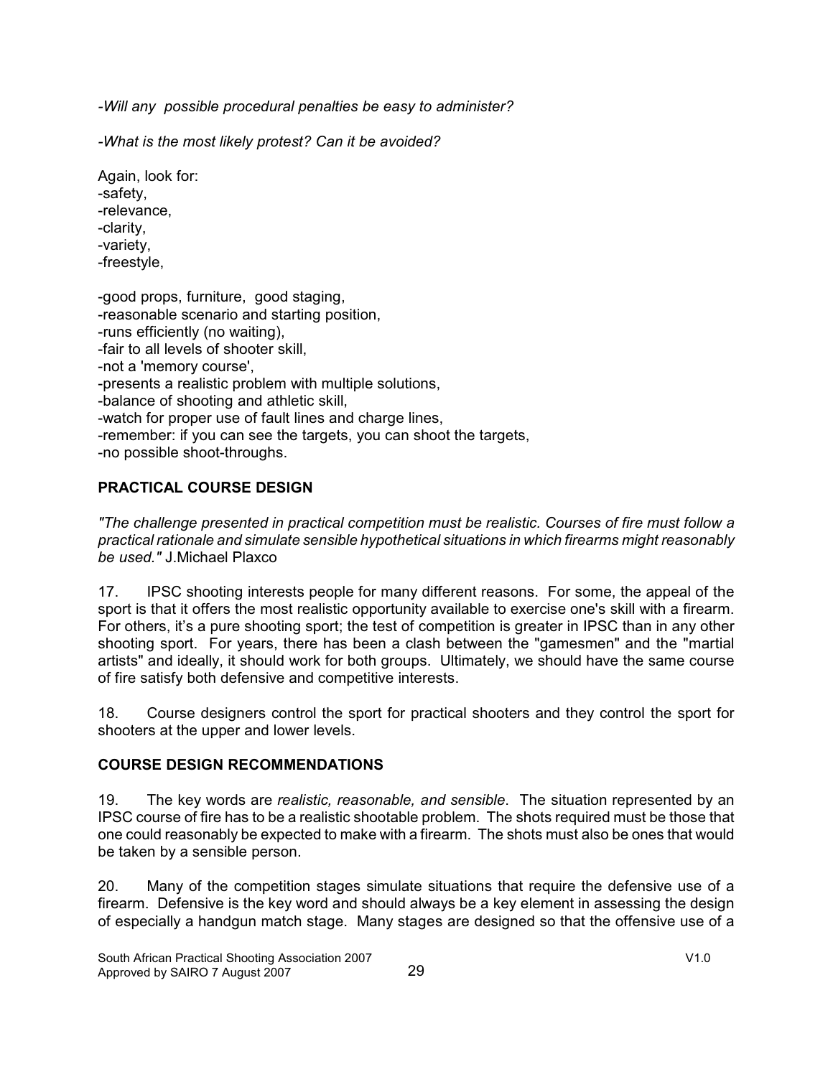*-Will any possible procedural penalties be easy to administer?*

*-What is the most likely protest? Can it be avoided?*

Again, look for: -safety, -relevance, -clarity, -variety, -freestyle,

-good props, furniture, good staging, -reasonable scenario and starting position, -runs efficiently (no waiting), -fair to all levels of shooter skill, -not a 'memory course', -presents a realistic problem with multiple solutions, -balance of shooting and athletic skill, -watch for proper use of fault lines and charge lines, -remember: if you can see the targets, you can shoot the targets, -no possible shoot-throughs.

# **PRACTICAL COURSE DESIGN**

*"The challenge presented in practical competition must be realistic. Courses of fire must follow a practical rationale and simulate sensible hypothetical situations in which firearms might reasonably be used."* J.Michael Plaxco

17. IPSC shooting interests people for many different reasons. For some, the appeal of the sport is that it offers the most realistic opportunity available to exercise one's skill with a firearm. For others, it's a pure shooting sport; the test of competition is greater in IPSC than in any other shooting sport. For years, there has been a clash between the "gamesmen" and the "martial artists" and ideally, it should work for both groups. Ultimately, we should have the same course of fire satisfy both defensive and competitive interests.

18. Course designers control the sport for practical shooters and they control the sport for shooters at the upper and lower levels.

### **COURSE DESIGN RECOMMENDATIONS**

19. The key words are *realistic, reasonable, and sensible*. The situation represented by an IPSC course of fire has to be a realistic shootable problem. The shots required must be those that one could reasonably be expected to make with a firearm. The shots must also be ones that would be taken by a sensible person.

20. Many of the competition stages simulate situations that require the defensive use of a firearm. Defensive is the key word and should always be a key element in assessing the design of especially a handgun match stage. Many stages are designed so that the offensive use of a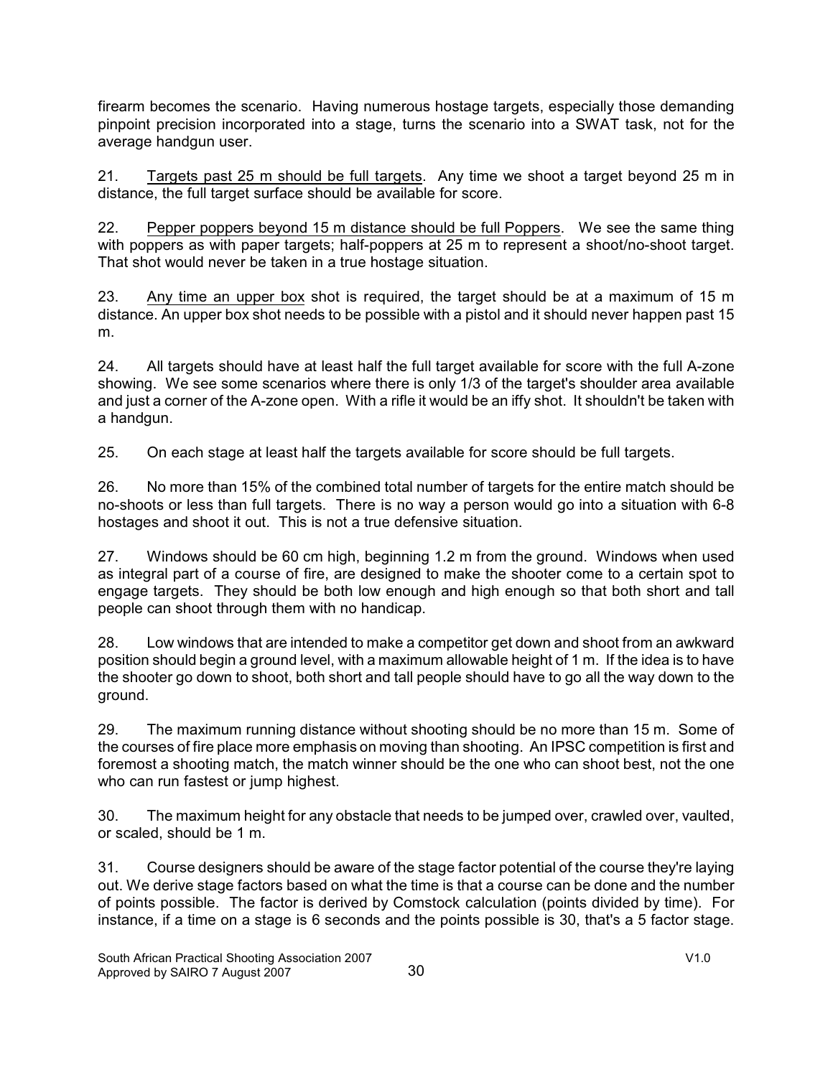firearm becomes the scenario. Having numerous hostage targets, especially those demanding pinpoint precision incorporated into a stage, turns the scenario into a SWAT task, not for the average handgun user.

21. Targets past 25 m should be full targets. Any time we shoot a target beyond 25 m in distance, the full target surface should be available for score.

22. Pepper poppers beyond 15 m distance should be full Poppers. We see the same thing with poppers as with paper targets; half-poppers at 25 m to represent a shoot/no-shoot target. That shot would never be taken in a true hostage situation.

23. Any time an upper box shot is required, the target should be at a maximum of 15 m distance. An upper box shot needs to be possible with a pistol and it should never happen past 15 m.

24. All targets should have at least half the full target available for score with the full A-zone showing. We see some scenarios where there is only 1/3 of the target's shoulder area available and just a corner of the A-zone open. With a rifle it would be an iffy shot. It shouldn't be taken with a handgun.

25. On each stage at least half the targets available for score should be full targets.

26. No more than 15% of the combined total number of targets for the entire match should be no-shoots or less than full targets. There is no way a person would go into a situation with 6-8 hostages and shoot it out. This is not a true defensive situation.

27. Windows should be 60 cm high, beginning 1.2 m from the ground. Windows when used as integral part of a course of fire, are designed to make the shooter come to a certain spot to engage targets. They should be both low enough and high enough so that both short and tall people can shoot through them with no handicap.

28. Low windows that are intended to make a competitor get down and shoot from an awkward position should begin a ground level, with a maximum allowable height of 1 m. If the idea is to have the shooter go down to shoot, both short and tall people should have to go all the way down to the ground.

29. The maximum running distance without shooting should be no more than 15 m. Some of the courses of fire place more emphasis on moving than shooting. An IPSC competition is first and foremost a shooting match, the match winner should be the one who can shoot best, not the one who can run fastest or jump highest.

30. The maximum height for any obstacle that needs to be jumped over, crawled over, vaulted, or scaled, should be 1 m.

31. Course designers should be aware of the stage factor potential of the course they're laying out. We derive stage factors based on what the time is that a course can be done and the number of points possible. The factor is derived by Comstock calculation (points divided by time). For instance, if a time on a stage is 6 seconds and the points possible is 30, that's a 5 factor stage.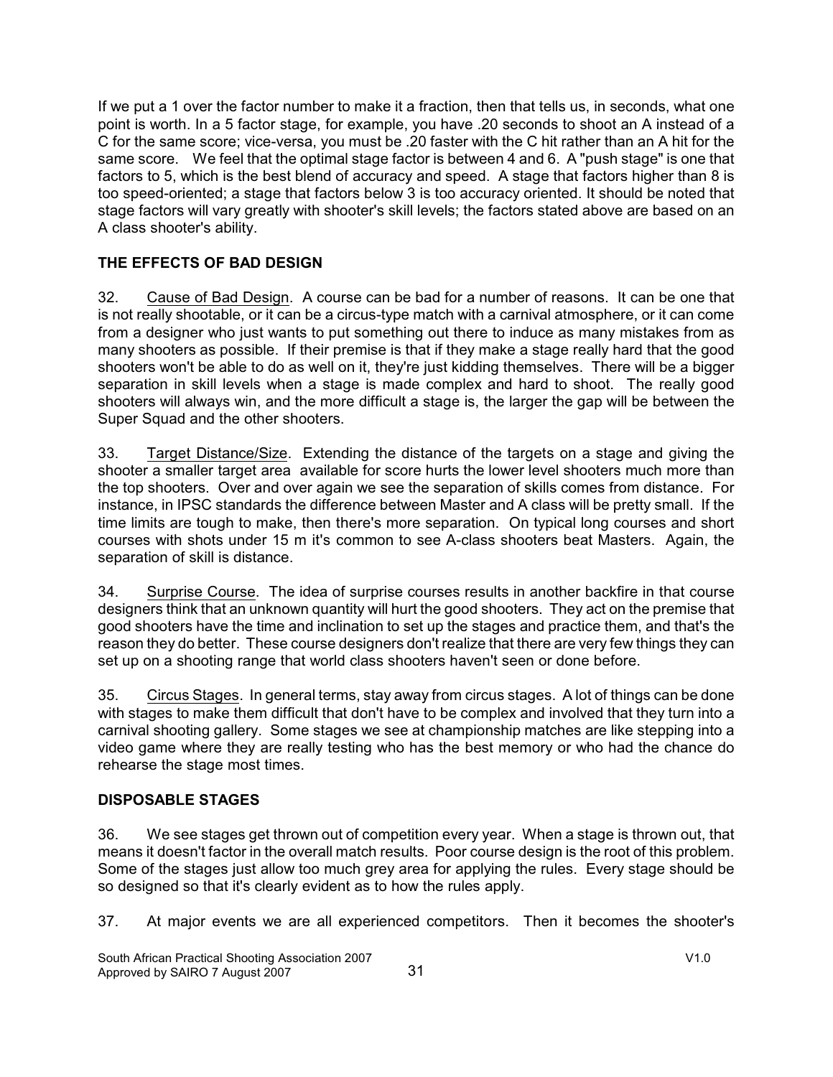If we put a 1 over the factor number to make it a fraction, then that tells us, in seconds, what one point is worth. In a 5 factor stage, for example, you have .20 seconds to shoot an A instead of a C for the same score; vice-versa, you must be .20 faster with the C hit rather than an A hit for the same score. We feel that the optimal stage factor is between 4 and 6. A "push stage" is one that factors to 5, which is the best blend of accuracy and speed. A stage that factors higher than 8 is too speed-oriented; a stage that factors below 3 is too accuracy oriented. It should be noted that stage factors will vary greatly with shooter's skill levels; the factors stated above are based on an A class shooter's ability.

# **THE EFFECTS OF BAD DESIGN**

32. Cause of Bad Design. A course can be bad for a number of reasons. It can be one that is not really shootable, or it can be a circus-type match with a carnival atmosphere, or it can come from a designer who just wants to put something out there to induce as many mistakes from as many shooters as possible. If their premise is that if they make a stage really hard that the good shooters won't be able to do as well on it, they're just kidding themselves. There will be a bigger separation in skill levels when a stage is made complex and hard to shoot. The really good shooters will always win, and the more difficult a stage is, the larger the gap will be between the Super Squad and the other shooters.

33. Target Distance/Size. Extending the distance of the targets on a stage and giving the shooter a smaller target area available for score hurts the lower level shooters much more than the top shooters. Over and over again we see the separation of skills comes from distance. For instance, in IPSC standards the difference between Master and A class will be pretty small. If the time limits are tough to make, then there's more separation. On typical long courses and short courses with shots under 15 m it's common to see A-class shooters beat Masters. Again, the separation of skill is distance.

34. Surprise Course. The idea of surprise courses results in another backfire in that course designers think that an unknown quantity will hurt the good shooters. They act on the premise that good shooters have the time and inclination to set up the stages and practice them, and that's the reason they do better. These course designers don't realize that there are very few things they can set up on a shooting range that world class shooters haven't seen or done before.

35. Circus Stages. In general terms, stay away from circus stages. A lot of things can be done with stages to make them difficult that don't have to be complex and involved that they turn into a carnival shooting gallery. Some stages we see at championship matches are like stepping into a video game where they are really testing who has the best memory or who had the chance do rehearse the stage most times.

# **DISPOSABLE STAGES**

36. We see stages get thrown out of competition every year. When a stage is thrown out, that means it doesn't factor in the overall match results. Poor course design is the root of this problem. Some of the stages just allow too much grey area for applying the rules. Every stage should be so designed so that it's clearly evident as to how the rules apply.

37. At major events we are all experienced competitors. Then it becomes the shooter's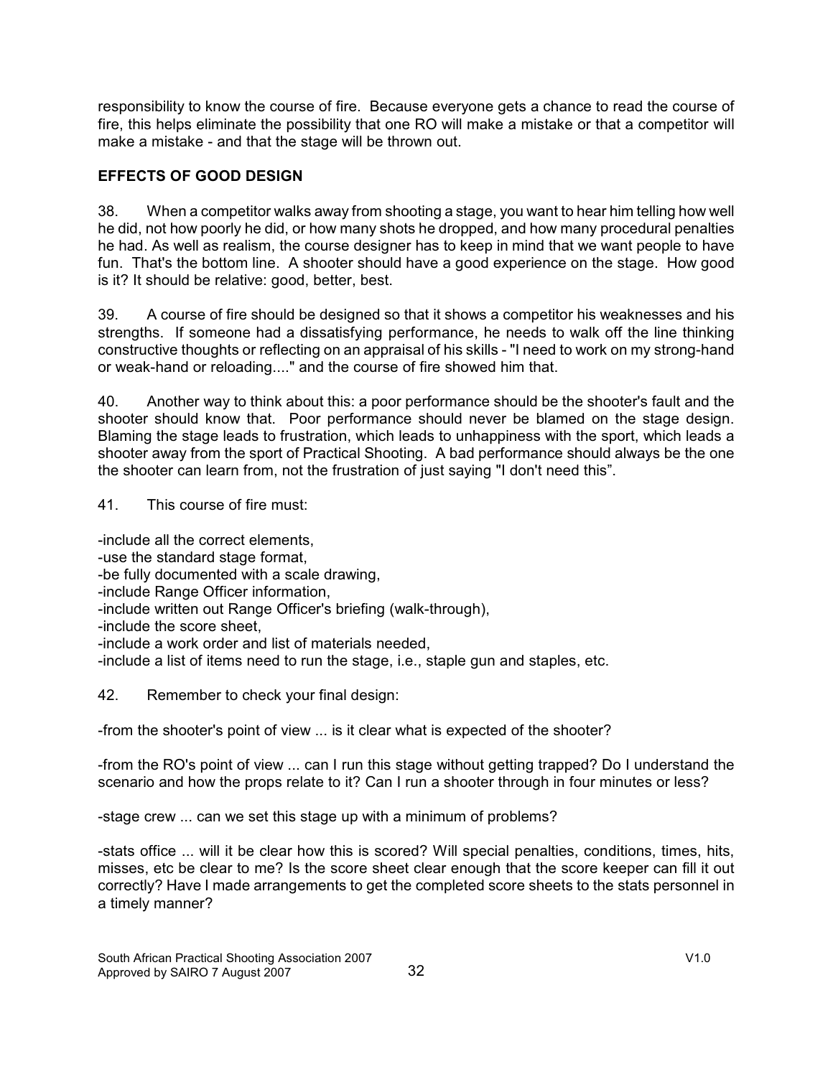responsibility to know the course of fire. Because everyone gets a chance to read the course of fire, this helps eliminate the possibility that one RO will make a mistake or that a competitor will make a mistake - and that the stage will be thrown out.

# **EFFECTS OF GOOD DESIGN**

38. When a competitor walks away from shooting a stage, you want to hear him telling how well he did, not how poorly he did, or how many shots he dropped, and how many procedural penalties he had. As well as realism, the course designer has to keep in mind that we want people to have fun. That's the bottom line. A shooter should have a good experience on the stage. How good is it? It should be relative: good, better, best.

39. A course of fire should be designed so that it shows a competitor his weaknesses and his strengths. If someone had a dissatisfying performance, he needs to walk off the line thinking constructive thoughts or reflecting on an appraisal of his skills - "I need to work on my strong-hand or weak-hand or reloading...." and the course of fire showed him that.

40. Another way to think about this: a poor performance should be the shooter's fault and the shooter should know that. Poor performance should never be blamed on the stage design. Blaming the stage leads to frustration, which leads to unhappiness with the sport, which leads a shooter away from the sport of Practical Shooting. A bad performance should always be the one the shooter can learn from, not the frustration of just saying "I don't need this".

41. This course of fire must:

-include all the correct elements, -use the standard stage format, -be fully documented with a scale drawing, -include Range Officer information, -include written out Range Officer's briefing (walk-through), -include the score sheet, -include a work order and list of materials needed, -include a list of items need to run the stage, i.e., staple gun and staples, etc.

42. Remember to check your final design:

-from the shooter's point of view ... is it clear what is expected of the shooter?

-from the RO's point of view ... can I run this stage without getting trapped? Do I understand the scenario and how the props relate to it? Can I run a shooter through in four minutes or less?

-stage crew ... can we set this stage up with a minimum of problems?

-stats office ... will it be clear how this is scored? Will special penalties, conditions, times, hits, misses, etc be clear to me? Is the score sheet clear enough that the score keeper can fill it out correctly? Have I made arrangements to get the completed score sheets to the stats personnel in a timely manner?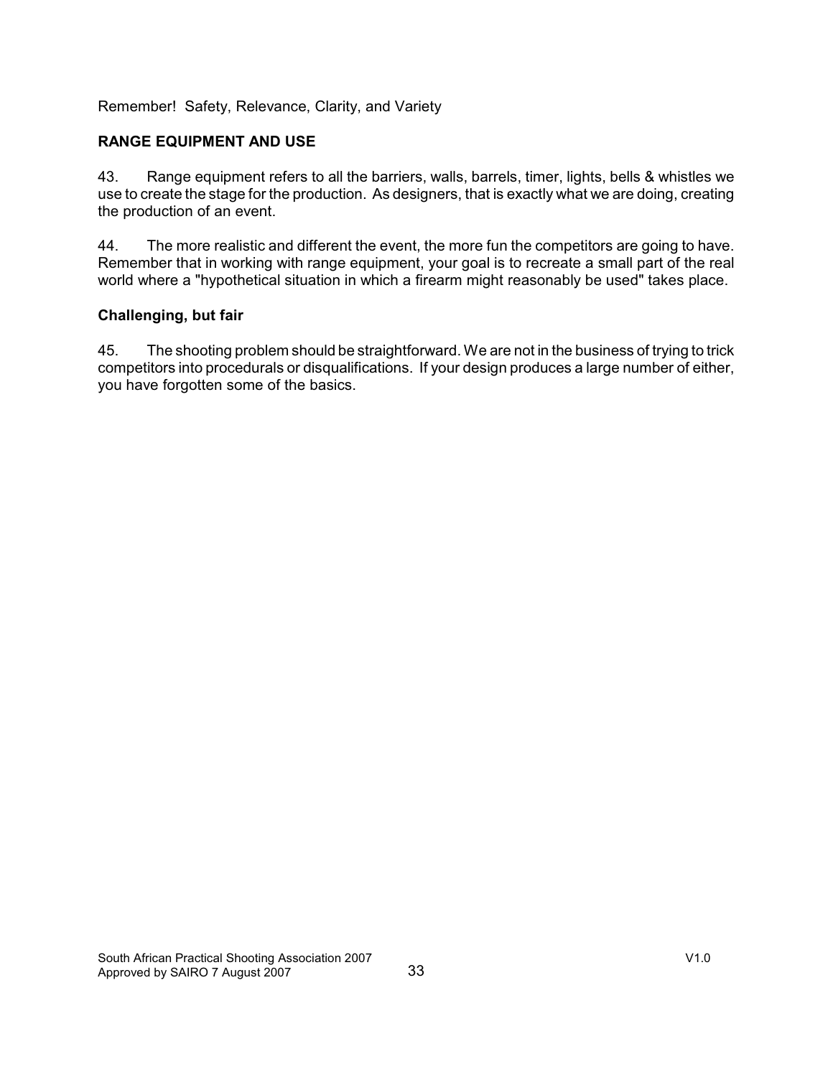Remember! Safety, Relevance, Clarity, and Variety

### **RANGE EQUIPMENT AND USE**

43. Range equipment refers to all the barriers, walls, barrels, timer, lights, bells & whistles we use to create the stage for the production. As designers, that is exactly what we are doing, creating the production of an event.

44. The more realistic and different the event, the more fun the competitors are going to have. Remember that in working with range equipment, your goal is to recreate a small part of the real world where a "hypothetical situation in which a firearm might reasonably be used" takes place.

### **Challenging, but fair**

45. The shooting problem should be straightforward. We are not in the business of trying to trick competitors into procedurals or disqualifications. If your design produces a large number of either, you have forgotten some of the basics.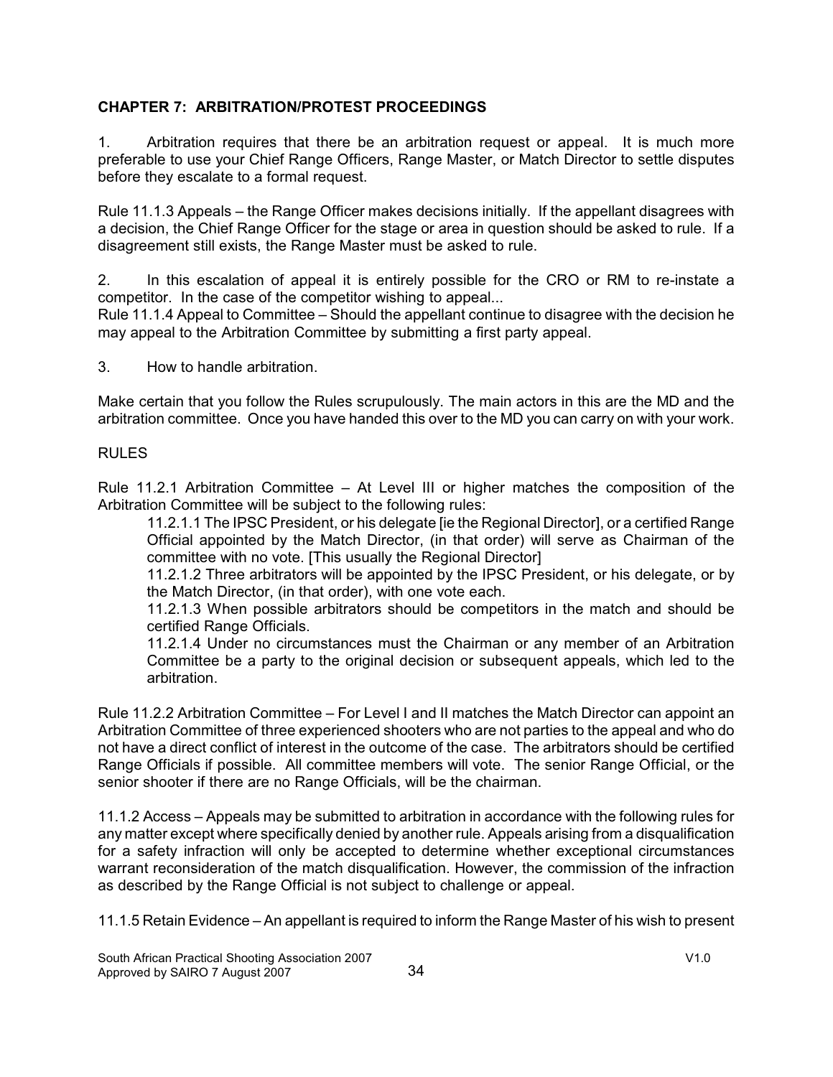### **CHAPTER 7: ARBITRATION/PROTEST PROCEEDINGS**

1. Arbitration requires that there be an arbitration request or appeal. It is much more preferable to use your Chief Range Officers, Range Master, or Match Director to settle disputes before they escalate to a formal request.

Rule 11.1.3 Appeals – the Range Officer makes decisions initially. If the appellant disagrees with a decision, the Chief Range Officer for the stage or area in question should be asked to rule. If a disagreement still exists, the Range Master must be asked to rule.

2. In this escalation of appeal it is entirely possible for the CRO or RM to re-instate a competitor. In the case of the competitor wishing to appeal...

Rule 11.1.4 Appeal to Committee – Should the appellant continue to disagree with the decision he may appeal to the Arbitration Committee by submitting a first party appeal.

3. How to handle arbitration.

Make certain that you follow the Rules scrupulously. The main actors in this are the MD and the arbitration committee. Once you have handed this over to the MD you can carry on with your work.

#### RULES

Rule 11.2.1 Arbitration Committee – At Level III or higher matches the composition of the Arbitration Committee will be subject to the following rules:

11.2.1.1 The IPSC President, or his delegate [ie the Regional Director], or a certified Range Official appointed by the Match Director, (in that order) will serve as Chairman of the committee with no vote. [This usually the Regional Director]

11.2.1.2 Three arbitrators will be appointed by the IPSC President, or his delegate, or by the Match Director, (in that order), with one vote each.

11.2.1.3 When possible arbitrators should be competitors in the match and should be certified Range Officials.

11.2.1.4 Under no circumstances must the Chairman or any member of an Arbitration Committee be a party to the original decision or subsequent appeals, which led to the arbitration.

Rule 11.2.2 Arbitration Committee – For Level I and II matches the Match Director can appoint an Arbitration Committee of three experienced shooters who are not parties to the appeal and who do not have a direct conflict of interest in the outcome of the case. The arbitrators should be certified Range Officials if possible. All committee members will vote. The senior Range Official, or the senior shooter if there are no Range Officials, will be the chairman.

11.1.2 Access – Appeals may be submitted to arbitration in accordance with the following rules for any matter except where specifically denied by another rule. Appeals arising from a disqualification for a safety infraction will only be accepted to determine whether exceptional circumstances warrant reconsideration of the match disqualification. However, the commission of the infraction as described by the Range Official is not subject to challenge or appeal.

11.1.5 Retain Evidence – An appellant is required to inform the Range Master of his wish to present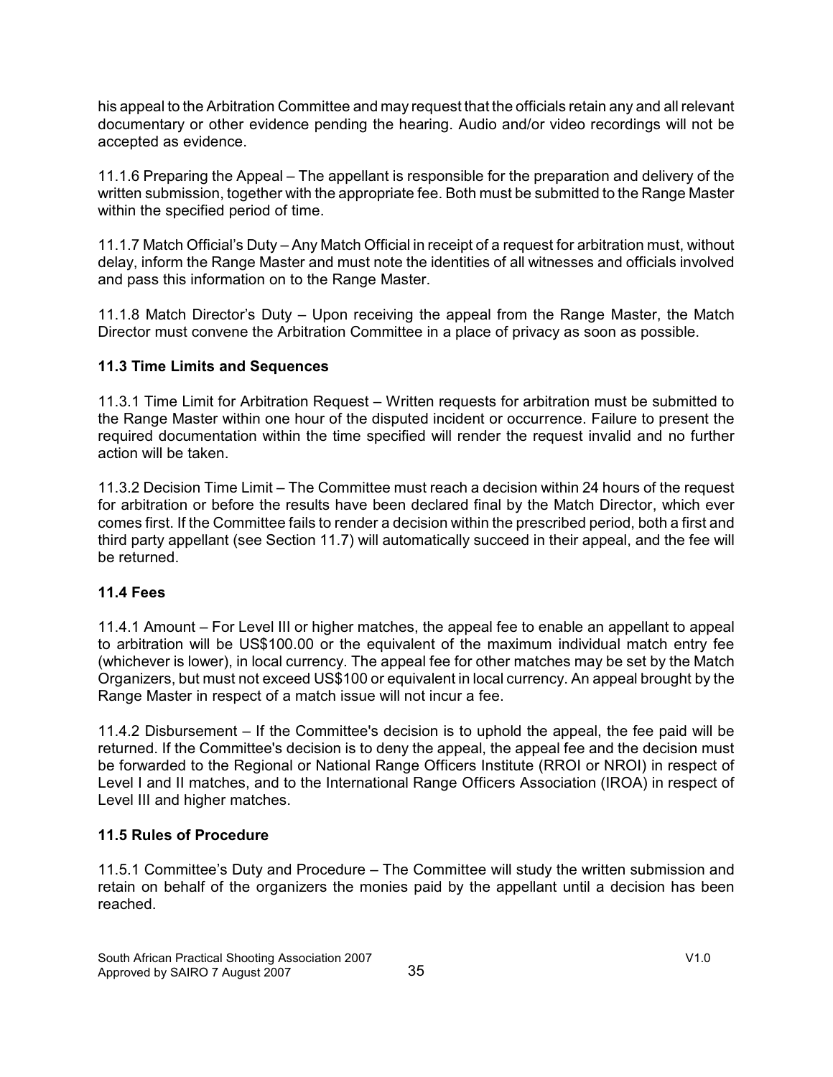his appeal to the Arbitration Committee and may request that the officials retain any and all relevant documentary or other evidence pending the hearing. Audio and/or video recordings will not be accepted as evidence.

11.1.6 Preparing the Appeal – The appellant is responsible for the preparation and delivery of the written submission, together with the appropriate fee. Both must be submitted to the Range Master within the specified period of time.

11.1.7 Match Official's Duty – Any Match Official in receipt of a request for arbitration must, without delay, inform the Range Master and must note the identities of all witnesses and officials involved and pass this information on to the Range Master.

11.1.8 Match Director's Duty – Upon receiving the appeal from the Range Master, the Match Director must convene the Arbitration Committee in a place of privacy as soon as possible.

### **11.3 Time Limits and Sequences**

11.3.1 Time Limit for Arbitration Request – Written requests for arbitration must be submitted to the Range Master within one hour of the disputed incident or occurrence. Failure to present the required documentation within the time specified will render the request invalid and no further action will be taken.

11.3.2 Decision Time Limit – The Committee must reach a decision within 24 hours of the request for arbitration or before the results have been declared final by the Match Director, which ever comes first. If the Committee fails to render a decision within the prescribed period, both a first and third party appellant (see Section 11.7) will automatically succeed in their appeal, and the fee will be returned.

# **11.4 Fees**

11.4.1 Amount – For Level III or higher matches, the appeal fee to enable an appellant to appeal to arbitration will be US\$100.00 or the equivalent of the maximum individual match entry fee (whichever is lower), in local currency. The appeal fee for other matches may be set by the Match Organizers, but must not exceed US\$100 or equivalent in local currency. An appeal brought by the Range Master in respect of a match issue will not incur a fee.

11.4.2 Disbursement – If the Committee's decision is to uphold the appeal, the fee paid will be returned. If the Committee's decision is to deny the appeal, the appeal fee and the decision must be forwarded to the Regional or National Range Officers Institute (RROI or NROI) in respect of Level I and II matches, and to the International Range Officers Association (IROA) in respect of Level III and higher matches.

### **11.5 Rules of Procedure**

11.5.1 Committee's Duty and Procedure – The Committee will study the written submission and retain on behalf of the organizers the monies paid by the appellant until a decision has been reached.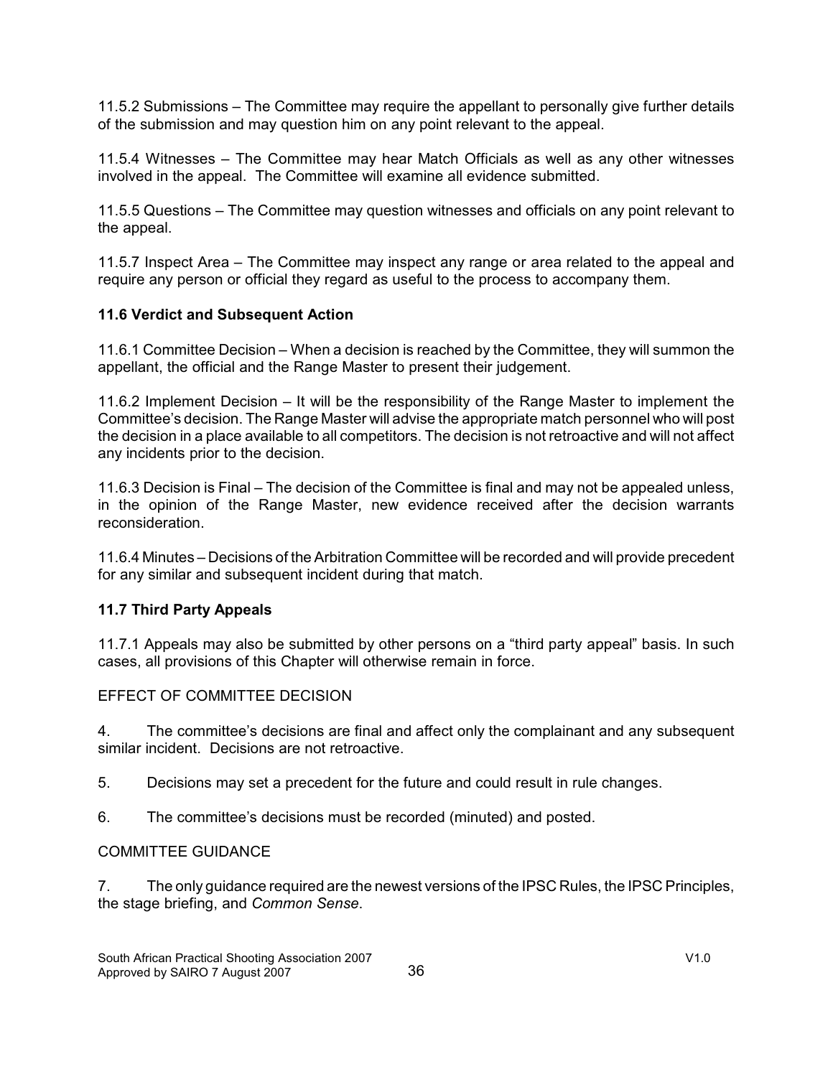11.5.2 Submissions – The Committee may require the appellant to personally give further details of the submission and may question him on any point relevant to the appeal.

11.5.4 Witnesses – The Committee may hear Match Officials as well as any other witnesses involved in the appeal. The Committee will examine all evidence submitted.

11.5.5 Questions – The Committee may question witnesses and officials on any point relevant to the appeal.

11.5.7 Inspect Area – The Committee may inspect any range or area related to the appeal and require any person or official they regard as useful to the process to accompany them.

### **11.6 Verdict and Subsequent Action**

11.6.1 Committee Decision – When a decision is reached by the Committee, they will summon the appellant, the official and the Range Master to present their judgement.

11.6.2 Implement Decision – It will be the responsibility of the Range Master to implement the Committee's decision. The Range Master will advise the appropriate match personnel who will post the decision in a place available to all competitors. The decision is not retroactive and will not affect any incidents prior to the decision.

11.6.3 Decision is Final – The decision of the Committee is final and may not be appealed unless, in the opinion of the Range Master, new evidence received after the decision warrants reconsideration.

11.6.4 Minutes – Decisions of the Arbitration Committee will be recorded and will provide precedent for any similar and subsequent incident during that match.

### **11.7 Third Party Appeals**

11.7.1 Appeals may also be submitted by other persons on a "third party appeal" basis. In such cases, all provisions of this Chapter will otherwise remain in force.

### EFFECT OF COMMITTEE DECISION

4. The committee's decisions are final and affect only the complainant and any subsequent similar incident. Decisions are not retroactive.

5. Decisions may set a precedent for the future and could result in rule changes.

6. The committee's decisions must be recorded (minuted) and posted.

### COMMITTEE GUIDANCE

7. The only guidance required are the newest versions of the IPSC Rules, the IPSC Principles, the stage briefing, and *Common Sense*.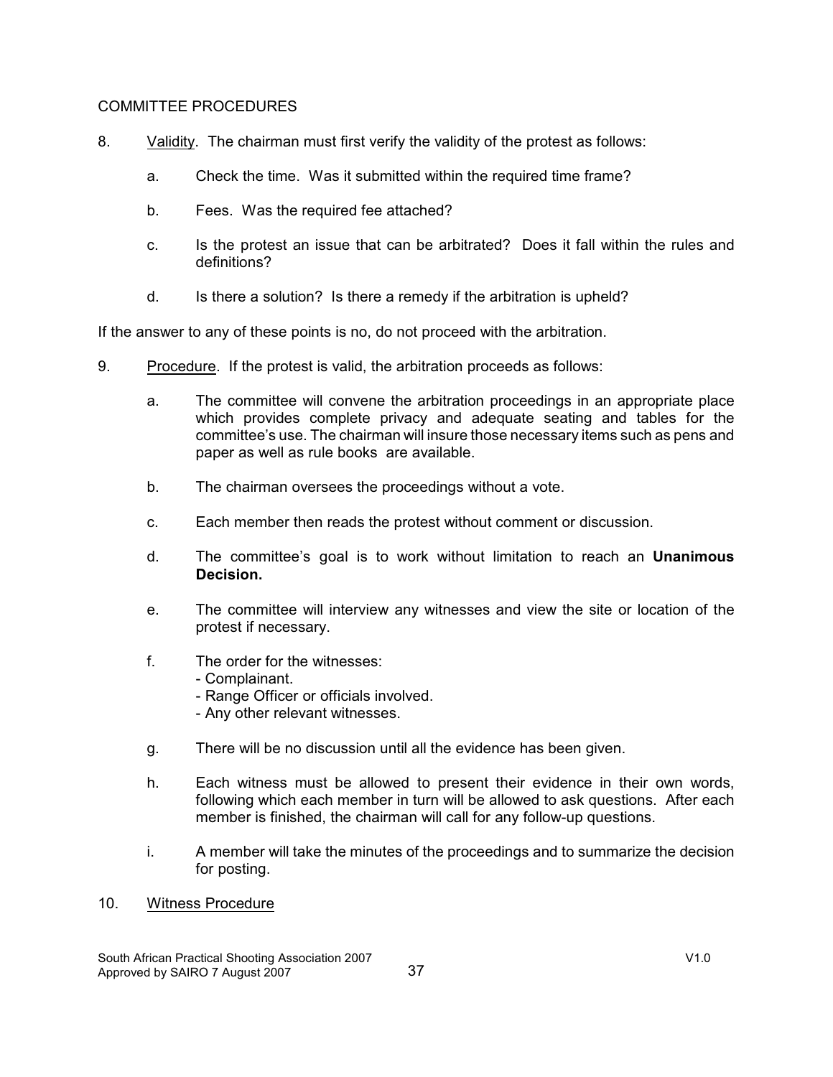#### COMMITTEE PROCEDURES

- 8. Validity. The chairman must first verify the validity of the protest as follows:
	- a. Check the time. Was it submitted within the required time frame?
	- b. Fees. Was the required fee attached?
	- c. Is the protest an issue that can be arbitrated? Does it fall within the rules and definitions?
	- d. Is there a solution? Is there a remedy if the arbitration is upheld?

If the answer to any of these points is no, do not proceed with the arbitration.

- 9. Procedure. If the protest is valid, the arbitration proceeds as follows:
	- a. The committee will convene the arbitration proceedings in an appropriate place which provides complete privacy and adequate seating and tables for the committee's use. The chairman will insure those necessary items such as pens and paper as well as rule books are available.
	- b. The chairman oversees the proceedings without a vote.
	- c. Each member then reads the protest without comment or discussion.
	- d. The committee's goal is to work without limitation to reach an **Unanimous Decision.**
	- e. The committee will interview any witnesses and view the site or location of the protest if necessary.
	- f. The order for the witnesses:
		- Complainant.
		- Range Officer or officials involved.
		- Any other relevant witnesses.
	- g. There will be no discussion until all the evidence has been given.
	- h. Each witness must be allowed to present their evidence in their own words, following which each member in turn will be allowed to ask questions. After each member is finished, the chairman will call for any follow-up questions.
	- i. A member will take the minutes of the proceedings and to summarize the decision for posting.
- 10. Witness Procedure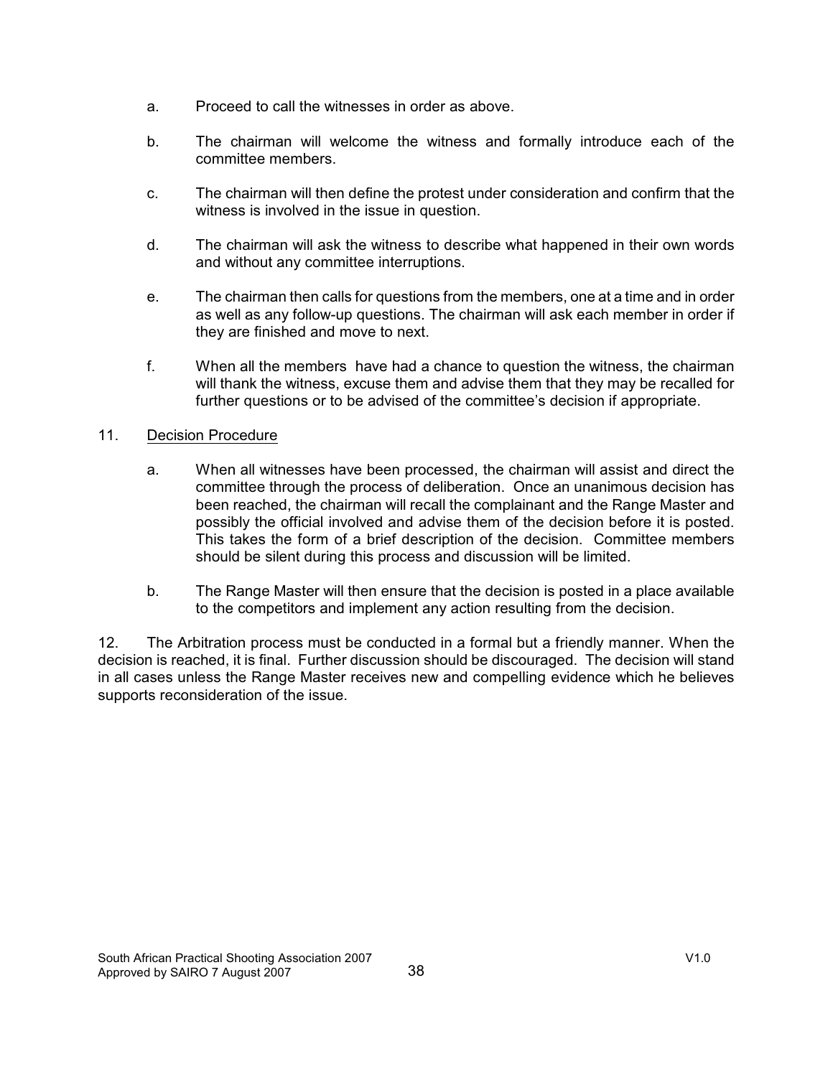- a. Proceed to call the witnesses in order as above.
- b. The chairman will welcome the witness and formally introduce each of the committee members.
- c. The chairman will then define the protest under consideration and confirm that the witness is involved in the issue in question.
- d. The chairman will ask the witness to describe what happened in their own words and without any committee interruptions.
- e. The chairman then calls for questions from the members, one at a time and in order as well as any follow-up questions. The chairman will ask each member in order if they are finished and move to next.
- f. When all the members have had a chance to question the witness, the chairman will thank the witness, excuse them and advise them that they may be recalled for further questions or to be advised of the committee's decision if appropriate.

### 11. Decision Procedure

- a. When all witnesses have been processed, the chairman will assist and direct the committee through the process of deliberation. Once an unanimous decision has been reached, the chairman will recall the complainant and the Range Master and possibly the official involved and advise them of the decision before it is posted. This takes the form of a brief description of the decision. Committee members should be silent during this process and discussion will be limited.
- b. The Range Master will then ensure that the decision is posted in a place available to the competitors and implement any action resulting from the decision.

12. The Arbitration process must be conducted in a formal but a friendly manner. When the decision is reached, it is final. Further discussion should be discouraged. The decision will stand in all cases unless the Range Master receives new and compelling evidence which he believes supports reconsideration of the issue.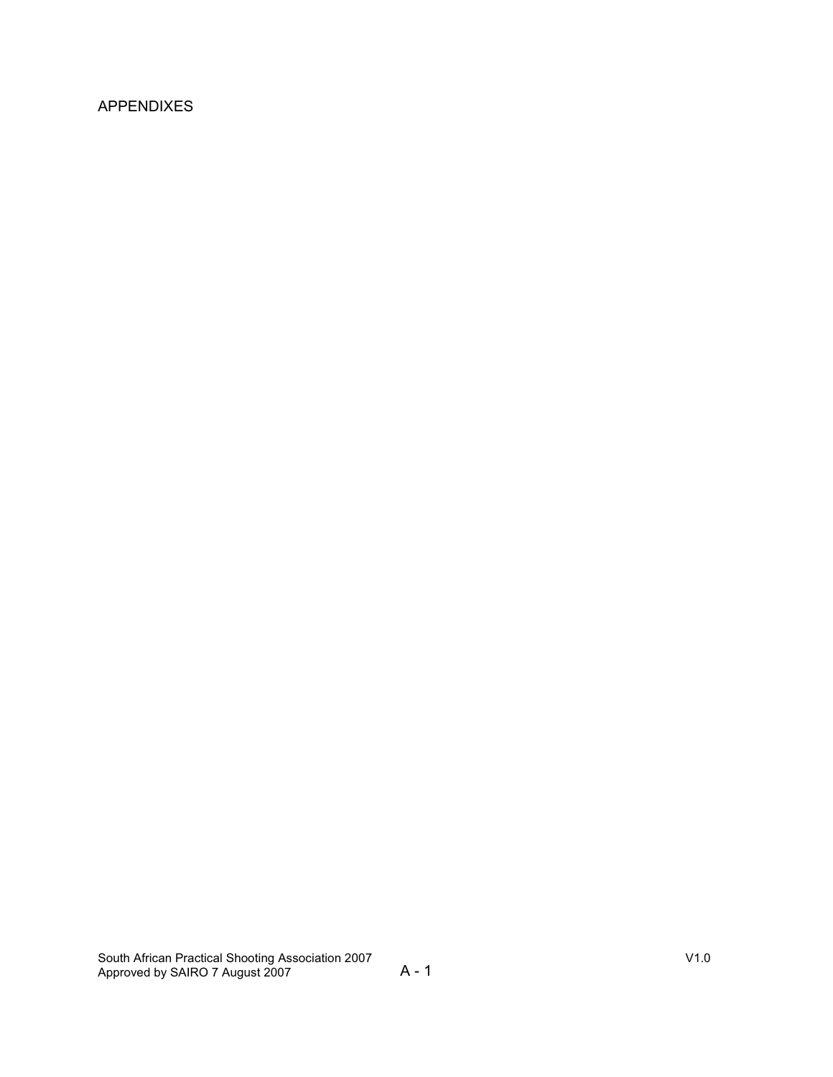# APPENDIXES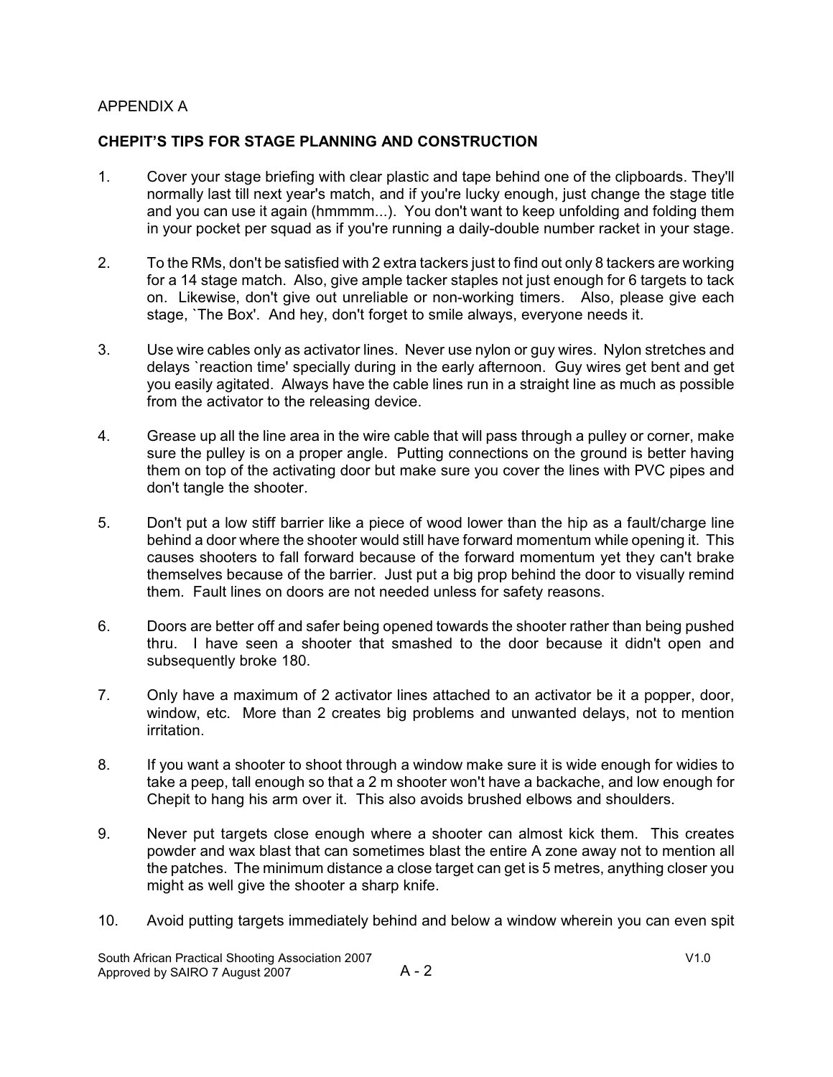### APPENDIX A

### **CHEPIT'S TIPS FOR STAGE PLANNING AND CONSTRUCTION**

- 1. Cover your stage briefing with clear plastic and tape behind one of the clipboards. They'll normally last till next year's match, and if you're lucky enough, just change the stage title and you can use it again (hmmmm...). You don't want to keep unfolding and folding them in your pocket per squad as if you're running a daily-double number racket in your stage.
- 2. To the RMs, don't be satisfied with 2 extra tackers just to find out only 8 tackers are working for a 14 stage match. Also, give ample tacker staples not just enough for 6 targets to tack on. Likewise, don't give out unreliable or non-working timers. Also, please give each stage, `The Box'. And hey, don't forget to smile always, everyone needs it.
- 3. Use wire cables only as activator lines. Never use nylon or guy wires. Nylon stretches and delays `reaction time' specially during in the early afternoon. Guy wires get bent and get you easily agitated. Always have the cable lines run in a straight line as much as possible from the activator to the releasing device.
- 4. Grease up all the line area in the wire cable that will pass through a pulley or corner, make sure the pulley is on a proper angle. Putting connections on the ground is better having them on top of the activating door but make sure you cover the lines with PVC pipes and don't tangle the shooter.
- 5. Don't put a low stiff barrier like a piece of wood lower than the hip as a fault/charge line behind a door where the shooter would still have forward momentum while opening it. This causes shooters to fall forward because of the forward momentum yet they can't brake themselves because of the barrier. Just put a big prop behind the door to visually remind them. Fault lines on doors are not needed unless for safety reasons.
- 6. Doors are better off and safer being opened towards the shooter rather than being pushed thru. I have seen a shooter that smashed to the door because it didn't open and subsequently broke 180.
- 7. Only have a maximum of 2 activator lines attached to an activator be it a popper, door, window, etc. More than 2 creates big problems and unwanted delays, not to mention irritation.
- 8. If you want a shooter to shoot through a window make sure it is wide enough for widies to take a peep, tall enough so that a 2 m shooter won't have a backache, and low enough for Chepit to hang his arm over it. This also avoids brushed elbows and shoulders.
- 9. Never put targets close enough where a shooter can almost kick them. This creates powder and wax blast that can sometimes blast the entire A zone away not to mention all the patches. The minimum distance a close target can get is 5 metres, anything closer you might as well give the shooter a sharp knife.
- 10. Avoid putting targets immediately behind and below a window wherein you can even spit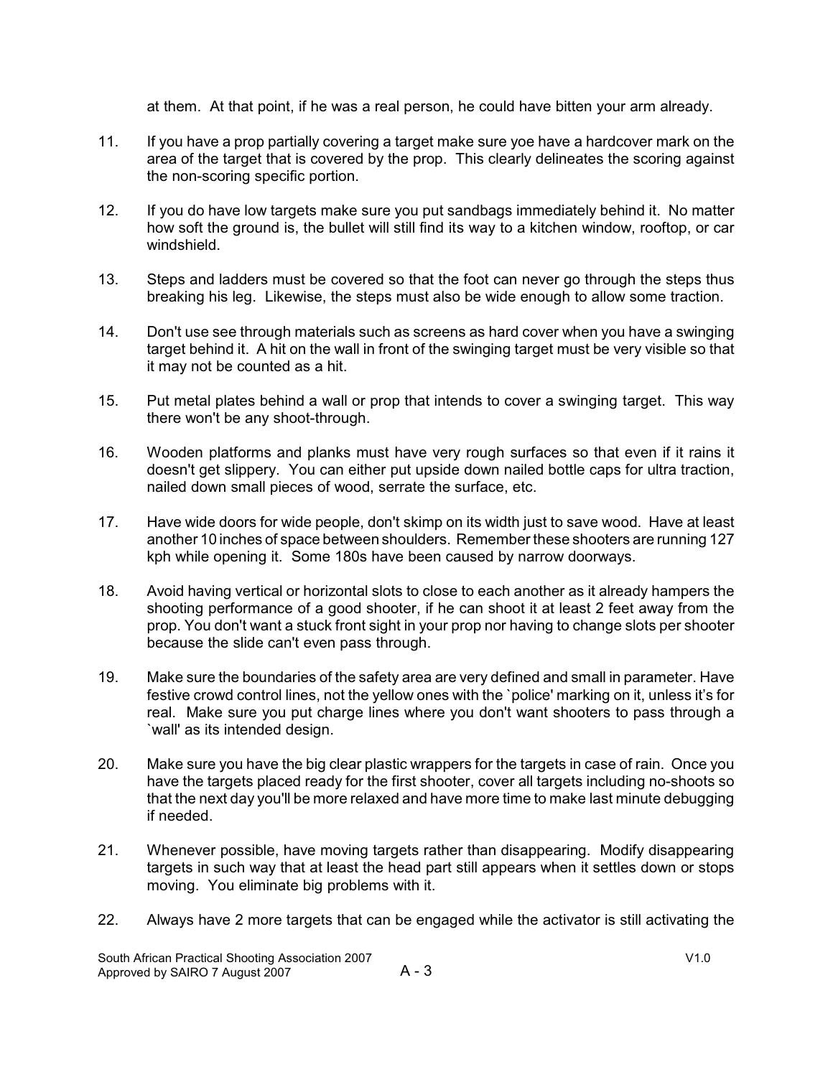at them. At that point, if he was a real person, he could have bitten your arm already.

- 11. If you have a prop partially covering a target make sure yoe have a hardcover mark on the area of the target that is covered by the prop. This clearly delineates the scoring against the non-scoring specific portion.
- 12. If you do have low targets make sure you put sandbags immediately behind it. No matter how soft the ground is, the bullet will still find its way to a kitchen window, rooftop, or car windshield.
- 13. Steps and ladders must be covered so that the foot can never go through the steps thus breaking his leg. Likewise, the steps must also be wide enough to allow some traction.
- 14. Don't use see through materials such as screens as hard cover when you have a swinging target behind it. A hit on the wall in front of the swinging target must be very visible so that it may not be counted as a hit.
- 15. Put metal plates behind a wall or prop that intends to cover a swinging target. This way there won't be any shoot-through.
- 16. Wooden platforms and planks must have very rough surfaces so that even if it rains it doesn't get slippery. You can either put upside down nailed bottle caps for ultra traction, nailed down small pieces of wood, serrate the surface, etc.
- 17. Have wide doors for wide people, don't skimp on its width just to save wood. Have at least another 10 inches of space between shoulders. Remember these shooters are running 127 kph while opening it. Some 180s have been caused by narrow doorways.
- 18. Avoid having vertical or horizontal slots to close to each another as it already hampers the shooting performance of a good shooter, if he can shoot it at least 2 feet away from the prop. You don't want a stuck front sight in your prop nor having to change slots per shooter because the slide can't even pass through.
- 19. Make sure the boundaries of the safety area are very defined and small in parameter. Have festive crowd control lines, not the yellow ones with the `police' marking on it, unless it's for real. Make sure you put charge lines where you don't want shooters to pass through a `wall' as its intended design.
- 20. Make sure you have the big clear plastic wrappers for the targets in case of rain. Once you have the targets placed ready for the first shooter, cover all targets including no-shoots so that the next day you'll be more relaxed and have more time to make last minute debugging if needed.
- 21. Whenever possible, have moving targets rather than disappearing. Modify disappearing targets in such way that at least the head part still appears when it settles down or stops moving. You eliminate big problems with it.
- 22. Always have 2 more targets that can be engaged while the activator is still activating the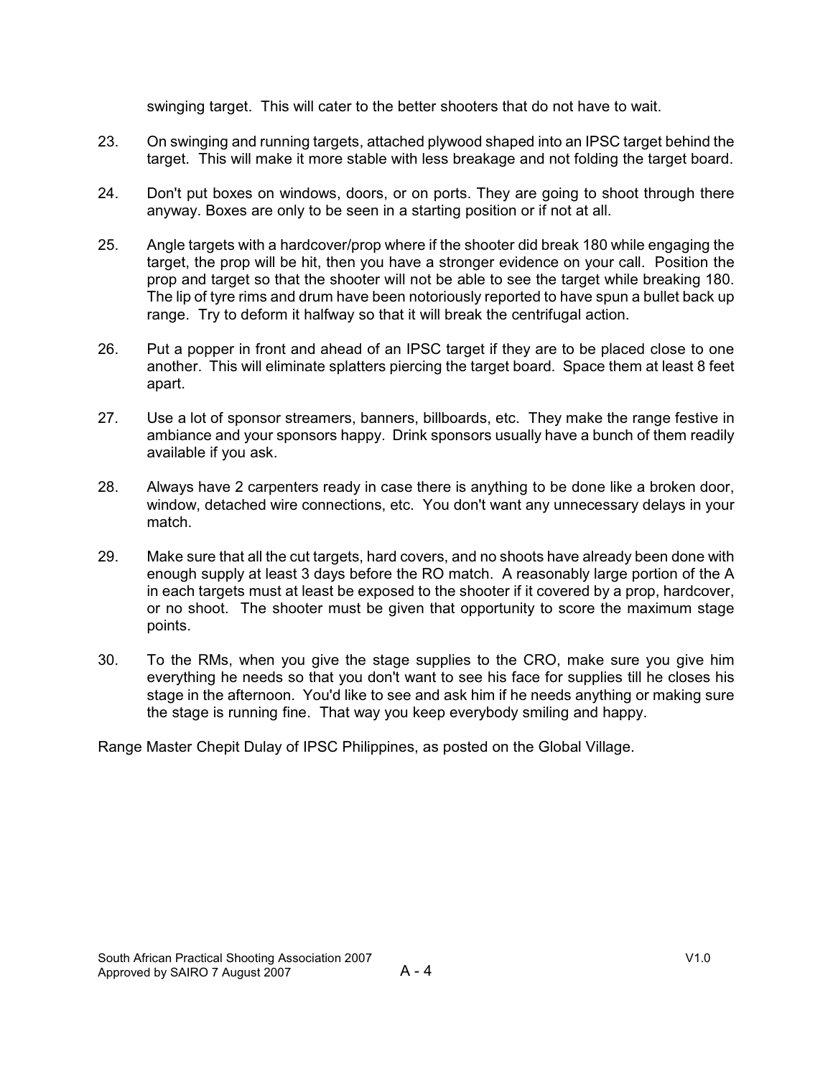swinging target. This will cater to the better shooters that do not have to wait.

- 23. On swinging and running targets, attached plywood shaped into an IPSC target behind the target. This will make it more stable with less breakage and not folding the target board.
- 24. Don't put boxes on windows, doors, or on ports. They are going to shoot through there anyway. Boxes are only to be seen in a starting position or if not at all.
- 25. Angle targets with a hardcover/prop where if the shooter did break 180 while engaging the target, the prop will be hit, then you have a stronger evidence on your call. Position the prop and target so that the shooter will not be able to see the target while breaking 180. The lip of tyre rims and drum have been notoriously reported to have spun a bullet back up range. Try to deform it halfway so that it will break the centrifugal action.
- 26. Put a popper in front and ahead of an IPSC target if they are to be placed close to one another. This will eliminate splatters piercing the target board. Space them at least 8 feet apart.
- 27. Use a lot of sponsor streamers, banners, billboards, etc. They make the range festive in ambiance and your sponsors happy. Drink sponsors usually have a bunch of them readily available if you ask.
- 28. Always have 2 carpenters ready in case there is anything to be done like a broken door, window, detached wire connections, etc. You don't want any unnecessary delays in your match.
- 29. Make sure that all the cut targets, hard covers, and no shoots have already been done with enough supply at least 3 days before the RO match. A reasonably large portion of the A in each targets must at least be exposed to the shooter if it covered by a prop, hardcover, or no shoot. The shooter must be given that opportunity to score the maximum stage points.
- 30. To the RMs, when you give the stage supplies to the CRO, make sure you give him everything he needs so that you don't want to see his face for supplies till he closes his stage in the afternoon. You'd like to see and ask him if he needs anything or making sure the stage is running fine. That way you keep everybody smiling and happy.

Range Master Chepit Dulay of IPSC Philippines, as posted on the Global Village.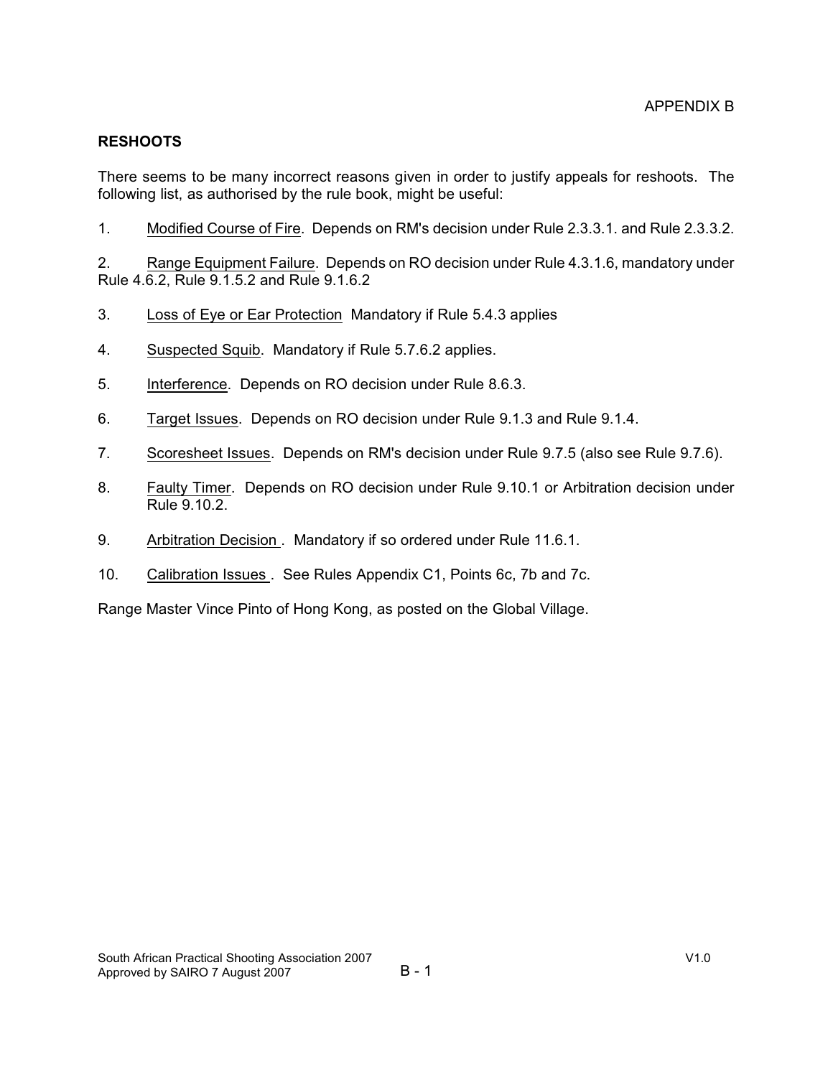### **RESHOOTS**

There seems to be many incorrect reasons given in order to justify appeals for reshoots. The following list, as authorised by the rule book, might be useful:

1. Modified Course of Fire. Depends on RM's decision under Rule 2.3.3.1. and Rule 2.3.3.2.

2. Range Equipment Failure. Depends on RO decision under Rule 4.3.1.6, mandatory under Rule 4.6.2, Rule 9.1.5.2 and Rule 9.1.6.2

- 3. Loss of Eye or Ear Protection Mandatory if Rule 5.4.3 applies
- 4. Suspected Squib. Mandatory if Rule 5.7.6.2 applies.
- 5. Interference. Depends on RO decision under Rule 8.6.3.
- 6. Target Issues. Depends on RO decision under Rule 9.1.3 and Rule 9.1.4.
- 7. Scoresheet Issues. Depends on RM's decision under Rule 9.7.5 (also see Rule 9.7.6).
- 8. Faulty Timer. Depends on RO decision under Rule 9.10.1 or Arbitration decision under Rule 9.10.2.
- 9. Arbitration Decision . Mandatory if so ordered under Rule 11.6.1.
- 10. Calibration Issues . See Rules Appendix C1, Points 6c, 7b and 7c.

Range Master Vince Pinto of Hong Kong, as posted on the Global Village.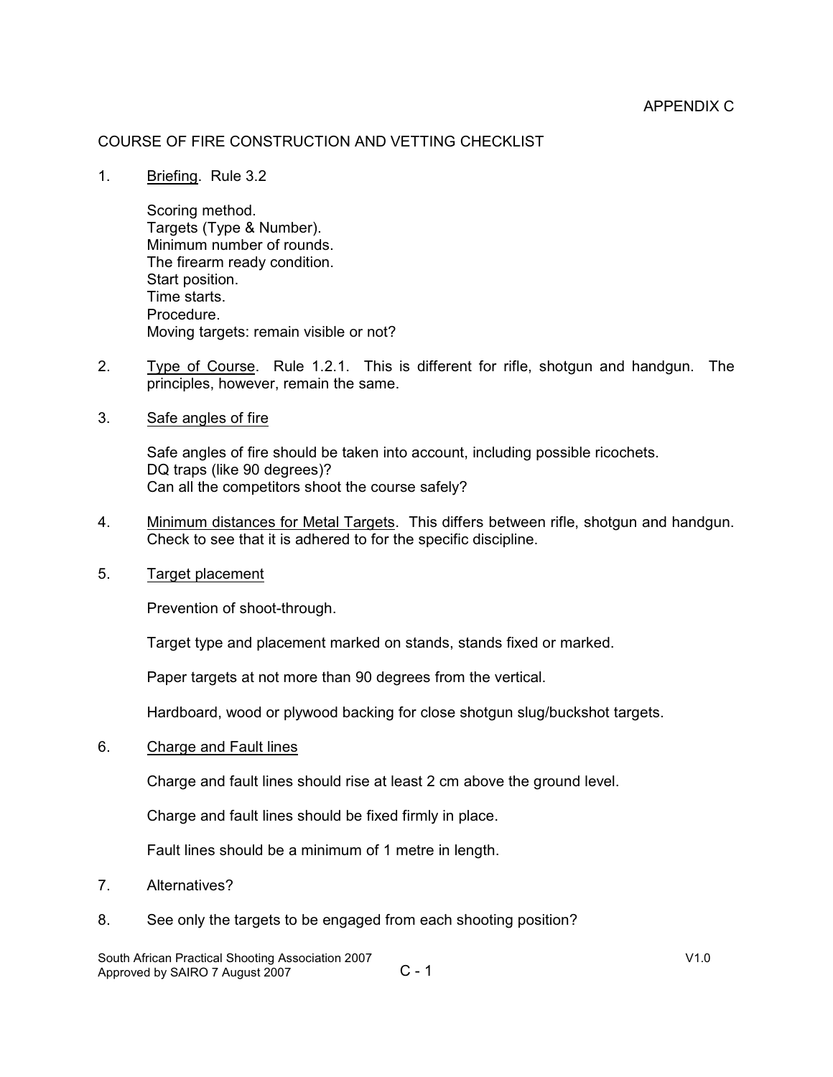### COURSE OF FIRE CONSTRUCTION AND VETTING CHECKLIST

1. Briefing. Rule 3.2

Scoring method. Targets (Type & Number). Minimum number of rounds. The firearm ready condition. Start position. Time starts. Procedure. Moving targets: remain visible or not?

- 2. Type of Course. Rule 1.2.1. This is different for rifle, shotgun and handgun. The principles, however, remain the same.
- 3. Safe angles of fire

Safe angles of fire should be taken into account, including possible ricochets. DQ traps (like 90 degrees)? Can all the competitors shoot the course safely?

- 4. Minimum distances for Metal Targets. This differs between rifle, shotgun and handgun. Check to see that it is adhered to for the specific discipline.
- 5. Target placement

Prevention of shoot-through.

Target type and placement marked on stands, stands fixed or marked.

Paper targets at not more than 90 degrees from the vertical.

Hardboard, wood or plywood backing for close shotgun slug/buckshot targets.

6. Charge and Fault lines

Charge and fault lines should rise at least 2 cm above the ground level.

Charge and fault lines should be fixed firmly in place.

Fault lines should be a minimum of 1 metre in length.

- 7. Alternatives?
- 8. See only the targets to be engaged from each shooting position?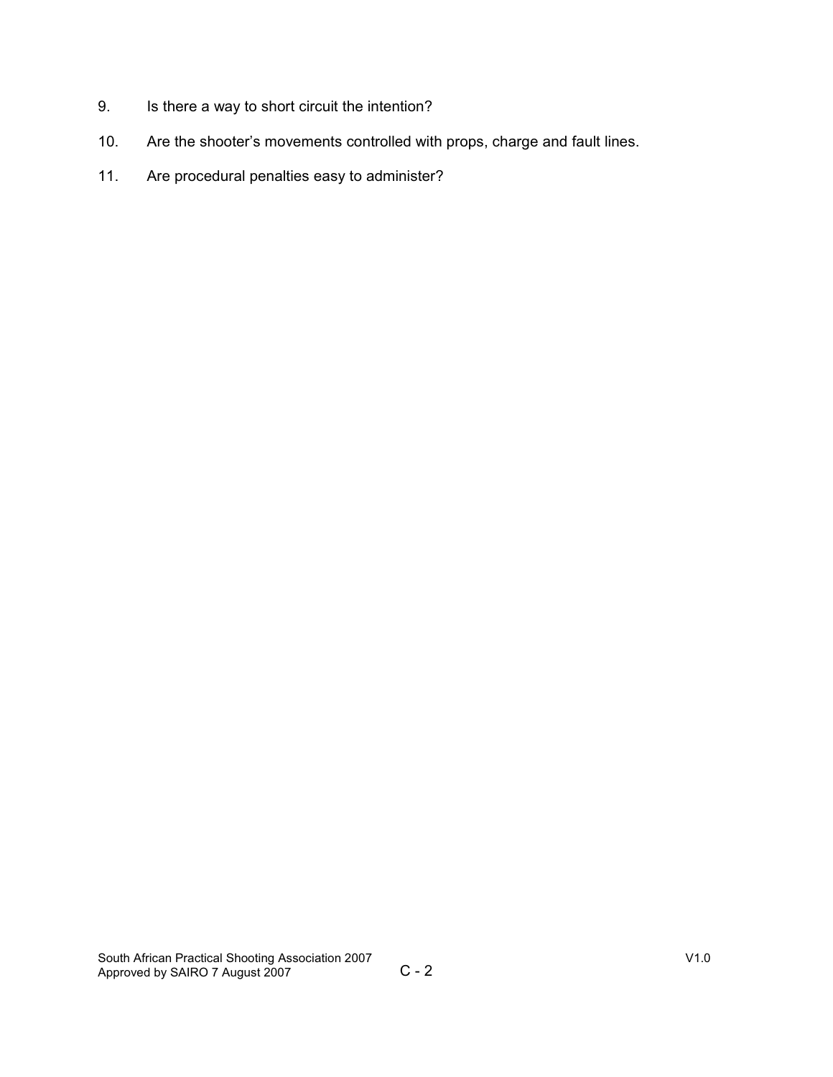- 9. Is there a way to short circuit the intention?
- 10. Are the shooter's movements controlled with props, charge and fault lines.
- 11. Are procedural penalties easy to administer?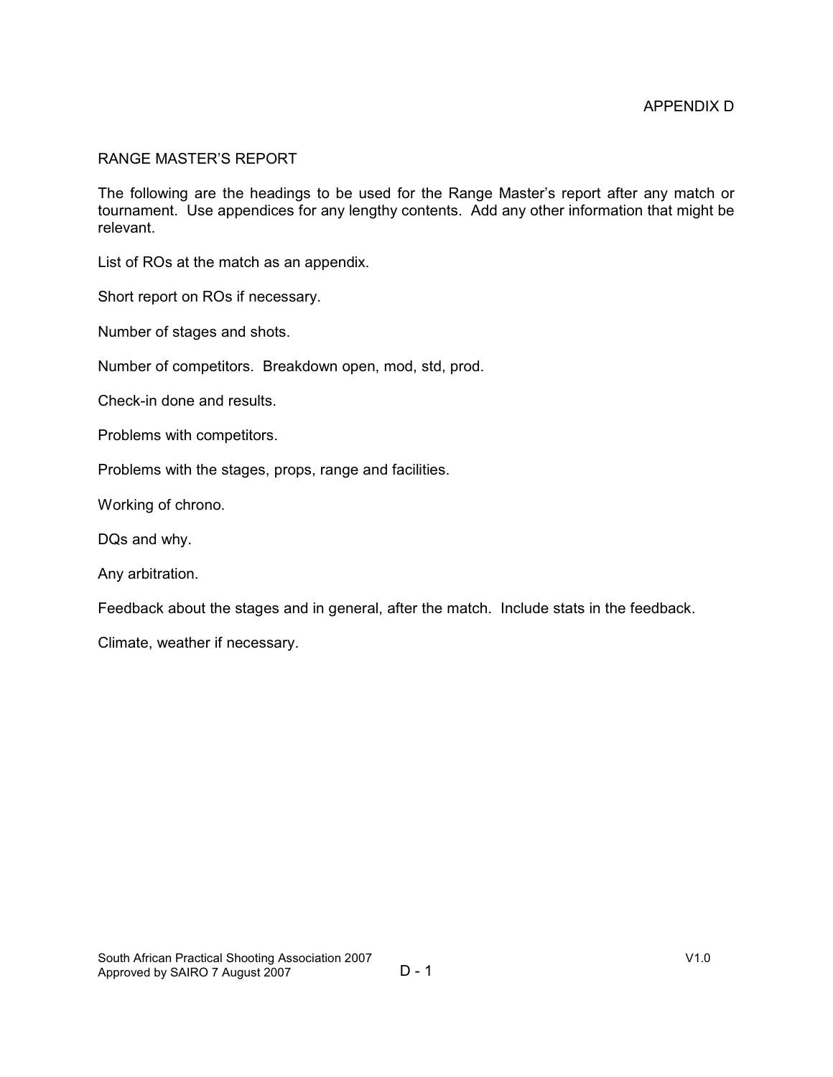#### RANGE MASTER'S REPORT

The following are the headings to be used for the Range Master's report after any match or tournament. Use appendices for any lengthy contents. Add any other information that might be relevant.

List of ROs at the match as an appendix.

Short report on ROs if necessary.

Number of stages and shots.

Number of competitors. Breakdown open, mod, std, prod.

Check-in done and results.

Problems with competitors.

Problems with the stages, props, range and facilities.

Working of chrono.

DQs and why.

Any arbitration.

Feedback about the stages and in general, after the match. Include stats in the feedback.

Climate, weather if necessary.